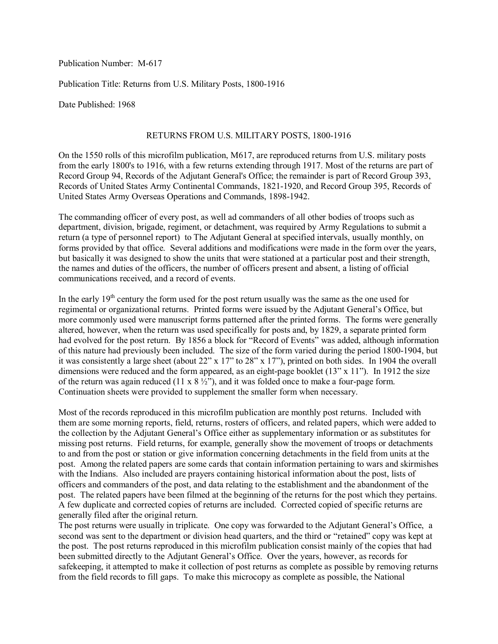Publication Number: M-617

Publication Title: Returns from U.S. Military Posts, 1800-1916

Date Published: 1968

## RETURNS FROM U.S. MILITARY POSTS, 1800-1916

On the 1550 rolls of this microfilm publication, M617, are reproduced returns from U.S. military posts from the early 1800's to 1916, with a few returns extending through 1917. Most of the returns are part of Record Group 94, Records of the Adjutant General's Office; the remainder is part of Record Group 393, Records of United States Army Continental Commands, 1821-1920, and Record Group 395, Records of United States Army Overseas Operations and Commands, 1898-1942.

The commanding officer of every post, as well ad commanders of all other bodies of troops such as department, division, brigade, regiment, or detachment, was required by Army Regulations to submit a return (a type of personnel report) to The Adjutant General at specified intervals, usually monthly, on forms provided by that office. Several additions and modifications were made in the form over the years, but basically it was designed to show the units that were stationed at a particular post and their strength, the names and duties of the officers, the number of officers present and absent, a listing of official communications received, and a record of events.

In the early  $19<sup>th</sup>$  century the form used for the post return usually was the same as the one used for regimental or organizational returns. Printed forms were issued by the Adjutant General's Office, but more commonly used were manuscript forms patterned after the printed forms. The forms were generally altered, however, when the return was used specifically for posts and, by 1829, a separate printed form had evolved for the post return. By 1856 a block for "Record of Events" was added, although information of this nature had previously been included. The size of the form varied during the period 1800-1904, but it was consistently a large sheet (about 22" x 17" to 28" x 17"), printed on both sides. In 1904 the overall dimensions were reduced and the form appeared, as an eight-page booklet (13" x 11"). In 1912 the size of the return was again reduced (11 x  $8\frac{1}{2}$ ), and it was folded once to make a four-page form. Continuation sheets were provided to supplement the smaller form when necessary.

Most of the records reproduced in this microfilm publication are monthly post returns. Included with them are some morning reports, field, returns, rosters of officers, and related papers, which were added to the collection by the Adjutant General's Office either as supplementary information or as substitutes for missing post returns. Field returns, for example, generally show the movement of troops or detachments to and from the post or station or give information concerning detachments in the field from units at the post. Among the related papers are some cards that contain information pertaining to wars and skirmishes with the Indians. Also included are prayers containing historical information about the post, lists of officers and commanders of the post, and data relating to the establishment and the abandonment of the post. The related papers have been filmed at the beginning of the returns for the post which they pertains. A few duplicate and corrected copies of returns are included. Corrected copied of specific returns are generally filed after the original return.

The post returns were usually in triplicate. One copy was forwarded to the Adjutant General's Office, a second was sent to the department or division head quarters, and the third or "retained" copy was kept at the post. The post returns reproduced in this microfilm publication consist mainly of the copies that had been submitted directly to the Adjutant General's Office. Over the years, however, as records for safekeeping, it attempted to make it collection of post returns as complete as possible by removing returns from the field records to fill gaps. To make this microcopy as complete as possible, the National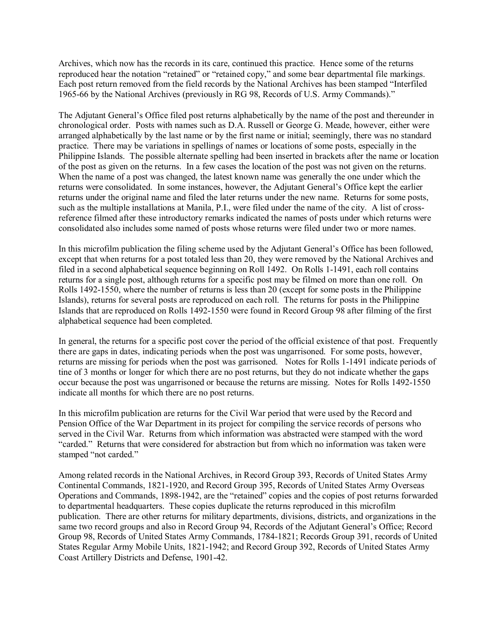Archives, which now has the records in its care, continued this practice. Hence some of the returns reproduced hear the notation "retained" or "retained copy," and some bear departmental file markings. Each post return removed from the field records by the National Archives has been stamped "Interfiled 1965-66 by the National Archives (previously in RG 98, Records of U.S. Army Commands)."

The Adjutant General's Office filed post returns alphabetically by the name of the post and thereunder in chronological order. Posts with names such as D.A. Russell or George G. Meade, however, either were arranged alphabetically by the last name or by the first name or initial; seemingly, there was no standard practice. There may be variations in spellings of names or locations of some posts, especially in the Philippine Islands. The possible alternate spelling had been inserted in brackets after the name or location of the post as given on the returns. In a few cases the location of the post was not given on the returns. When the name of a post was changed, the latest known name was generally the one under which the returns were consolidated. In some instances, however, the Adjutant General's Office kept the earlier returns under the original name and filed the later returns under the new name. Returns for some posts, such as the multiple installations at Manila, P.I., were filed under the name of the city. A list of crossreference filmed after these introductory remarks indicated the names of posts under which returns were consolidated also includes some named of posts whose returns were filed under two or more names.

In this microfilm publication the filing scheme used by the Adjutant General's Office has been followed, except that when returns for a post totaled less than 20, they were removed by the National Archives and filed in a second alphabetical sequence beginning on Roll 1492. On Rolls 1-1491, each roll contains returns for a single post, although returns for a specific post may be filmed on more than one roll. On Rolls 1492-1550, where the number of returns is less than 20 (except for some posts in the Philippine Islands), returns for several posts are reproduced on each roll. The returns for posts in the Philippine Islands that are reproduced on Rolls 1492-1550 were found in Record Group 98 after filming of the first alphabetical sequence had been completed.

In general, the returns for a specific post cover the period of the official existence of that post. Frequently there are gaps in dates, indicating periods when the post was ungarrisoned. For some posts, however, returns are missing for periods when the post was garrisoned. Notes for Rolls 1-1491 indicate periods of tine of 3 months or longer for which there are no post returns, but they do not indicate whether the gaps occur because the post was ungarrisoned or because the returns are missing. Notes for Rolls 1492-1550 indicate all months for which there are no post returns.

In this microfilm publication are returns for the Civil War period that were used by the Record and Pension Office of the War Department in its project for compiling the service records of persons who served in the Civil War. Returns from which information was abstracted were stamped with the word "carded." Returns that were considered for abstraction but from which no information was taken were stamped "not carded."

Among related records in the National Archives, in Record Group 393, Records of United States Army Continental Commands, 1821-1920, and Record Group 395, Records of United States Army Overseas Operations and Commands, 1898-1942, are the "retained" copies and the copies of post returns forwarded to departmental headquarters. These copies duplicate the returns reproduced in this microfilm publication. There are other returns for military departments, divisions, districts, and organizations in the same two record groups and also in Record Group 94, Records of the Adjutant General's Office; Record Group 98, Records of United States Army Commands, 1784-1821; Records Group 391, records of United States Regular Army Mobile Units, 1821-1942; and Record Group 392, Records of United States Army Coast Artillery Districts and Defense, 1901-42.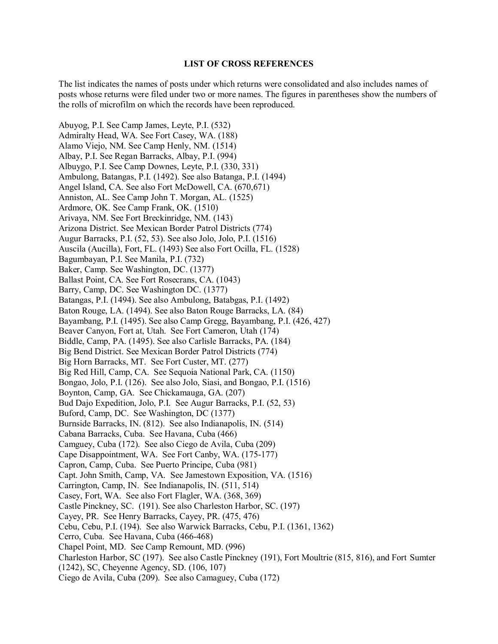## **LIST OF CROSS REFERENCES**

The list indicates the names of posts under which returns were consolidated and also includes names of posts whose returns were filed under two or more names. The figures in parentheses show the numbers of the rolls of microfilm on which the records have been reproduced.

Abuyog, P.I. See Camp James, Leyte, P.I. (532) Admiralty Head, WA. See Fort Casey, WA. (188) Alamo Viejo, NM. See Camp Henly, NM. (1514) Albay, P.I. See Regan Barracks, Albay, P.I. (994) Albuygo, P.I. See Camp Downes, Leyte, P.I. (330, 331) Ambulong, Batangas, P.I. (1492). See also Batanga, P.I. (1494) Angel Island, CA. See also Fort McDowell, CA. (670,671) Anniston, AL. See Camp John T. Morgan, AL. (1525) Ardmore, OK. See Camp Frank, OK. (1510) Arivaya, NM. See Fort Breckinridge, NM. (143) Arizona District. See Mexican Border Patrol Districts (774) Augur Barracks, P.I. (52, 53). See also Jolo, Jolo, P.I. (1516) Auscila (Aucilla), Fort, FL. (1493) See also Fort Ocilla, FL. (1528) Bagumbayan, P.I. See Manila, P.I. (732) Baker, Camp. See Washington, DC. (1377) Ballast Point, CA. See Fort Rosecrans, CA. (1043) Barry, Camp, DC. See Washington DC. (1377) Batangas, P.I. (1494). See also Ambulong, Batabgas, P.I. (1492) Baton Rouge, LA. (1494). See also Baton Rouge Barracks, LA. (84) Bayambang, P.I. (1495). See also Camp Gregg, Bayambang, P.I. (426, 427) Beaver Canyon, Fort at, Utah. See Fort Cameron, Utah (174) Biddle, Camp, PA. (1495). See also Carlisle Barracks, PA. (184) Big Bend District. See Mexican Border Patrol Districts (774) Big Horn Barracks, MT. See Fort Custer, MT. (277) Big Red Hill, Camp, CA. See Sequoia National Park, CA. (1150) Bongao, Jolo, P.I. (126). See also Jolo, Siasi, and Bongao, P.I. (1516) Boynton, Camp, GA. See Chickamauga, GA. (207) Bud Dajo Expedition, Jolo, P.I. See Augur Barracks, P.I. (52, 53) Buford, Camp, DC. See Washington, DC (1377) Burnside Barracks, IN. (812). See also Indianapolis, IN. (514) Cabana Barracks, Cuba. See Havana, Cuba (466) Camguey, Cuba (172). See also Ciego de Avila, Cuba (209) Cape Disappointment, WA. See Fort Canby, WA. (175-177) Capron, Camp, Cuba. See Puerto Principe, Cuba (981) Capt. John Smith, Camp, VA. See Jamestown Exposition, VA. (1516) Carrington, Camp, IN. See Indianapolis, IN. (511, 514) Casey, Fort, WA. See also Fort Flagler, WA. (368, 369) Castle Pinckney, SC. (191). See also Charleston Harbor, SC. (197) Cayey, PR. See Henry Barracks, Cayey, PR. (475, 476) Cebu, Cebu, P.I. (194). See also Warwick Barracks, Cebu, P.I. (1361, 1362) Cerro, Cuba. See Havana, Cuba (466-468) Chapel Point, MD. See Camp Remount, MD. (996) Charleston Harbor, SC (197). See also Castle Pinckney (191), Fort Moultrie (815, 816), and Fort Sumter (1242), SC, Cheyenne Agency, SD. (106, 107) Ciego de Avila, Cuba (209). See also Camaguey, Cuba (172)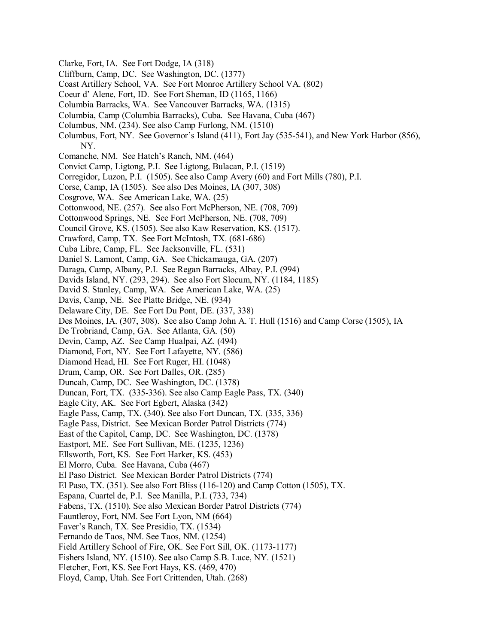- Clarke, Fort, IA. See Fort Dodge, IA (318)
- Cliffburn, Camp, DC. See Washington, DC. (1377)
- Coast Artillery School, VA. See Fort Monroe Artillery School VA. (802)
- Coeur d' Alene, Fort, ID. See Fort Sheman, ID (1165, 1166)
- Columbia Barracks, WA. See Vancouver Barracks, WA. (1315)
- Columbia, Camp (Columbia Barracks), Cuba. See Havana, Cuba (467)
- Columbus, NM. (234). See also Camp Furlong, NM. (1510)
- Columbus, Fort, NY. See Governor's Island (411), Fort Jay (535-541), and New York Harbor (856), NY.
- Comanche, NM. See Hatch's Ranch, NM. (464)
- Convict Camp, Ligtong, P.I. See Ligtong, Bulacan, P.I. (1519)
- Corregidor, Luzon, P.I. (1505). See also Camp Avery (60) and Fort Mills (780), P.I.
- Corse, Camp, IA (1505). See also Des Moines, IA (307, 308)
- Cosgrove, WA. See American Lake, WA. (25)
- Cottonwood, NE. (257). See also Fort McPherson, NE. (708, 709)
- Cottonwood Springs, NE. See Fort McPherson, NE. (708, 709)
- Council Grove, KS. (1505). See also Kaw Reservation, KS. (1517).
- Crawford, Camp, TX. See Fort McIntosh, TX. (681-686)
- Cuba Libre, Camp, FL. See Jacksonville, FL. (531)
- Daniel S. Lamont, Camp, GA. See Chickamauga, GA. (207)
- Daraga, Camp, Albany, P.I. See Regan Barracks, Albay, P.I. (994)
- Davids Island, NY. (293, 294). See also Fort Slocum, NY. (1184, 1185)
- David S. Stanley, Camp, WA. See American Lake, WA. (25)
- Davis, Camp, NE. See Platte Bridge, NE. (934)
- Delaware City, DE. See Fort Du Pont, DE. (337, 338)
- Des Moines, IA. (307, 308). See also Camp John A. T. Hull (1516) and Camp Corse (1505), IA
- De Trobriand, Camp, GA. See Atlanta, GA. (50)
- Devin, Camp, AZ. See Camp Hualpai, AZ. (494)
- Diamond, Fort, NY. See Fort Lafayette, NY. (586)
- Diamond Head, HI. See Fort Ruger, HI. (1048)
- Drum, Camp, OR. See Fort Dalles, OR. (285)
- Duncah, Camp, DC. See Washington, DC. (1378)
- Duncan, Fort, TX. (335-336). See also Camp Eagle Pass, TX. (340)
- Eagle City, AK. See Fort Egbert, Alaska (342)
- Eagle Pass, Camp, TX. (340). See also Fort Duncan, TX. (335, 336)
- Eagle Pass, District. See Mexican Border Patrol Districts (774)
- East of the Capitol, Camp, DC. See Washington, DC. (1378)
- Eastport, ME. See Fort Sullivan, ME. (1235, 1236)
- Ellsworth, Fort, KS. See Fort Harker, KS. (453)
- El Morro, Cuba. See Havana, Cuba (467)
- El Paso District. See Mexican Border Patrol Districts (774)
- El Paso, TX. (351). See also Fort Bliss (116-120) and Camp Cotton (1505), TX.
- Espana, Cuartel de, P.I. See Manilla, P.I. (733, 734)
- Fabens, TX. (1510). See also Mexican Border Patrol Districts (774)
- Fauntleroy, Fort, NM. See Fort Lyon, NM (664)
- Faver's Ranch, TX. See Presidio, TX. (1534)
- Fernando de Taos, NM. See Taos, NM. (1254)
- Field Artillery School of Fire, OK. See Fort Sill, OK. (1173-1177)
- Fishers Island, NY. (1510). See also Camp S.B. Luce, NY. (1521)
- Fletcher, Fort, KS. See Fort Hays, KS. (469, 470)
- Floyd, Camp, Utah. See Fort Crittenden, Utah. (268)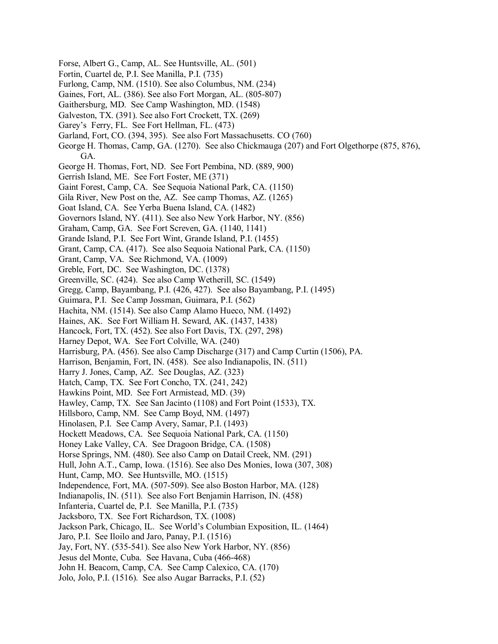- Forse, Albert G., Camp, AL. See Huntsville, AL. (501)
- Fortin, Cuartel de, P.I. See Manilla, P.I. (735)
- Furlong, Camp, NM. (1510). See also Columbus, NM. (234)
- Gaines, Fort, AL. (386). See also Fort Morgan, AL. (805-807)
- Gaithersburg, MD. See Camp Washington, MD. (1548)
- Galveston, TX. (391). See also Fort Crockett, TX. (269)
- Garey's Ferry, FL. See Fort Hellman, FL. (473)
- Garland, Fort, CO. (394, 395). See also Fort Massachusetts. CO (760)
- George H. Thomas, Camp, GA. (1270). See also Chickmauga (207) and Fort Olgethorpe (875, 876), GA.
- George H. Thomas, Fort, ND. See Fort Pembina, ND. (889, 900)
- Gerrish Island, ME. See Fort Foster, ME (371)
- Gaint Forest, Camp, CA. See Sequoia National Park, CA. (1150)
- Gila River, New Post on the, AZ. See camp Thomas, AZ. (1265)
- Goat Island, CA. See Yerba Buena Island, CA. (1482)
- Governors Island, NY. (411). See also New York Harbor, NY. (856)
- Graham, Camp, GA. See Fort Screven, GA. (1140, 1141)
- Grande Island, P.I. See Fort Wint, Grande Island, P.I. (1455)
- Grant, Camp, CA. (417). See also Sequoia National Park, CA. (1150)
- Grant, Camp, VA. See Richmond, VA. (1009)
- Greble, Fort, DC. See Washington, DC. (1378)
- Greenville, SC. (424). See also Camp Wetherill, SC. (1549)
- Gregg, Camp, Bayambang, P.I. (426, 427). See also Bayambang, P.I. (1495)
- Guimara, P.I. See Camp Jossman, Guimara, P.I. (562)
- Hachita, NM. (1514). See also Camp Alamo Hueco, NM. (1492)
- Haines, AK. See Fort William H. Seward, AK. (1437, 1438)
- Hancock, Fort, TX. (452). See also Fort Davis, TX. (297, 298)
- Harney Depot, WA. See Fort Colville, WA. (240)
- Harrisburg, PA. (456). See also Camp Discharge (317) and Camp Curtin (1506), PA.
- Harrison, Benjamin, Fort, IN. (458). See also Indianapolis, IN. (511)
- Harry J. Jones, Camp, AZ. See Douglas, AZ. (323)
- Hatch, Camp, TX. See Fort Concho, TX. (241, 242)
- Hawkins Point, MD. See Fort Armistead, MD. (39)
- Hawley, Camp, TX. See San Jacinto (1108) and Fort Point (1533), TX.
- Hillsboro, Camp, NM. See Camp Boyd, NM. (1497)
- Hinolasen, P.I. See Camp Avery, Samar, P.I. (1493)
- Hockett Meadows, CA. See Sequoia National Park, CA. (1150)
- Honey Lake Valley, CA. See Dragoon Bridge, CA. (1508)
- Horse Springs, NM. (480). See also Camp on Datail Creek, NM. (291)
- Hull, John A.T., Camp, Iowa. (1516). See also Des Monies, Iowa (307, 308)
- Hunt, Camp, MO. See Huntsville, MO. (1515)
- Independence, Fort, MA. (507-509). See also Boston Harbor, MA. (128)
- Indianapolis, IN. (511). See also Fort Benjamin Harrison, IN. (458)
- Infanteria, Cuartel de, P.I. See Manilla, P.I. (735)
- Jacksboro, TX. See Fort Richardson, TX. (1008)
- Jackson Park, Chicago, IL. See World's Columbian Exposition, IL. (1464)
- Jaro, P.I. See Iloilo and Jaro, Panay, P.I. (1516)
- Jay, Fort, NY. (535-541). See also New York Harbor, NY. (856)
- Jesus del Monte, Cuba. See Havana, Cuba (466-468)
- John H. Beacom, Camp, CA. See Camp Calexico, CA. (170)
- Jolo, Jolo, P.I. (1516). See also Augar Barracks, P.I. (52)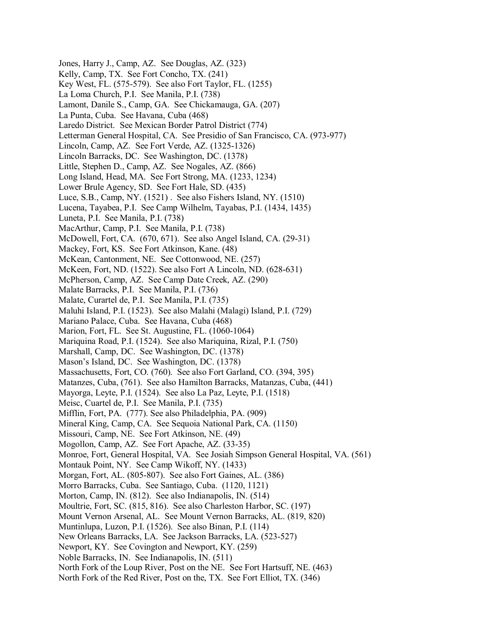Jones, Harry J., Camp, AZ. See Douglas, AZ. (323) Kelly, Camp, TX. See Fort Concho, TX. (241) Key West, FL. (575-579). See also Fort Taylor, FL. (1255) La Loma Church, P.I. See Manila, P.I. (738) Lamont, Danile S., Camp, GA. See Chickamauga, GA. (207) La Punta, Cuba. See Havana, Cuba (468) Laredo District. See Mexican Border Patrol District (774) Letterman General Hospital, CA. See Presidio of San Francisco, CA. (973-977) Lincoln, Camp, AZ. See Fort Verde, AZ. (1325-1326) Lincoln Barracks, DC. See Washington, DC. (1378) Little, Stephen D., Camp, AZ. See Nogales, AZ. (866) Long Island, Head, MA. See Fort Strong, MA. (1233, 1234) Lower Brule Agency, SD. See Fort Hale, SD. (435) Luce, S.B., Camp, NY. (1521) . See also Fishers Island, NY. (1510) Lucena, Tayabea, P.I. See Camp Wilhelm, Tayabas, P.I. (1434, 1435) Luneta, P.I. See Manila, P.I. (738) MacArthur, Camp, P.I. See Manila, P.I. (738) McDowell, Fort, CA. (670, 671). See also Angel Island, CA. (29-31) Mackey, Fort, KS. See Fort Atkinson, Kane. (48) McKean, Cantonment, NE. See Cottonwood, NE. (257) McKeen, Fort, ND. (1522). See also Fort A Lincoln, ND. (628-631) McPherson, Camp, AZ. See Camp Date Creek, AZ. (290) Malate Barracks, P.I. See Manila, P.I. (736) Malate, Curartel de, P.I. See Manila, P.I. (735) Maluhi Island, P.I. (1523). See also Malahi (Malagi) Island, P.I. (729) Mariano Palace, Cuba. See Havana, Cuba (468) Marion, Fort, FL. See St. Augustine, FL. (1060-1064) Mariquina Road, P.I. (1524). See also Mariquina, Rizal, P.I. (750) Marshall, Camp, DC. See Washington, DC. (1378) Mason's Island, DC. See Washington, DC. (1378) Massachusetts, Fort, CO. (760). See also Fort Garland, CO. (394, 395) Matanzes, Cuba, (761). See also Hamilton Barracks, Matanzas, Cuba, (441) Mayorga, Leyte, P.I. (1524). See also La Paz, Leyte, P.I. (1518) Meisc, Cuartel de, P.I. See Manila, P.I. (735) Mifflin, Fort, PA. (777). See also Philadelphia, PA. (909) Mineral King, Camp, CA. See Sequoia National Park, CA. (1150) Missouri, Camp, NE. See Fort Atkinson, NE. (49) Mogollon, Camp, AZ. See Fort Apache, AZ. (33-35) Monroe, Fort, General Hospital, VA. See Josiah Simpson General Hospital, VA. (561) Montauk Point, NY. See Camp Wikoff, NY. (1433) Morgan, Fort, AL. (805-807). See also Fort Gaines, AL. (386) Morro Barracks, Cuba. See Santiago, Cuba. (1120, 1121) Morton, Camp, IN. (812). See also Indianapolis, IN. (514) Moultrie, Fort, SC. (815, 816). See also Charleston Harbor, SC. (197) Mount Vernon Arsenal, AL. See Mount Vernon Barracks, AL. (819, 820) Muntinlupa, Luzon, P.I. (1526). See also Binan, P.I. (114) New Orleans Barracks, LA. See Jackson Barracks, LA. (523-527) Newport, KY. See Covington and Newport, KY. (259) Noble Barracks, IN. See Indianapolis, IN. (511) North Fork of the Loup River, Post on the NE. See Fort Hartsuff, NE. (463) North Fork of the Red River, Post on the, TX. See Fort Elliot, TX. (346)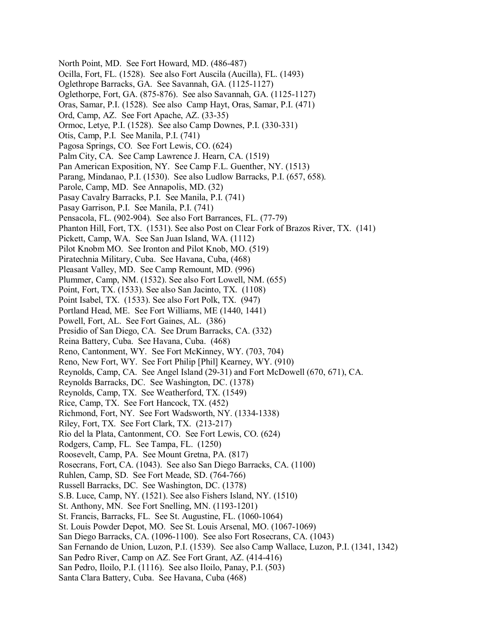- North Point, MD. See Fort Howard, MD. (486-487)
- Ocilla, Fort, FL. (1528). See also Fort Auscila (Aucilla), FL. (1493)
- Oglethrope Barracks, GA. See Savannah, GA. (1125-1127)
- Oglethorpe, Fort, GA. (875-876). See also Savannah, GA. (1125-1127)
- Oras, Samar, P.I. (1528). See also Camp Hayt, Oras, Samar, P.I. (471)
- Ord, Camp, AZ. See Fort Apache, AZ. (33-35)
- Ormoc, Letye, P.I. (1528). See also Camp Downes, P.I. (330-331)
- Otis, Camp, P.I. See Manila, P.I. (741)
- Pagosa Springs, CO. See Fort Lewis, CO. (624)
- Palm City, CA. See Camp Lawrence J. Hearn, CA. (1519)
- Pan American Exposition, NY. See Camp F.L. Guenther, NY. (1513)
- Parang, Mindanao, P.I. (1530). See also Ludlow Barracks, P.I. (657, 658).
- Parole, Camp, MD. See Annapolis, MD. (32)
- Pasay Cavalry Barracks, P.I. See Manila, P.I. (741)
- Pasay Garrison, P.I. See Manila, P.I. (741)
- Pensacola, FL. (902-904). See also Fort Barrances, FL. (77-79)
- Phanton Hill, Fort, TX. (1531). See also Post on Clear Fork of Brazos River, TX. (141)
- Pickett, Camp, WA. See San Juan Island, WA. (1112)
- Pilot Knobm MO. See Ironton and Pilot Knob, MO. (519)
- Piratechnia Military, Cuba. See Havana, Cuba, (468)
- Pleasant Valley, MD. See Camp Remount, MD. (996)
- Plummer, Camp, NM. (1532). See also Fort Lowell, NM. (655)
- Point, Fort, TX. (1533). See also San Jacinto, TX. (1108)
- Point Isabel, TX. (1533). See also Fort Polk, TX. (947)
- Portland Head, ME. See Fort Williams, ME (1440, 1441)
- Powell, Fort, AL. See Fort Gaines, AL. (386)
- Presidio of San Diego, CA. See Drum Barracks, CA. (332)
- Reina Battery, Cuba. See Havana, Cuba. (468)
- Reno, Cantonment, WY. See Fort McKinney, WY. (703, 704)
- Reno, New Fort, WY. See Fort Philip [Phil] Kearney, WY. (910)
- Reynolds, Camp, CA. See Angel Island (29-31) and Fort McDowell (670, 671), CA.
- Reynolds Barracks, DC. See Washington, DC. (1378)
- Reynolds, Camp, TX. See Weatherford, TX. (1549)
- Rice, Camp, TX. See Fort Hancock, TX. (452)
- Richmond, Fort, NY. See Fort Wadsworth, NY. (1334-1338)
- Riley, Fort, TX. See Fort Clark, TX. (213-217)
- Rio del la Plata, Cantonment, CO. See Fort Lewis, CO. (624)
- Rodgers, Camp, FL. See Tampa, FL. (1250)
- Roosevelt, Camp, PA. See Mount Gretna, PA. (817)
- Rosecrans, Fort, CA. (1043). See also San Diego Barracks, CA. (1100)
- Ruhlen, Camp, SD. See Fort Meade, SD. (764-766)
- Russell Barracks, DC. See Washington, DC. (1378)
- S.B. Luce, Camp, NY. (1521). See also Fishers Island, NY. (1510)
- St. Anthony, MN. See Fort Snelling, MN. (1193-1201)
- St. Francis, Barracks, FL. See St. Augustine, FL. (1060-1064)
- St. Louis Powder Depot, MO. See St. Louis Arsenal, MO. (1067-1069)
- San Diego Barracks, CA. (1096-1100). See also Fort Rosecrans, CA. (1043)
- San Fernando de Union, Luzon, P.I. (1539). See also Camp Wallace, Luzon, P.I. (1341, 1342)
- San Pedro River, Camp on AZ. See Fort Grant, AZ. (414-416)
- San Pedro, Iloilo, P.I. (1116). See also Iloilo, Panay, P.I. (503)
- Santa Clara Battery, Cuba. See Havana, Cuba (468)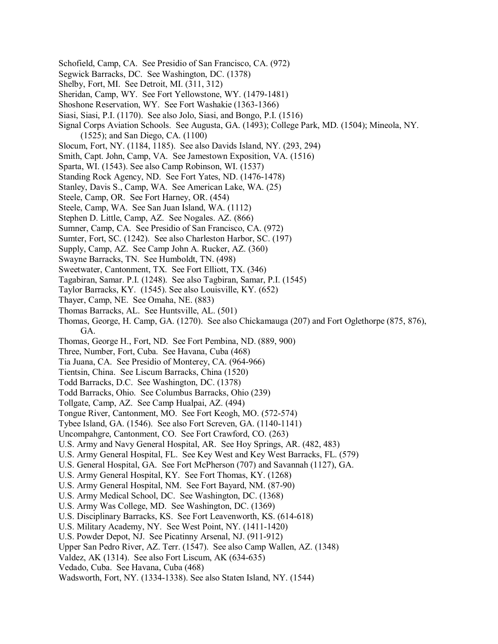- Schofield, Camp, CA. See Presidio of San Francisco, CA. (972)
- Segwick Barracks, DC. See Washington, DC. (1378)
- Shelby, Fort, MI. See Detroit, MI. (311, 312)
- Sheridan, Camp, WY. See Fort Yellowstone, WY. (1479-1481)
- Shoshone Reservation, WY. See Fort Washakie (1363-1366)
- Siasi, Siasi, P.I. (1170). See also Jolo, Siasi, and Bongo, P.I. (1516)
- Signal Corps Aviation Schools. See Augusta, GA. (1493); College Park, MD. (1504); Mineola, NY. (1525); and San Diego, CA. (1100)
- Slocum, Fort, NY. (1184, 1185). See also Davids Island, NY. (293, 294)
- Smith, Capt. John, Camp, VA. See Jamestown Exposition, VA. (1516)
- Sparta, WI. (1543). See also Camp Robinson, WI. (1537)
- Standing Rock Agency, ND. See Fort Yates, ND. (1476-1478)
- Stanley, Davis S., Camp, WA. See American Lake, WA. (25)
- Steele, Camp, OR. See Fort Harney, OR. (454)
- Steele, Camp, WA. See San Juan Island, WA. (1112)
- Stephen D. Little, Camp, AZ. See Nogales. AZ. (866)
- Sumner, Camp, CA. See Presidio of San Francisco, CA. (972)
- Sumter, Fort, SC. (1242). See also Charleston Harbor, SC. (197)
- Supply, Camp, AZ. See Camp John A. Rucker, AZ. (360)
- Swayne Barracks, TN. See Humboldt, TN. (498)
- Sweetwater, Cantonment, TX. See Fort Elliott, TX. (346)
- Tagabiran, Samar. P.I. (1248). See also Tagbiran, Samar, P.I. (1545)
- Taylor Barracks, KY. (1545). See also Louisville, KY. (652)
- Thayer, Camp, NE. See Omaha, NE. (883)
- Thomas Barracks, AL. See Huntsville, AL. (501)
- Thomas, George, H. Camp, GA. (1270). See also Chickamauga (207) and Fort Oglethorpe (875, 876), GA.
- 
- Thomas, George H., Fort, ND. See Fort Pembina, ND. (889, 900)
- Three, Number, Fort, Cuba. See Havana, Cuba (468)
- Tia Juana, CA. See Presidio of Monterey, CA. (964-966)
- Tientsin, China. See Liscum Barracks, China (1520)
- Todd Barracks, D.C. See Washington, DC. (1378)
- Todd Barracks, Ohio. See Columbus Barracks, Ohio (239)
- Tollgate, Camp, AZ. See Camp Hualpai, AZ. (494)
- Tongue River, Cantonment, MO. See Fort Keogh, MO. (572-574)
- Tybee Island, GA. (1546). See also Fort Screven, GA. (1140-1141)
- Uncompahgre, Cantonment, CO. See Fort Crawford, CO. (263)
- U.S. Army and Navy General Hospital, AR. See Hoy Springs, AR. (482, 483)
- U.S. Army General Hospital, FL. See Key West and Key West Barracks, FL. (579)
- U.S. General Hospital, GA. See Fort McPherson (707) and Savannah (1127), GA.
- U.S. Army General Hospital, KY. See Fort Thomas, KY. (1268)
- U.S. Army General Hospital, NM. See Fort Bayard, NM. (87-90)
- U.S. Army Medical School, DC. See Washington, DC. (1368)
- U.S. Army Was College, MD. See Washington, DC. (1369)
- U.S. Disciplinary Barracks, KS. See Fort Leavenworth, KS. (614-618)
- U.S. Military Academy, NY. See West Point, NY. (1411-1420)
- U.S. Powder Depot, NJ. See Picatinny Arsenal, NJ. (911-912)
- Upper San Pedro River, AZ. Terr. (1547). See also Camp Wallen, AZ. (1348)
- Valdez, AK (1314). See also Fort Liscum, AK (634-635)
- Vedado, Cuba. See Havana, Cuba (468)
- Wadsworth, Fort, NY. (1334-1338). See also Staten Island, NY. (1544)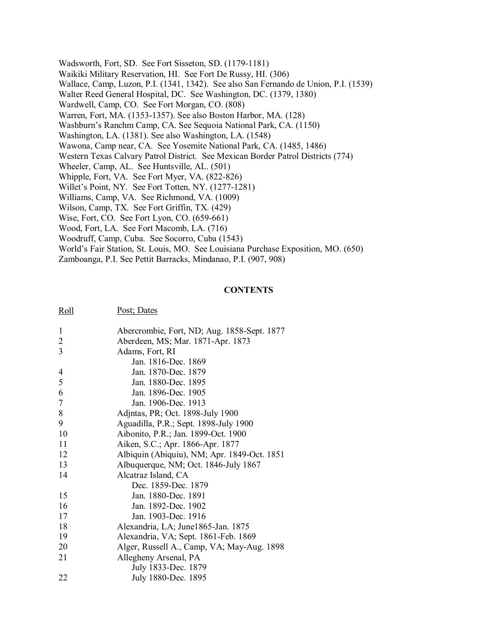Wadsworth, Fort, SD. See Fort Sisseton, SD. (1179-1181) Waikiki Military Reservation, HI. See Fort De Russy, HI. (306) Wallace, Camp, Luzon, P.I. (1341, 1342). See also San Fernando de Union, P.I. (1539) Walter Reed General Hospital, DC. See Washington, DC. (1379, 1380) Wardwell, Camp, CO. See Fort Morgan, CO. (808) Warren, Fort, MA. (1353-1357). See also Boston Harbor, MA. (128) Washburn's Ranchm Camp, CA. See Sequoia National Park, CA. (1150) Washington, LA. (1381). See also Washington, LA. (1548) Wawona, Camp near, CA. See Yosemite National Park, CA. (1485, 1486) Western Texas Calvary Patrol District. See Mexican Border Patrol Districts (774) Wheeler, Camp, AL. See Huntsville, AL. (501) Whipple, Fort, VA. See Fort Myer, VA. (822-826) Willet's Point, NY. See Fort Totten, NY. (1277-1281) Williams, Camp, VA. See Richmond, VA. (1009) Wilson, Camp, TX. See Fort Griffin, TX. (429) Wise, Fort, CO. See Fort Lyon, CO. (659-661) Wood, Fort, LA. See Fort Macomb, LA. (716) Woodruff, Camp, Cuba. See Socorro, Cuba (1543) World's Fair Station, St. Louis, MO. See Louisiana Purchase Exposition, MO. (650) Zamboanga, P.I. See Pettit Barracks, Mindanao, P.I. (907, 908)

## **CONTENTS**

| 1              | Abercrombie, Fort, ND; Aug. 1858-Sept. 1877 |
|----------------|---------------------------------------------|
| $\overline{2}$ | Aberdeen, MS; Mar. 1871-Apr. 1873           |
| 3              | Adams, Fort, RI                             |
|                | Jan. 1816-Dec. 1869                         |
| $\overline{4}$ | Jan. 1870-Dec. 1879                         |
| 5              | Jan. 1880-Dec. 1895                         |
| 6              | Jan. 1896-Dec. 1905                         |
| 7              | Jan. 1906-Dec. 1913                         |
| 8              | Adjntas, PR; Oct. 1898-July 1900            |
| 9              | Aguadilla, P.R.; Sept. 1898-July 1900       |
| 10             | Aibonito, P.R.; Jan. 1899-Oct. 1900         |
| 11             | Aiken, S.C.; Apr. 1866-Apr. 1877            |
| 12             | Albiquin (Abiquiu), NM; Apr. 1849-Oct. 1851 |
| 13             | Albuquerque, NM; Oct. 1846-July 1867        |
| 14             | Alcatraz Island, CA                         |
|                | Dec. 1859-Dec. 1879                         |
| 15             | Jan. 1880-Dec. 1891                         |
| 16             | Jan. 1892-Dec. 1902                         |
| 17             | Jan. 1903-Dec. 1916                         |
| 18             | Alexandria, LA; June1865-Jan. 1875          |
| 19             | Alexandria, VA; Sept. 1861-Feb. 1869        |
| 20             | Alger, Russell A., Camp, VA; May-Aug. 1898  |
| 21             | Allegheny Arsenal, PA                       |
|                | July 1833-Dec. 1879                         |
| 22             | July 1880-Dec. 1895                         |
|                |                                             |

Roll Post; Dates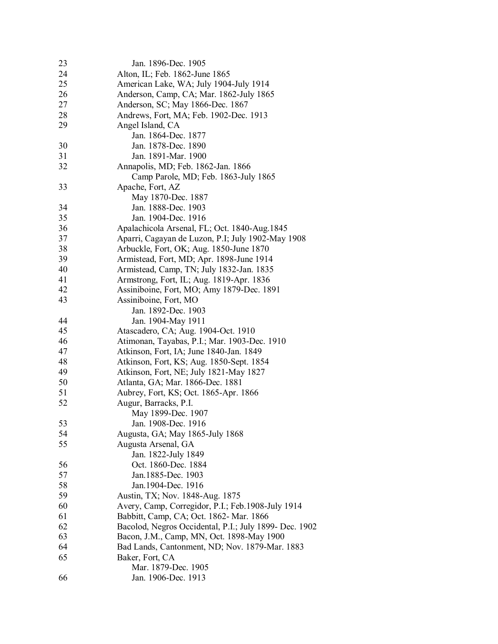| 23 | Jan. 1896-Dec. 1905                                    |
|----|--------------------------------------------------------|
| 24 | Alton, IL; Feb. 1862-June 1865                         |
| 25 | American Lake, WA; July 1904-July 1914                 |
| 26 | Anderson, Camp, CA; Mar. 1862-July 1865                |
| 27 | Anderson, SC; May 1866-Dec. 1867                       |
| 28 | Andrews, Fort, MA; Feb. 1902-Dec. 1913                 |
| 29 | Angel Island, CA                                       |
|    | Jan. 1864-Dec. 1877                                    |
| 30 | Jan. 1878-Dec. 1890                                    |
| 31 | Jan. 1891-Mar. 1900                                    |
| 32 | Annapolis, MD; Feb. 1862-Jan. 1866                     |
|    | Camp Parole, MD; Feb. 1863-July 1865                   |
| 33 | Apache, Fort, AZ                                       |
|    | May 1870-Dec. 1887                                     |
| 34 | Jan. 1888-Dec. 1903                                    |
| 35 | Jan. 1904-Dec. 1916                                    |
| 36 | Apalachicola Arsenal, FL; Oct. 1840-Aug.1845           |
| 37 | Aparri, Cagayan de Luzon, P.I; July 1902-May 1908      |
| 38 | Arbuckle, Fort, OK; Aug. 1850-June 1870                |
| 39 | Armistead, Fort, MD; Apr. 1898-June 1914               |
| 40 | Armistead, Camp, TN; July 1832-Jan. 1835               |
| 41 | Armstrong, Fort, IL; Aug. 1819-Apr. 1836               |
| 42 | Assiniboine, Fort, MO; Amy 1879-Dec. 1891              |
| 43 | Assiniboine, Fort, MO                                  |
|    | Jan. 1892-Dec. 1903                                    |
| 44 | Jan. 1904-May 1911                                     |
| 45 | Atascadero, CA; Aug. 1904-Oct. 1910                    |
| 46 | Atimonan, Tayabas, P.I.; Mar. 1903-Dec. 1910           |
| 47 | Atkinson, Fort, IA; June 1840-Jan. 1849                |
| 48 | Atkinson, Fort, KS; Aug. 1850-Sept. 1854               |
| 49 | Atkinson, Fort, NE; July 1821-May 1827                 |
| 50 | Atlanta, GA; Mar. 1866-Dec. 1881                       |
| 51 | Aubrey, Fort, KS; Oct. 1865-Apr. 1866                  |
| 52 | Augur, Barracks, P.I.                                  |
|    | May 1899-Dec. 1907                                     |
| 53 | Jan. 1908-Dec. 1916                                    |
| 54 | Augusta, GA; May 1865-July 1868                        |
| 55 | Augusta Arsenal, GA                                    |
|    | Jan. 1822-July 1849                                    |
| 56 | Oct. 1860-Dec. 1884                                    |
| 57 | Jan. 1885-Dec. 1903                                    |
| 58 | Jan. 1904-Dec. 1916                                    |
| 59 | Austin, TX; Nov. 1848-Aug. 1875                        |
| 60 | Avery, Camp, Corregidor, P.I.; Feb.1908-July 1914      |
| 61 | Babbitt, Camp, CA; Oct. 1862- Mar. 1866                |
| 62 | Bacolod, Negros Occidental, P.I.; July 1899- Dec. 1902 |
| 63 | Bacon, J.M., Camp, MN, Oct. 1898-May 1900              |
| 64 | Bad Lands, Cantonment, ND; Nov. 1879-Mar. 1883         |
| 65 | Baker, Fort, CA                                        |
|    | Mar. 1879-Dec. 1905                                    |
| 66 | Jan. 1906-Dec. 1913                                    |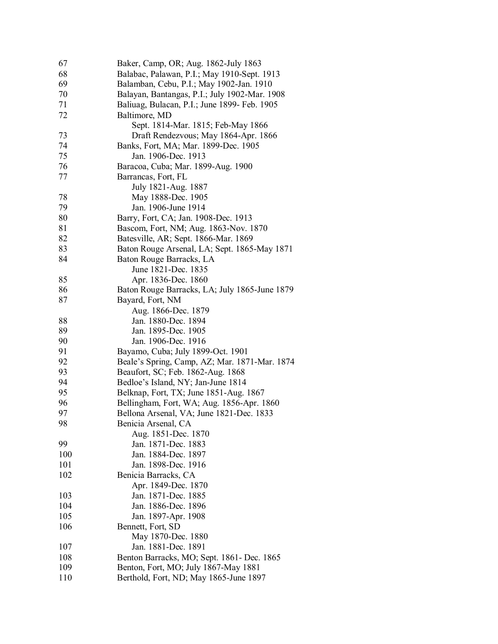| 67  | Baker, Camp, OR; Aug. 1862-July 1863          |
|-----|-----------------------------------------------|
| 68  | Balabac, Palawan, P.I.; May 1910-Sept. 1913   |
| 69  | Balamban, Cebu, P.I.; May 1902-Jan. 1910      |
| 70  | Balayan, Bantangas, P.I.; July 1902-Mar. 1908 |
| 71  | Baliuag, Bulacan, P.I.; June 1899- Feb. 1905  |
| 72  | Baltimore, MD                                 |
|     | Sept. 1814-Mar. 1815; Feb-May 1866            |
| 73  | Draft Rendezvous; May 1864-Apr. 1866          |
| 74  | Banks, Fort, MA; Mar. 1899-Dec. 1905          |
| 75  | Jan. 1906-Dec. 1913                           |
| 76  | Baracoa, Cuba; Mar. 1899-Aug. 1900            |
| 77  | Barrancas, Fort, FL                           |
|     | July 1821-Aug. 1887                           |
| 78  | May 1888-Dec. 1905                            |
| 79  | Jan. 1906-June 1914                           |
| 80  | Barry, Fort, CA; Jan. 1908-Dec. 1913          |
| 81  | Bascom, Fort, NM; Aug. 1863-Nov. 1870         |
| 82  | Batesville, AR; Sept. 1866-Mar. 1869          |
| 83  | Baton Rouge Arsenal, LA; Sept. 1865-May 1871  |
| 84  | Baton Rouge Barracks, LA                      |
|     | June 1821-Dec. 1835                           |
| 85  | Apr. 1836-Dec. 1860                           |
| 86  | Baton Rouge Barracks, LA; July 1865-June 1879 |
| 87  | Bayard, Fort, NM                              |
|     | Aug. 1866-Dec. 1879                           |
| 88  | Jan. 1880-Dec. 1894                           |
| 89  | Jan. 1895-Dec. 1905                           |
| 90  | Jan. 1906-Dec. 1916                           |
| 91  | Bayamo, Cuba; July 1899-Oct. 1901             |
| 92  | Beale's Spring, Camp, AZ; Mar. 1871-Mar. 1874 |
| 93  | Beaufort, SC; Feb. 1862-Aug. 1868             |
| 94  | Bedloe's Island, NY; Jan-June 1814            |
| 95  | Belknap, Fort, TX; June 1851-Aug. 1867        |
| 96  | Bellingham, Fort, WA; Aug. 1856-Apr. 1860     |
| 97  | Bellona Arsenal, VA; June 1821-Dec. 1833      |
| 98  | Benicia Arsenal, CA                           |
|     | Aug. 1851-Dec. 1870                           |
| 99  | Jan. 1871-Dec. 1883                           |
| 100 | Jan. 1884-Dec. 1897                           |
| 101 | Jan. 1898-Dec. 1916                           |
| 102 | Benicia Barracks, CA                          |
|     | Apr. 1849-Dec. 1870                           |
| 103 | Jan. 1871-Dec. 1885                           |
| 104 | Jan. 1886-Dec. 1896                           |
| 105 | Jan. 1897-Apr. 1908                           |
| 106 | Bennett, Fort, SD                             |
|     | May 1870-Dec. 1880                            |
| 107 | Jan. 1881-Dec. 1891                           |
| 108 | Benton Barracks, MO; Sept. 1861- Dec. 1865    |
| 109 | Benton, Fort, MO; July 1867-May 1881          |
| 110 | Berthold, Fort, ND; May 1865-June 1897        |
|     |                                               |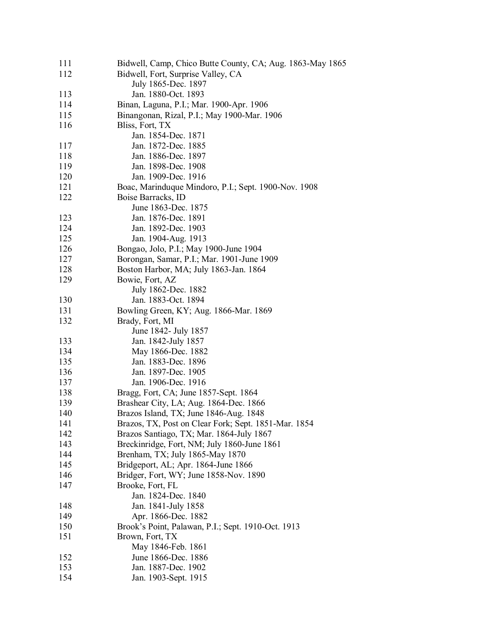| 111 | Bidwell, Camp, Chico Butte County, CA; Aug. 1863-May 1865 |
|-----|-----------------------------------------------------------|
| 112 | Bidwell, Fort, Surprise Valley, CA                        |
|     | July 1865-Dec. 1897                                       |
| 113 | Jan. 1880-Oct. 1893                                       |
| 114 | Binan, Laguna, P.I.; Mar. 1900-Apr. 1906                  |
| 115 | Binangonan, Rizal, P.I.; May 1900-Mar. 1906               |
| 116 | Bliss, Fort, TX                                           |
|     | Jan. 1854-Dec. 1871                                       |
| 117 | Jan. 1872-Dec. 1885                                       |
| 118 | Jan. 1886-Dec. 1897                                       |
| 119 | Jan. 1898-Dec. 1908                                       |
| 120 | Jan. 1909-Dec. 1916                                       |
| 121 | Boac, Marinduque Mindoro, P.I.; Sept. 1900-Nov. 1908      |
|     |                                                           |
| 122 | Boise Barracks, ID                                        |
|     | June 1863-Dec. 1875                                       |
| 123 | Jan. 1876-Dec. 1891                                       |
| 124 | Jan. 1892-Dec. 1903                                       |
| 125 | Jan. 1904-Aug. 1913                                       |
| 126 | Bongao, Jolo, P.I.; May 1900-June 1904                    |
| 127 | Borongan, Samar, P.I.; Mar. 1901-June 1909                |
| 128 | Boston Harbor, MA; July 1863-Jan. 1864                    |
| 129 | Bowie, Fort, AZ                                           |
|     | July 1862-Dec. 1882                                       |
| 130 | Jan. 1883-Oct. 1894                                       |
| 131 | Bowling Green, KY; Aug. 1866-Mar. 1869                    |
| 132 | Brady, Fort, MI                                           |
|     | June 1842- July 1857                                      |
| 133 | Jan. 1842-July 1857                                       |
| 134 | May 1866-Dec. 1882                                        |
| 135 | Jan. 1883-Dec. 1896                                       |
| 136 | Jan. 1897-Dec. 1905                                       |
| 137 | Jan. 1906-Dec. 1916                                       |
| 138 | Bragg, Fort, CA; June 1857-Sept. 1864                     |
| 139 | Brashear City, LA; Aug. 1864-Dec. 1866                    |
| 140 | Brazos Island, TX; June 1846-Aug. 1848                    |
| 141 | Brazos, TX, Post on Clear Fork; Sept. 1851-Mar. 1854      |
| 142 | Brazos Santiago, TX; Mar. 1864-July 1867                  |
| 143 | Breckinridge, Fort, NM; July 1860-June 1861               |
| 144 | Brenham, TX; July 1865-May 1870                           |
| 145 | Bridgeport, AL; Apr. 1864-June 1866                       |
| 146 | Bridger, Fort, WY; June 1858-Nov. 1890                    |
|     |                                                           |
| 147 | Brooke, Fort, FL                                          |
|     | Jan. 1824-Dec. 1840                                       |
| 148 | Jan. 1841-July 1858                                       |
| 149 | Apr. 1866-Dec. 1882                                       |
| 150 | Brook's Point, Palawan, P.I.; Sept. 1910-Oct. 1913        |
| 151 | Brown, Fort, TX                                           |
|     | May 1846-Feb. 1861                                        |
| 152 | June 1866-Dec. 1886                                       |
| 153 | Jan. 1887-Dec. 1902                                       |
| 154 | Jan. 1903-Sept. 1915                                      |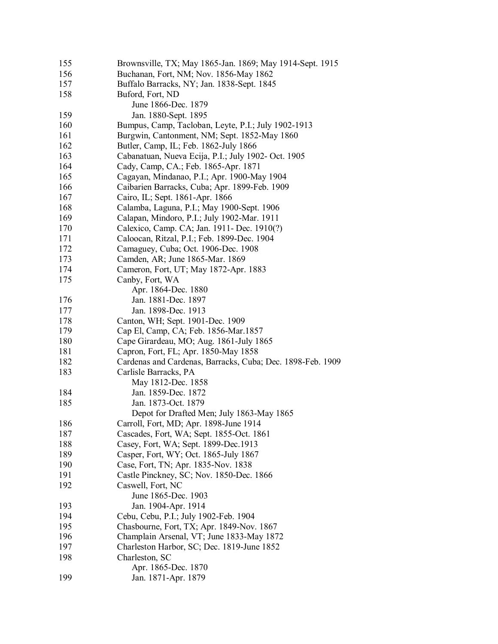| 155 | Brownsville, TX; May 1865-Jan. 1869; May 1914-Sept. 1915   |
|-----|------------------------------------------------------------|
| 156 | Buchanan, Fort, NM; Nov. 1856-May 1862                     |
| 157 | Buffalo Barracks, NY; Jan. 1838-Sept. 1845                 |
| 158 | Buford, Fort, ND                                           |
|     | June 1866-Dec. 1879                                        |
| 159 | Jan. 1880-Sept. 1895                                       |
| 160 | Bumpus, Camp, Tacloban, Leyte, P.I.; July 1902-1913        |
| 161 | Burgwin, Cantonment, NM; Sept. 1852-May 1860               |
| 162 | Butler, Camp, IL; Feb. 1862-July 1866                      |
| 163 | Cabanatuan, Nueva Ecija, P.I.; July 1902- Oct. 1905        |
| 164 | Cady, Camp, CA.; Feb. 1865-Apr. 1871                       |
| 165 | Cagayan, Mindanao, P.I.; Apr. 1900-May 1904                |
| 166 | Caibarien Barracks, Cuba; Apr. 1899-Feb. 1909              |
| 167 | Cairo, IL; Sept. 1861-Apr. 1866                            |
| 168 | Calamba, Laguna, P.I.; May 1900-Sept. 1906                 |
| 169 | Calapan, Mindoro, P.I.; July 1902-Mar. 1911                |
| 170 | Calexico, Camp. CA; Jan. 1911- Dec. 1910(?)                |
| 171 | Caloocan, Ritzal, P.I.; Feb. 1899-Dec. 1904                |
| 172 | Camaguey, Cuba; Oct. 1906-Dec. 1908                        |
| 173 | Camden, AR; June 1865-Mar. 1869                            |
| 174 | Cameron, Fort, UT; May 1872-Apr. 1883                      |
| 175 | Canby, Fort, WA                                            |
|     | Apr. 1864-Dec. 1880                                        |
| 176 | Jan. 1881-Dec. 1897                                        |
| 177 | Jan. 1898-Dec. 1913                                        |
| 178 | Canton, WH; Sept. 1901-Dec. 1909                           |
| 179 | Cap El, Camp, CA; Feb. 1856-Mar.1857                       |
| 180 | Cape Girardeau, MO; Aug. 1861-July 1865                    |
| 181 | Capron, Fort, FL; Apr. 1850-May 1858                       |
| 182 | Cardenas and Cardenas, Barracks, Cuba; Dec. 1898-Feb. 1909 |
| 183 | Carlisle Barracks, PA                                      |
|     | May 1812-Dec. 1858                                         |
| 184 | Jan. 1859-Dec. 1872                                        |
| 185 | Jan. 1873-Oct. 1879                                        |
|     | Depot for Drafted Men; July 1863-May 1865                  |
| 186 | Carroll, Fort, MD; Apr. 1898-June 1914                     |
| 187 | Cascades, Fort, WA; Sept. 1855-Oct. 1861                   |
| 188 | Casey, Fort, WA; Sept. 1899-Dec.1913                       |
| 189 | Casper, Fort, WY; Oct. 1865-July 1867                      |
| 190 | Case, Fort, TN; Apr. 1835-Nov. 1838                        |
| 191 | Castle Pinckney, SC; Nov. 1850-Dec. 1866                   |
| 192 | Caswell, Fort, NC                                          |
|     | June 1865-Dec. 1903                                        |
| 193 | Jan. 1904-Apr. 1914                                        |
| 194 | Cebu, Cebu, P.I.; July 1902-Feb. 1904                      |
| 195 | Chasbourne, Fort, TX; Apr. 1849-Nov. 1867                  |
| 196 | Champlain Arsenal, VT; June 1833-May 1872                  |
| 197 | Charleston Harbor, SC; Dec. 1819-June 1852                 |
| 198 | Charleston, SC                                             |
|     | Apr. 1865-Dec. 1870                                        |
| 199 | Jan. 1871-Apr. 1879                                        |
|     |                                                            |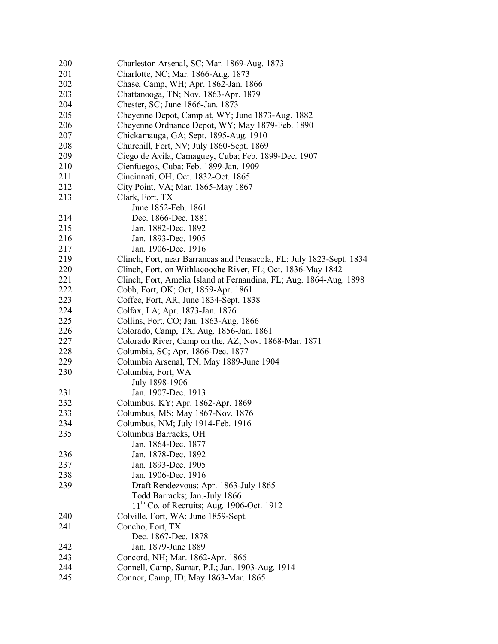| 200<br>Charleston Arsenal, SC; Mar. 1869-Aug. 1873<br>201<br>Charlotte, NC; Mar. 1866-Aug. 1873<br>202<br>Chase, Camp, WH; Apr. 1862-Jan. 1866<br>203<br>Chattanooga, TN; Nov. 1863-Apr. 1879<br>204<br>Chester, SC; June 1866-Jan. 1873<br>205<br>Cheyenne Depot, Camp at, WY; June 1873-Aug. 1882<br>206<br>Cheyenne Ordnance Depot, WY; May 1879-Feb. 1890<br>207<br>Chickamauga, GA; Sept. 1895-Aug. 1910<br>208<br>Churchill, Fort, NV; July 1860-Sept. 1869<br>209<br>Ciego de Avila, Camaguey, Cuba; Feb. 1899-Dec. 1907<br>210<br>Cienfuegos, Cuba; Feb. 1899-Jan. 1909<br>211<br>Cincinnati, OH; Oct. 1832-Oct. 1865<br>212<br>City Point, VA; Mar. 1865-May 1867<br>213<br>Clark, Fort, TX<br>June 1852-Feb. 1861<br>214<br>Dec. 1866-Dec. 1881<br>215<br>Jan. 1882-Dec. 1892<br>216<br>Jan. 1893-Dec. 1905<br>217<br>Jan. 1906-Dec. 1916<br>219<br>Clinch, Fort, near Barrancas and Pensacola, FL; July 1823-Sept. 1834<br>220<br>Clinch, Fort, on Withlacooche River, FL; Oct. 1836-May 1842<br>221<br>Clinch, Fort, Amelia Island at Fernandina, FL; Aug. 1864-Aug. 1898<br>222<br>Cobb, Fort, OK; Oct, 1859-Apr. 1861<br>223<br>Coffee, Fort, AR; June 1834-Sept. 1838<br>224<br>Colfax, LA; Apr. 1873-Jan. 1876<br>225<br>Collins, Fort, CO; Jan. 1863-Aug. 1866<br>226<br>Colorado, Camp, TX; Aug. 1856-Jan. 1861<br>227<br>Colorado River, Camp on the, AZ; Nov. 1868-Mar. 1871<br>228<br>Columbia, SC; Apr. 1866-Dec. 1877<br>229<br>Columbia Arsenal, TN; May 1889-June 1904<br>230<br>Columbia, Fort, WA<br>July 1898-1906<br>231<br>Jan. 1907-Dec. 1913<br>232<br>Columbus, KY; Apr. 1862-Apr. 1869<br>233<br>Columbus, MS; May 1867-Nov. 1876<br>Columbus, NM; July 1914-Feb. 1916<br>234<br>235<br>Columbus Barracks, OH<br>Jan. 1864-Dec. 1877<br>Jan. 1878-Dec. 1892<br>236<br>237<br>Jan. 1893-Dec. 1905<br>238<br>Jan. 1906-Dec. 1916<br>239<br>Draft Rendezvous; Apr. 1863-July 1865<br>Todd Barracks; Jan.-July 1866<br>$11th$ Co. of Recruits; Aug. 1906-Oct. 1912<br>Colville, Fort, WA; June 1859-Sept.<br>240<br>241<br>Concho, Fort, TX<br>Dec. 1867-Dec. 1878<br>Jan. 1879-June 1889<br>242<br>243<br>Concord, NH; Mar. 1862-Apr. 1866<br>244<br>Connell, Camp, Samar, P.I.; Jan. 1903-Aug. 1914 |     |                                      |
|-------------------------------------------------------------------------------------------------------------------------------------------------------------------------------------------------------------------------------------------------------------------------------------------------------------------------------------------------------------------------------------------------------------------------------------------------------------------------------------------------------------------------------------------------------------------------------------------------------------------------------------------------------------------------------------------------------------------------------------------------------------------------------------------------------------------------------------------------------------------------------------------------------------------------------------------------------------------------------------------------------------------------------------------------------------------------------------------------------------------------------------------------------------------------------------------------------------------------------------------------------------------------------------------------------------------------------------------------------------------------------------------------------------------------------------------------------------------------------------------------------------------------------------------------------------------------------------------------------------------------------------------------------------------------------------------------------------------------------------------------------------------------------------------------------------------------------------------------------------------------------------------------------------------------------------------------------------------------------------------------------------------------------------------------------------------------------------------------------------------------------------------------------------------------------------------------------------------------------------|-----|--------------------------------------|
|                                                                                                                                                                                                                                                                                                                                                                                                                                                                                                                                                                                                                                                                                                                                                                                                                                                                                                                                                                                                                                                                                                                                                                                                                                                                                                                                                                                                                                                                                                                                                                                                                                                                                                                                                                                                                                                                                                                                                                                                                                                                                                                                                                                                                                     |     |                                      |
|                                                                                                                                                                                                                                                                                                                                                                                                                                                                                                                                                                                                                                                                                                                                                                                                                                                                                                                                                                                                                                                                                                                                                                                                                                                                                                                                                                                                                                                                                                                                                                                                                                                                                                                                                                                                                                                                                                                                                                                                                                                                                                                                                                                                                                     |     |                                      |
|                                                                                                                                                                                                                                                                                                                                                                                                                                                                                                                                                                                                                                                                                                                                                                                                                                                                                                                                                                                                                                                                                                                                                                                                                                                                                                                                                                                                                                                                                                                                                                                                                                                                                                                                                                                                                                                                                                                                                                                                                                                                                                                                                                                                                                     |     |                                      |
|                                                                                                                                                                                                                                                                                                                                                                                                                                                                                                                                                                                                                                                                                                                                                                                                                                                                                                                                                                                                                                                                                                                                                                                                                                                                                                                                                                                                                                                                                                                                                                                                                                                                                                                                                                                                                                                                                                                                                                                                                                                                                                                                                                                                                                     |     |                                      |
|                                                                                                                                                                                                                                                                                                                                                                                                                                                                                                                                                                                                                                                                                                                                                                                                                                                                                                                                                                                                                                                                                                                                                                                                                                                                                                                                                                                                                                                                                                                                                                                                                                                                                                                                                                                                                                                                                                                                                                                                                                                                                                                                                                                                                                     |     |                                      |
|                                                                                                                                                                                                                                                                                                                                                                                                                                                                                                                                                                                                                                                                                                                                                                                                                                                                                                                                                                                                                                                                                                                                                                                                                                                                                                                                                                                                                                                                                                                                                                                                                                                                                                                                                                                                                                                                                                                                                                                                                                                                                                                                                                                                                                     |     |                                      |
|                                                                                                                                                                                                                                                                                                                                                                                                                                                                                                                                                                                                                                                                                                                                                                                                                                                                                                                                                                                                                                                                                                                                                                                                                                                                                                                                                                                                                                                                                                                                                                                                                                                                                                                                                                                                                                                                                                                                                                                                                                                                                                                                                                                                                                     |     |                                      |
|                                                                                                                                                                                                                                                                                                                                                                                                                                                                                                                                                                                                                                                                                                                                                                                                                                                                                                                                                                                                                                                                                                                                                                                                                                                                                                                                                                                                                                                                                                                                                                                                                                                                                                                                                                                                                                                                                                                                                                                                                                                                                                                                                                                                                                     |     |                                      |
|                                                                                                                                                                                                                                                                                                                                                                                                                                                                                                                                                                                                                                                                                                                                                                                                                                                                                                                                                                                                                                                                                                                                                                                                                                                                                                                                                                                                                                                                                                                                                                                                                                                                                                                                                                                                                                                                                                                                                                                                                                                                                                                                                                                                                                     |     |                                      |
|                                                                                                                                                                                                                                                                                                                                                                                                                                                                                                                                                                                                                                                                                                                                                                                                                                                                                                                                                                                                                                                                                                                                                                                                                                                                                                                                                                                                                                                                                                                                                                                                                                                                                                                                                                                                                                                                                                                                                                                                                                                                                                                                                                                                                                     |     |                                      |
|                                                                                                                                                                                                                                                                                                                                                                                                                                                                                                                                                                                                                                                                                                                                                                                                                                                                                                                                                                                                                                                                                                                                                                                                                                                                                                                                                                                                                                                                                                                                                                                                                                                                                                                                                                                                                                                                                                                                                                                                                                                                                                                                                                                                                                     |     |                                      |
|                                                                                                                                                                                                                                                                                                                                                                                                                                                                                                                                                                                                                                                                                                                                                                                                                                                                                                                                                                                                                                                                                                                                                                                                                                                                                                                                                                                                                                                                                                                                                                                                                                                                                                                                                                                                                                                                                                                                                                                                                                                                                                                                                                                                                                     |     |                                      |
|                                                                                                                                                                                                                                                                                                                                                                                                                                                                                                                                                                                                                                                                                                                                                                                                                                                                                                                                                                                                                                                                                                                                                                                                                                                                                                                                                                                                                                                                                                                                                                                                                                                                                                                                                                                                                                                                                                                                                                                                                                                                                                                                                                                                                                     |     |                                      |
|                                                                                                                                                                                                                                                                                                                                                                                                                                                                                                                                                                                                                                                                                                                                                                                                                                                                                                                                                                                                                                                                                                                                                                                                                                                                                                                                                                                                                                                                                                                                                                                                                                                                                                                                                                                                                                                                                                                                                                                                                                                                                                                                                                                                                                     |     |                                      |
|                                                                                                                                                                                                                                                                                                                                                                                                                                                                                                                                                                                                                                                                                                                                                                                                                                                                                                                                                                                                                                                                                                                                                                                                                                                                                                                                                                                                                                                                                                                                                                                                                                                                                                                                                                                                                                                                                                                                                                                                                                                                                                                                                                                                                                     |     |                                      |
|                                                                                                                                                                                                                                                                                                                                                                                                                                                                                                                                                                                                                                                                                                                                                                                                                                                                                                                                                                                                                                                                                                                                                                                                                                                                                                                                                                                                                                                                                                                                                                                                                                                                                                                                                                                                                                                                                                                                                                                                                                                                                                                                                                                                                                     |     |                                      |
|                                                                                                                                                                                                                                                                                                                                                                                                                                                                                                                                                                                                                                                                                                                                                                                                                                                                                                                                                                                                                                                                                                                                                                                                                                                                                                                                                                                                                                                                                                                                                                                                                                                                                                                                                                                                                                                                                                                                                                                                                                                                                                                                                                                                                                     |     |                                      |
|                                                                                                                                                                                                                                                                                                                                                                                                                                                                                                                                                                                                                                                                                                                                                                                                                                                                                                                                                                                                                                                                                                                                                                                                                                                                                                                                                                                                                                                                                                                                                                                                                                                                                                                                                                                                                                                                                                                                                                                                                                                                                                                                                                                                                                     |     |                                      |
|                                                                                                                                                                                                                                                                                                                                                                                                                                                                                                                                                                                                                                                                                                                                                                                                                                                                                                                                                                                                                                                                                                                                                                                                                                                                                                                                                                                                                                                                                                                                                                                                                                                                                                                                                                                                                                                                                                                                                                                                                                                                                                                                                                                                                                     |     |                                      |
|                                                                                                                                                                                                                                                                                                                                                                                                                                                                                                                                                                                                                                                                                                                                                                                                                                                                                                                                                                                                                                                                                                                                                                                                                                                                                                                                                                                                                                                                                                                                                                                                                                                                                                                                                                                                                                                                                                                                                                                                                                                                                                                                                                                                                                     |     |                                      |
|                                                                                                                                                                                                                                                                                                                                                                                                                                                                                                                                                                                                                                                                                                                                                                                                                                                                                                                                                                                                                                                                                                                                                                                                                                                                                                                                                                                                                                                                                                                                                                                                                                                                                                                                                                                                                                                                                                                                                                                                                                                                                                                                                                                                                                     |     |                                      |
|                                                                                                                                                                                                                                                                                                                                                                                                                                                                                                                                                                                                                                                                                                                                                                                                                                                                                                                                                                                                                                                                                                                                                                                                                                                                                                                                                                                                                                                                                                                                                                                                                                                                                                                                                                                                                                                                                                                                                                                                                                                                                                                                                                                                                                     |     |                                      |
|                                                                                                                                                                                                                                                                                                                                                                                                                                                                                                                                                                                                                                                                                                                                                                                                                                                                                                                                                                                                                                                                                                                                                                                                                                                                                                                                                                                                                                                                                                                                                                                                                                                                                                                                                                                                                                                                                                                                                                                                                                                                                                                                                                                                                                     |     |                                      |
|                                                                                                                                                                                                                                                                                                                                                                                                                                                                                                                                                                                                                                                                                                                                                                                                                                                                                                                                                                                                                                                                                                                                                                                                                                                                                                                                                                                                                                                                                                                                                                                                                                                                                                                                                                                                                                                                                                                                                                                                                                                                                                                                                                                                                                     |     |                                      |
|                                                                                                                                                                                                                                                                                                                                                                                                                                                                                                                                                                                                                                                                                                                                                                                                                                                                                                                                                                                                                                                                                                                                                                                                                                                                                                                                                                                                                                                                                                                                                                                                                                                                                                                                                                                                                                                                                                                                                                                                                                                                                                                                                                                                                                     |     |                                      |
|                                                                                                                                                                                                                                                                                                                                                                                                                                                                                                                                                                                                                                                                                                                                                                                                                                                                                                                                                                                                                                                                                                                                                                                                                                                                                                                                                                                                                                                                                                                                                                                                                                                                                                                                                                                                                                                                                                                                                                                                                                                                                                                                                                                                                                     |     |                                      |
|                                                                                                                                                                                                                                                                                                                                                                                                                                                                                                                                                                                                                                                                                                                                                                                                                                                                                                                                                                                                                                                                                                                                                                                                                                                                                                                                                                                                                                                                                                                                                                                                                                                                                                                                                                                                                                                                                                                                                                                                                                                                                                                                                                                                                                     |     |                                      |
|                                                                                                                                                                                                                                                                                                                                                                                                                                                                                                                                                                                                                                                                                                                                                                                                                                                                                                                                                                                                                                                                                                                                                                                                                                                                                                                                                                                                                                                                                                                                                                                                                                                                                                                                                                                                                                                                                                                                                                                                                                                                                                                                                                                                                                     |     |                                      |
|                                                                                                                                                                                                                                                                                                                                                                                                                                                                                                                                                                                                                                                                                                                                                                                                                                                                                                                                                                                                                                                                                                                                                                                                                                                                                                                                                                                                                                                                                                                                                                                                                                                                                                                                                                                                                                                                                                                                                                                                                                                                                                                                                                                                                                     |     |                                      |
|                                                                                                                                                                                                                                                                                                                                                                                                                                                                                                                                                                                                                                                                                                                                                                                                                                                                                                                                                                                                                                                                                                                                                                                                                                                                                                                                                                                                                                                                                                                                                                                                                                                                                                                                                                                                                                                                                                                                                                                                                                                                                                                                                                                                                                     |     |                                      |
|                                                                                                                                                                                                                                                                                                                                                                                                                                                                                                                                                                                                                                                                                                                                                                                                                                                                                                                                                                                                                                                                                                                                                                                                                                                                                                                                                                                                                                                                                                                                                                                                                                                                                                                                                                                                                                                                                                                                                                                                                                                                                                                                                                                                                                     |     |                                      |
|                                                                                                                                                                                                                                                                                                                                                                                                                                                                                                                                                                                                                                                                                                                                                                                                                                                                                                                                                                                                                                                                                                                                                                                                                                                                                                                                                                                                                                                                                                                                                                                                                                                                                                                                                                                                                                                                                                                                                                                                                                                                                                                                                                                                                                     |     |                                      |
|                                                                                                                                                                                                                                                                                                                                                                                                                                                                                                                                                                                                                                                                                                                                                                                                                                                                                                                                                                                                                                                                                                                                                                                                                                                                                                                                                                                                                                                                                                                                                                                                                                                                                                                                                                                                                                                                                                                                                                                                                                                                                                                                                                                                                                     |     |                                      |
|                                                                                                                                                                                                                                                                                                                                                                                                                                                                                                                                                                                                                                                                                                                                                                                                                                                                                                                                                                                                                                                                                                                                                                                                                                                                                                                                                                                                                                                                                                                                                                                                                                                                                                                                                                                                                                                                                                                                                                                                                                                                                                                                                                                                                                     |     |                                      |
|                                                                                                                                                                                                                                                                                                                                                                                                                                                                                                                                                                                                                                                                                                                                                                                                                                                                                                                                                                                                                                                                                                                                                                                                                                                                                                                                                                                                                                                                                                                                                                                                                                                                                                                                                                                                                                                                                                                                                                                                                                                                                                                                                                                                                                     |     |                                      |
|                                                                                                                                                                                                                                                                                                                                                                                                                                                                                                                                                                                                                                                                                                                                                                                                                                                                                                                                                                                                                                                                                                                                                                                                                                                                                                                                                                                                                                                                                                                                                                                                                                                                                                                                                                                                                                                                                                                                                                                                                                                                                                                                                                                                                                     |     |                                      |
|                                                                                                                                                                                                                                                                                                                                                                                                                                                                                                                                                                                                                                                                                                                                                                                                                                                                                                                                                                                                                                                                                                                                                                                                                                                                                                                                                                                                                                                                                                                                                                                                                                                                                                                                                                                                                                                                                                                                                                                                                                                                                                                                                                                                                                     |     |                                      |
|                                                                                                                                                                                                                                                                                                                                                                                                                                                                                                                                                                                                                                                                                                                                                                                                                                                                                                                                                                                                                                                                                                                                                                                                                                                                                                                                                                                                                                                                                                                                                                                                                                                                                                                                                                                                                                                                                                                                                                                                                                                                                                                                                                                                                                     |     |                                      |
|                                                                                                                                                                                                                                                                                                                                                                                                                                                                                                                                                                                                                                                                                                                                                                                                                                                                                                                                                                                                                                                                                                                                                                                                                                                                                                                                                                                                                                                                                                                                                                                                                                                                                                                                                                                                                                                                                                                                                                                                                                                                                                                                                                                                                                     |     |                                      |
|                                                                                                                                                                                                                                                                                                                                                                                                                                                                                                                                                                                                                                                                                                                                                                                                                                                                                                                                                                                                                                                                                                                                                                                                                                                                                                                                                                                                                                                                                                                                                                                                                                                                                                                                                                                                                                                                                                                                                                                                                                                                                                                                                                                                                                     |     |                                      |
|                                                                                                                                                                                                                                                                                                                                                                                                                                                                                                                                                                                                                                                                                                                                                                                                                                                                                                                                                                                                                                                                                                                                                                                                                                                                                                                                                                                                                                                                                                                                                                                                                                                                                                                                                                                                                                                                                                                                                                                                                                                                                                                                                                                                                                     |     |                                      |
|                                                                                                                                                                                                                                                                                                                                                                                                                                                                                                                                                                                                                                                                                                                                                                                                                                                                                                                                                                                                                                                                                                                                                                                                                                                                                                                                                                                                                                                                                                                                                                                                                                                                                                                                                                                                                                                                                                                                                                                                                                                                                                                                                                                                                                     |     |                                      |
|                                                                                                                                                                                                                                                                                                                                                                                                                                                                                                                                                                                                                                                                                                                                                                                                                                                                                                                                                                                                                                                                                                                                                                                                                                                                                                                                                                                                                                                                                                                                                                                                                                                                                                                                                                                                                                                                                                                                                                                                                                                                                                                                                                                                                                     |     |                                      |
|                                                                                                                                                                                                                                                                                                                                                                                                                                                                                                                                                                                                                                                                                                                                                                                                                                                                                                                                                                                                                                                                                                                                                                                                                                                                                                                                                                                                                                                                                                                                                                                                                                                                                                                                                                                                                                                                                                                                                                                                                                                                                                                                                                                                                                     |     |                                      |
|                                                                                                                                                                                                                                                                                                                                                                                                                                                                                                                                                                                                                                                                                                                                                                                                                                                                                                                                                                                                                                                                                                                                                                                                                                                                                                                                                                                                                                                                                                                                                                                                                                                                                                                                                                                                                                                                                                                                                                                                                                                                                                                                                                                                                                     |     |                                      |
|                                                                                                                                                                                                                                                                                                                                                                                                                                                                                                                                                                                                                                                                                                                                                                                                                                                                                                                                                                                                                                                                                                                                                                                                                                                                                                                                                                                                                                                                                                                                                                                                                                                                                                                                                                                                                                                                                                                                                                                                                                                                                                                                                                                                                                     |     |                                      |
|                                                                                                                                                                                                                                                                                                                                                                                                                                                                                                                                                                                                                                                                                                                                                                                                                                                                                                                                                                                                                                                                                                                                                                                                                                                                                                                                                                                                                                                                                                                                                                                                                                                                                                                                                                                                                                                                                                                                                                                                                                                                                                                                                                                                                                     |     |                                      |
|                                                                                                                                                                                                                                                                                                                                                                                                                                                                                                                                                                                                                                                                                                                                                                                                                                                                                                                                                                                                                                                                                                                                                                                                                                                                                                                                                                                                                                                                                                                                                                                                                                                                                                                                                                                                                                                                                                                                                                                                                                                                                                                                                                                                                                     |     |                                      |
|                                                                                                                                                                                                                                                                                                                                                                                                                                                                                                                                                                                                                                                                                                                                                                                                                                                                                                                                                                                                                                                                                                                                                                                                                                                                                                                                                                                                                                                                                                                                                                                                                                                                                                                                                                                                                                                                                                                                                                                                                                                                                                                                                                                                                                     |     |                                      |
|                                                                                                                                                                                                                                                                                                                                                                                                                                                                                                                                                                                                                                                                                                                                                                                                                                                                                                                                                                                                                                                                                                                                                                                                                                                                                                                                                                                                                                                                                                                                                                                                                                                                                                                                                                                                                                                                                                                                                                                                                                                                                                                                                                                                                                     |     |                                      |
|                                                                                                                                                                                                                                                                                                                                                                                                                                                                                                                                                                                                                                                                                                                                                                                                                                                                                                                                                                                                                                                                                                                                                                                                                                                                                                                                                                                                                                                                                                                                                                                                                                                                                                                                                                                                                                                                                                                                                                                                                                                                                                                                                                                                                                     |     |                                      |
|                                                                                                                                                                                                                                                                                                                                                                                                                                                                                                                                                                                                                                                                                                                                                                                                                                                                                                                                                                                                                                                                                                                                                                                                                                                                                                                                                                                                                                                                                                                                                                                                                                                                                                                                                                                                                                                                                                                                                                                                                                                                                                                                                                                                                                     |     |                                      |
|                                                                                                                                                                                                                                                                                                                                                                                                                                                                                                                                                                                                                                                                                                                                                                                                                                                                                                                                                                                                                                                                                                                                                                                                                                                                                                                                                                                                                                                                                                                                                                                                                                                                                                                                                                                                                                                                                                                                                                                                                                                                                                                                                                                                                                     | 245 | Connor, Camp, ID; May 1863-Mar. 1865 |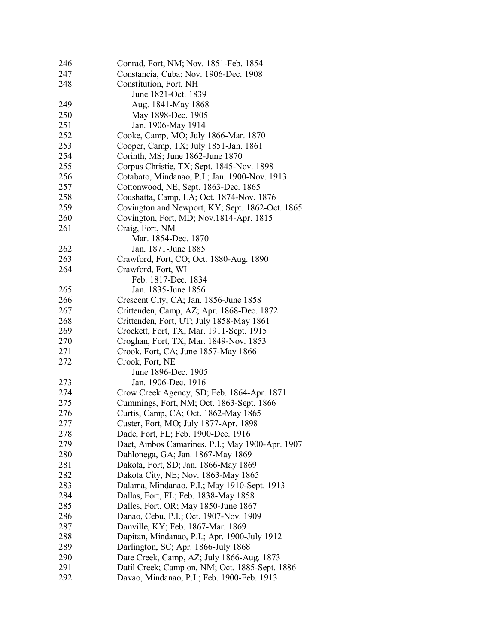| 246 | Conrad, Fort, NM; Nov. 1851-Feb. 1854           |
|-----|-------------------------------------------------|
| 247 | Constancia, Cuba; Nov. 1906-Dec. 1908           |
| 248 | Constitution, Fort, NH                          |
|     | June 1821-Oct. 1839                             |
| 249 | Aug. 1841-May 1868                              |
| 250 | May 1898-Dec. 1905                              |
| 251 | Jan. 1906-May 1914                              |
| 252 | Cooke, Camp, MO; July 1866-Mar. 1870            |
| 253 | Cooper, Camp, TX; July 1851-Jan. 1861           |
| 254 | Corinth, MS; June 1862-June 1870                |
| 255 | Corpus Christie, TX; Sept. 1845-Nov. 1898       |
| 256 | Cotabato, Mindanao, P.I.; Jan. 1900-Nov. 1913   |
| 257 | Cottonwood, NE; Sept. 1863-Dec. 1865            |
| 258 | Coushatta, Camp, LA; Oct. 1874-Nov. 1876        |
| 259 | Covington and Newport, KY; Sept. 1862-Oct. 1865 |
| 260 | Covington, Fort, MD; Nov.1814-Apr. 1815         |
| 261 | Craig, Fort, NM                                 |
|     | Mar. 1854-Dec. 1870                             |
| 262 | Jan. 1871-June 1885                             |
| 263 | Crawford, Fort, CO; Oct. 1880-Aug. 1890         |
| 264 | Crawford, Fort, WI                              |
|     | Feb. 1817-Dec. 1834                             |
| 265 | Jan. 1835-June 1856                             |
| 266 | Crescent City, CA; Jan. 1856-June 1858          |
| 267 | Crittenden, Camp, AZ; Apr. 1868-Dec. 1872       |
| 268 | Crittenden, Fort, UT; July 1858-May 1861        |
| 269 | Crockett, Fort, TX; Mar. 1911-Sept. 1915        |
| 270 | Croghan, Fort, TX; Mar. 1849-Nov. 1853          |
| 271 | Crook, Fort, CA; June 1857-May 1866             |
| 272 | Crook, Fort, NE                                 |
|     | June 1896-Dec. 1905                             |
| 273 | Jan. 1906-Dec. 1916                             |
| 274 | Crow Creek Agency, SD; Feb. 1864-Apr. 1871      |
| 275 | Cummings, Fort, NM; Oct. 1863-Sept. 1866        |
| 276 | Curtis, Camp, CA; Oct. 1862-May 1865            |
| 277 | Custer, Fort, MO; July 1877-Apr. 1898           |
| 278 | Dade, Fort, FL; Feb. 1900-Dec. 1916             |
| 279 | Daet, Ambos Camarines, P.I.; May 1900-Apr. 1907 |
| 280 | Dahlonega, GA; Jan. 1867-May 1869               |
| 281 | Dakota, Fort, SD; Jan. 1866-May 1869            |
| 282 | Dakota City, NE; Nov. 1863-May 1865             |
| 283 | Dalama, Mindanao, P.I.; May 1910-Sept. 1913     |
| 284 | Dallas, Fort, FL; Feb. 1838-May 1858            |
| 285 | Dalles, Fort, OR; May 1850-June 1867            |
| 286 | Danao, Cebu, P.I.; Oct. 1907-Nov. 1909          |
| 287 | Danville, KY; Feb. 1867-Mar. 1869               |
| 288 | Dapitan, Mindanao, P.I.; Apr. 1900-July 1912    |
| 289 | Darlington, SC; Apr. 1866-July 1868             |
| 290 | Date Creek, Camp, AZ; July 1866-Aug. 1873       |
| 291 | Datil Creek; Camp on, NM; Oct. 1885-Sept. 1886  |
| 292 | Davao, Mindanao, P.I.; Feb. 1900-Feb. 1913      |
|     |                                                 |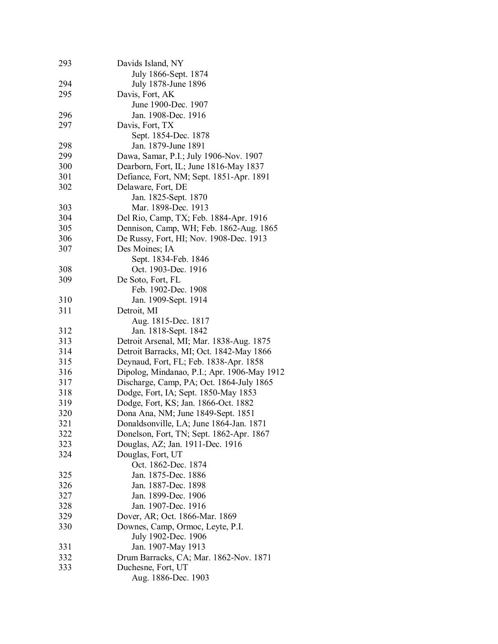| 293 | Davids Island, NY                           |
|-----|---------------------------------------------|
|     | July 1866-Sept. 1874                        |
| 294 | July 1878-June 1896                         |
| 295 | Davis, Fort, AK                             |
|     | June 1900-Dec. 1907                         |
| 296 | Jan. 1908-Dec. 1916                         |
| 297 | Davis, Fort, TX                             |
|     | Sept. 1854-Dec. 1878                        |
| 298 | Jan. 1879-June 1891                         |
| 299 | Dawa, Samar, P.I.; July 1906-Nov. 1907      |
| 300 | Dearborn, Fort, IL; June 1816-May 1837      |
| 301 | Defiance, Fort, NM; Sept. 1851-Apr. 1891    |
| 302 | Delaware, Fort, DE                          |
|     | Jan. 1825-Sept. 1870                        |
| 303 | Mar. 1898-Dec. 1913                         |
| 304 | Del Rio, Camp, TX; Feb. 1884-Apr. 1916      |
| 305 | Dennison, Camp, WH; Feb. 1862-Aug. 1865     |
| 306 |                                             |
|     | De Russy, Fort, HI; Nov. 1908-Dec. 1913     |
| 307 | Des Moines; IA                              |
|     | Sept. 1834-Feb. 1846                        |
| 308 | Oct. 1903-Dec. 1916                         |
| 309 | De Soto, Fort, FL                           |
|     | Feb. 1902-Dec. 1908                         |
| 310 | Jan. 1909-Sept. 1914                        |
| 311 | Detroit, MI                                 |
|     | Aug. 1815-Dec. 1817                         |
| 312 | Jan. 1818-Sept. 1842                        |
| 313 | Detroit Arsenal, MI; Mar. 1838-Aug. 1875    |
| 314 | Detroit Barracks, MI; Oct. 1842-May 1866    |
| 315 | Deynaud, Fort, FL; Feb. 1838-Apr. 1858      |
| 316 | Dipolog, Mindanao, P.I.; Apr. 1906-May 1912 |
| 317 | Discharge, Camp, PA; Oct. 1864-July 1865    |
| 318 | Dodge, Fort, IA; Sept. 1850-May 1853        |
| 319 | Dodge, Fort, KS; Jan. 1866-Oct. 1882        |
| 320 | Dona Ana, NM; June 1849-Sept. 1851          |
| 321 | Donaldsonville, LA; June 1864-Jan. 1871     |
| 322 | Donelson, Fort, TN; Sept. 1862-Apr. 1867    |
| 323 | Douglas, AZ; Jan. 1911-Dec. 1916            |
| 324 | Douglas, Fort, UT                           |
|     | Oct. 1862-Dec. 1874                         |
| 325 | Jan. 1875-Dec. 1886                         |
| 326 | Jan. 1887-Dec. 1898                         |
| 327 | Jan. 1899-Dec. 1906                         |
| 328 | Jan. 1907-Dec. 1916                         |
| 329 | Dover, AR; Oct. 1866-Mar. 1869              |
| 330 | Downes, Camp, Ormoc, Leyte, P.I.            |
|     | July 1902-Dec. 1906                         |
| 331 | Jan. 1907-May 1913                          |
| 332 | Drum Barracks, CA; Mar. 1862-Nov. 1871      |
| 333 | Duchesne, Fort, UT                          |
|     | Aug. 1886-Dec. 1903                         |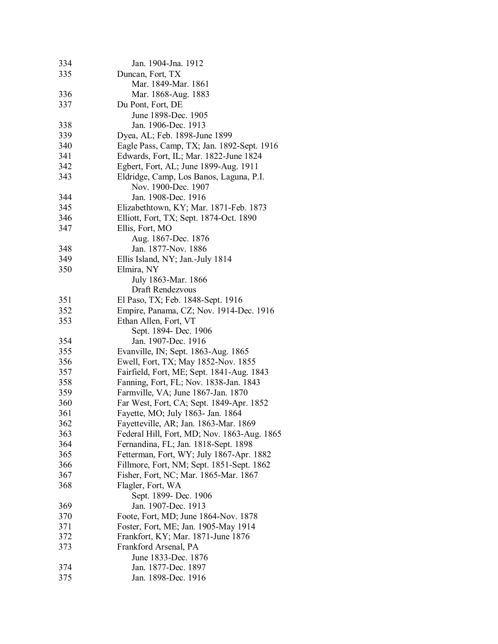| 334 | Jan. 1904-Jna. 1912                         |
|-----|---------------------------------------------|
| 335 | Duncan, Fort, TX                            |
|     | Mar. 1849-Mar. 1861                         |
| 336 | Mar. 1868-Aug. 1883                         |
| 337 | Du Pont, Fort, DE                           |
|     | June 1898-Dec. 1905                         |
| 338 | Jan. 1906-Dec. 1913                         |
| 339 | Dyea, AL; Feb. 1898-June 1899               |
| 340 | Eagle Pass, Camp, TX; Jan. 1892-Sept. 1916  |
| 341 | Edwards, Fort, IL; Mar. 1822-June 1824      |
| 342 | Egbert, Fort, AL; June 1899-Aug. 1911       |
| 343 | Eldridge, Camp, Los Banos, Laguna, P.I.     |
|     | Nov. 1900-Dec. 1907                         |
| 344 | Jan. 1908-Dec. 1916                         |
| 345 | Elizabethtown, KY; Mar. 1871-Feb. 1873      |
| 346 | Elliott, Fort, TX; Sept. 1874-Oct. 1890     |
| 347 | Ellis, Fort, MO                             |
|     | Aug. 1867-Dec. 1876                         |
|     | Jan. 1877-Nov. 1886                         |
| 348 |                                             |
| 349 | Ellis Island, NY; Jan.-July 1814            |
| 350 | Elmira, NY                                  |
|     | July 1863-Mar. 1866                         |
|     | Draft Rendezvous                            |
| 351 | El Paso, TX; Feb. 1848-Sept. 1916           |
| 352 | Empire, Panama, CZ; Nov. 1914-Dec. 1916     |
| 353 | Ethan Allen, Fort, VT                       |
|     | Sept. 1894- Dec. 1906                       |
| 354 | Jan. 1907-Dec. 1916                         |
| 355 | Evanville, IN; Sept. 1863-Aug. 1865         |
| 356 | Ewell, Fort, TX; May 1852-Nov. 1855         |
| 357 | Fairfield, Fort, ME; Sept. 1841-Aug. 1843   |
| 358 | Fanning, Fort, FL; Nov. 1838-Jan. 1843      |
| 359 | Farmville, VA; June 1867-Jan. 1870          |
| 360 | Far West, Fort, CA; Sept. 1849-Apr. 1852    |
| 361 | Fayette, MO; July 1863- Jan. 1864           |
| 362 | Fayetteville, AR; Jan. 1863-Mar. 1869       |
| 363 | Federal Hill, Fort, MD; Nov. 1863-Aug. 1865 |
| 364 | Fernandina, FL; Jan. 1818-Sept. 1898        |
| 365 | Fetterman, Fort, WY; July 1867-Apr. 1882    |
| 366 | Fillmore, Fort, NM; Sept. 1851-Sept. 1862   |
| 367 | Fisher, Fort, NC; Mar. 1865-Mar. 1867       |
| 368 | Flagler, Fort, WA                           |
|     | Sept. 1899- Dec. 1906                       |
| 369 | Jan. 1907-Dec. 1913                         |
| 370 | Foote, Fort, MD; June 1864-Nov. 1878        |
| 371 | Foster, Fort, ME; Jan. 1905-May 1914        |
| 372 | Frankfort, KY; Mar. 1871-June 1876          |
| 373 | Frankford Arsenal, PA                       |
|     | June 1833-Dec. 1876                         |
| 374 | Jan. 1877-Dec. 1897                         |
| 375 | Jan. 1898-Dec. 1916                         |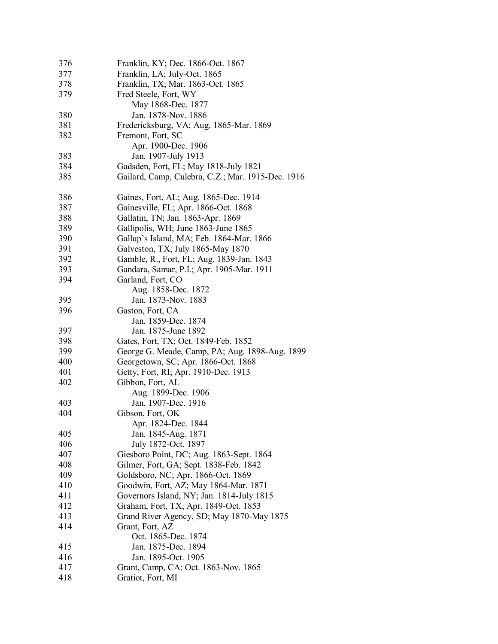| 376 | Franklin, KY; Dec. 1866-Oct. 1867                 |
|-----|---------------------------------------------------|
| 377 | Franklin, LA; July-Oct. 1865                      |
| 378 | Franklin, TX; Mar. 1863-Oct. 1865                 |
| 379 | Fred Steele, Fort, WY                             |
|     | May 1868-Dec. 1877                                |
| 380 | Jan. 1878-Nov. 1886                               |
| 381 | Fredericksburg, VA; Aug. 1865-Mar. 1869           |
| 382 | Fremont, Fort, SC                                 |
|     | Apr. 1900-Dec. 1906                               |
| 383 | Jan. 1907-July 1913                               |
| 384 | Gadsden, Fort, FL; May 1818-July 1821             |
| 385 | Gailard, Camp, Culebra, C.Z.; Mar. 1915-Dec. 1916 |
|     |                                                   |
| 386 | Gaines, Fort, AL; Aug. 1865-Dec. 1914             |
| 387 | Gainesville, FL; Apr. 1866-Oct. 1868              |
| 388 | Gallatin, TN; Jan. 1863-Apr. 1869                 |
| 389 | Gallipolis, WH; June 1863-June 1865               |
| 390 | Gallup's Island, MA; Feb. 1864-Mar. 1866          |
| 391 | Galveston, TX; July 1865-May 1870                 |
| 392 | Gamble, R., Fort, FL; Aug. 1839-Jan. 1843         |
| 393 | Gandara, Samar, P.I.; Apr. 1905-Mar. 1911         |
| 394 | Garland, Fort, CO                                 |
|     | Aug. 1858-Dec. 1872                               |
| 395 | Jan. 1873-Nov. 1883                               |
| 396 | Gaston, Fort, CA                                  |
|     | Jan. 1859-Dec. 1874                               |
| 397 | Jan. 1875-June 1892                               |
| 398 | Gates, Fort, TX; Oct. 1849-Feb. 1852              |
| 399 | George G. Meade, Camp, PA; Aug. 1898-Aug. 1899    |
| 400 | Georgetown, SC; Apr. 1866-Oct. 1868               |
| 401 | Getty, Fort, RI; Apr. 1910-Dec. 1913              |
| 402 | Gibbon, Fort, AL                                  |
|     | Aug. 1899-Dec. 1906                               |
| 403 | Jan. 1907-Dec. 1916                               |
| 404 | Gibson, Fort, OK                                  |
|     | Apr. 1824-Dec. 1844                               |
| 405 | Jan. 1845-Aug. 1871                               |
| 406 | July 1872-Oct. 1897                               |
| 407 | Giesboro Point, DC; Aug. 1863-Sept. 1864          |
| 408 | Gilmer, Fort, GA; Sept. 1838-Feb. 1842            |
| 409 | Goldsboro, NC; Apr. 1866-Oct. 1869                |
| 410 | Goodwin, Fort, AZ; May 1864-Mar. 1871             |
| 411 | Governors Island, NY; Jan. 1814-July 1815         |
| 412 | Graham, Fort, TX; Apr. 1849-Oct. 1853             |
| 413 | Grand River Agency, SD; May 1870-May 1875         |
| 414 | Grant, Fort, AZ                                   |
|     | Oct. 1865-Dec. 1874                               |
| 415 | Jan. 1875-Dec. 1894                               |
| 416 | Jan. 1895-Oct. 1905                               |
| 417 | Grant, Camp, CA; Oct. 1863-Nov. 1865              |
| 418 | Gratiot, Fort, MI                                 |
|     |                                                   |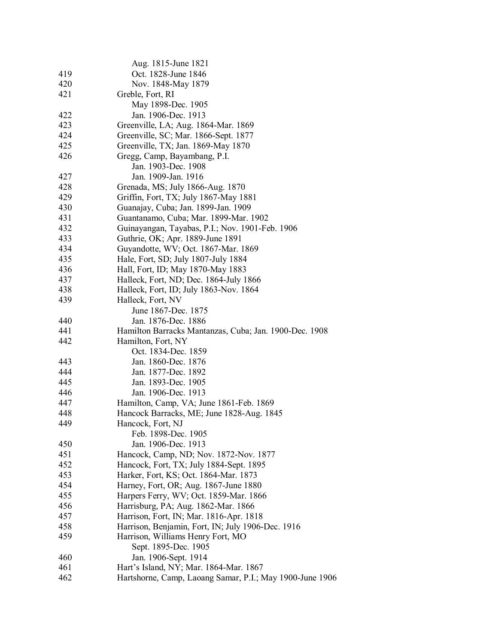|            | Aug. 1815-June 1821                                      |
|------------|----------------------------------------------------------|
| 419        | Oct. 1828-June 1846                                      |
| 420        | Nov. 1848-May 1879                                       |
| 421        | Greble, Fort, RI                                         |
|            |                                                          |
|            | May 1898-Dec. 1905<br>Jan. 1906-Dec. 1913                |
| 422<br>423 |                                                          |
|            | Greenville, LA; Aug. 1864-Mar. 1869                      |
| 424        | Greenville, SC; Mar. 1866-Sept. 1877                     |
| 425        | Greenville, TX; Jan. 1869-May 1870                       |
| 426        | Gregg, Camp, Bayambang, P.I.                             |
|            | Jan. 1903-Dec. 1908                                      |
| 427        | Jan. 1909-Jan. 1916                                      |
| 428        | Grenada, MS; July 1866-Aug. 1870                         |
| 429        | Griffin, Fort, TX; July 1867-May 1881                    |
| 430        | Guanajay, Cuba; Jan. 1899-Jan. 1909                      |
| 431        | Guantanamo, Cuba; Mar. 1899-Mar. 1902                    |
| 432        | Guinayangan, Tayabas, P.I.; Nov. 1901-Feb. 1906          |
| 433        | Guthrie, OK; Apr. 1889-June 1891                         |
| 434        | Guyandotte, WV; Oct. 1867-Mar. 1869                      |
| 435        | Hale, Fort, SD; July 1807-July 1884                      |
| 436        | Hall, Fort, ID; May 1870-May 1883                        |
| 437        | Halleck, Fort, ND; Dec. 1864-July 1866                   |
| 438        | Halleck, Fort, ID; July 1863-Nov. 1864                   |
| 439        | Halleck, Fort, NV                                        |
|            | June 1867-Dec. 1875                                      |
| 440        | Jan. 1876-Dec. 1886                                      |
| 441        | Hamilton Barracks Mantanzas, Cuba; Jan. 1900-Dec. 1908   |
| 442        | Hamilton, Fort, NY                                       |
|            | Oct. 1834-Dec. 1859                                      |
| 443        | Jan. 1860-Dec. 1876                                      |
| 444        | Jan. 1877-Dec. 1892                                      |
| 445        | Jan. 1893-Dec. 1905                                      |
| 446        | Jan. 1906-Dec. 1913                                      |
| 447        | Hamilton, Camp, VA; June 1861-Feb. 1869                  |
| 448        | Hancock Barracks, ME; June 1828-Aug. 1845                |
| 449        | Hancock, Fort, NJ                                        |
|            | Feb. 1898-Dec. 1905                                      |
| 450        | Jan. 1906-Dec. 1913                                      |
| 451        | Hancock, Camp, ND; Nov. 1872-Nov. 1877                   |
| 452        | Hancock, Fort, TX; July 1884-Sept. 1895                  |
| 453        | Harker, Fort, KS; Oct. 1864-Mar. 1873                    |
| 454        | Harney, Fort, OR; Aug. 1867-June 1880                    |
| 455        | Harpers Ferry, WV; Oct. 1859-Mar. 1866                   |
| 456        | Harrisburg, PA; Aug. 1862-Mar. 1866                      |
| 457        | Harrison, Fort, IN; Mar. 1816-Apr. 1818                  |
| 458        | Harrison, Benjamin, Fort, IN; July 1906-Dec. 1916        |
| 459        | Harrison, Williams Henry Fort, MO                        |
|            | Sept. 1895-Dec. 1905                                     |
| 460        | Jan. 1906-Sept. 1914                                     |
| 461        | Hart's Island, NY; Mar. 1864-Mar. 1867                   |
| 462        | Hartshorne, Camp, Laoang Samar, P.I.; May 1900-June 1906 |
|            |                                                          |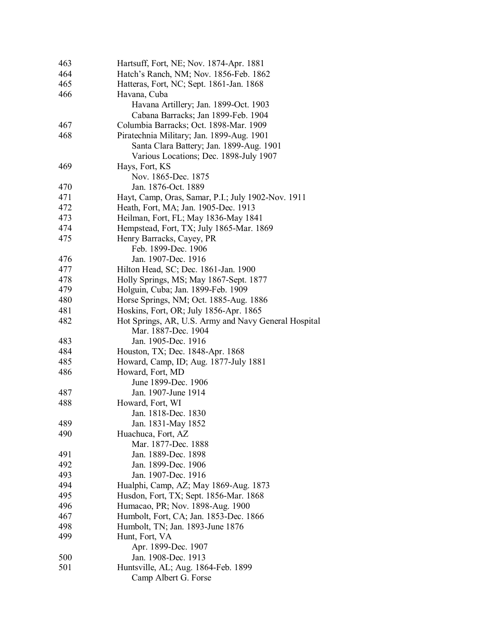| 463 | Hartsuff, Fort, NE; Nov. 1874-Apr. 1881              |
|-----|------------------------------------------------------|
| 464 | Hatch's Ranch, NM; Nov. 1856-Feb. 1862               |
| 465 | Hatteras, Fort, NC; Sept. 1861-Jan. 1868             |
| 466 | Havana, Cuba                                         |
|     | Havana Artillery; Jan. 1899-Oct. 1903                |
|     | Cabana Barracks; Jan 1899-Feb. 1904                  |
| 467 | Columbia Barracks; Oct. 1898-Mar. 1909               |
| 468 | Piratechnia Military; Jan. 1899-Aug. 1901            |
|     | Santa Clara Battery; Jan. 1899-Aug. 1901             |
|     | Various Locations; Dec. 1898-July 1907               |
| 469 | Hays, Fort, KS                                       |
|     | Nov. 1865-Dec. 1875                                  |
| 470 | Jan. 1876-Oct. 1889                                  |
| 471 | Hayt, Camp, Oras, Samar, P.I.; July 1902-Nov. 1911   |
| 472 | Heath, Fort, MA; Jan. 1905-Dec. 1913                 |
| 473 | Heilman, Fort, FL; May 1836-May 1841                 |
| 474 | Hempstead, Fort, TX; July 1865-Mar. 1869             |
| 475 | Henry Barracks, Cayey, PR                            |
|     | Feb. 1899-Dec. 1906                                  |
| 476 | Jan. 1907-Dec. 1916                                  |
| 477 | Hilton Head, SC; Dec. 1861-Jan. 1900                 |
| 478 | Holly Springs, MS; May 1867-Sept. 1877               |
| 479 | Holguin, Cuba; Jan. 1899-Feb. 1909                   |
| 480 | Horse Springs, NM; Oct. 1885-Aug. 1886               |
| 481 | Hoskins, Fort, OR; July 1856-Apr. 1865               |
| 482 | Hot Springs, AR, U.S. Army and Navy General Hospital |
|     | Mar. 1887-Dec. 1904                                  |
| 483 | Jan. 1905-Dec. 1916                                  |
| 484 | Houston, TX; Dec. 1848-Apr. 1868                     |
| 485 | Howard, Camp, ID; Aug. 1877-July 1881                |
| 486 | Howard, Fort, MD                                     |
|     | June 1899-Dec. 1906                                  |
| 487 | Jan. 1907-June 1914                                  |
| 488 | Howard, Fort, WI                                     |
|     | Jan. 1818-Dec. 1830                                  |
| 489 | Jan. 1831-May 1852                                   |
| 490 | Huachuca, Fort, AZ                                   |
|     | Mar. 1877-Dec. 1888                                  |
| 491 | Jan. 1889-Dec. 1898                                  |
| 492 | Jan. 1899-Dec. 1906                                  |
| 493 | Jan. 1907-Dec. 1916                                  |
| 494 | Hualphi, Camp, AZ; May 1869-Aug. 1873                |
| 495 | Husdon, Fort, TX; Sept. 1856-Mar. 1868               |
| 496 | Humacao, PR; Nov. 1898-Aug. 1900                     |
| 467 | Humbolt, Fort, CA; Jan. 1853-Dec. 1866               |
| 498 | Humbolt, TN; Jan. 1893-June 1876                     |
| 499 | Hunt, Fort, VA                                       |
|     | Apr. 1899-Dec. 1907                                  |
| 500 | Jan. 1908-Dec. 1913                                  |
| 501 | Huntsville, AL; Aug. 1864-Feb. 1899                  |
|     | Camp Albert G. Forse                                 |
|     |                                                      |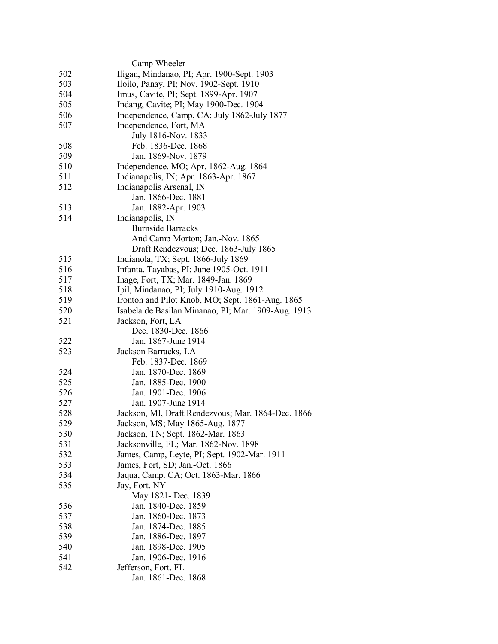|     | Camp Wheeler                                        |
|-----|-----------------------------------------------------|
| 502 | Iligan, Mindanao, PI; Apr. 1900-Sept. 1903          |
| 503 | Iloilo, Panay, PI; Nov. 1902-Sept. 1910             |
| 504 | Imus, Cavite, PI; Sept. 1899-Apr. 1907              |
| 505 | Indang, Cavite; PI; May 1900-Dec. 1904              |
| 506 | Independence, Camp, CA; July 1862-July 1877         |
| 507 | Independence, Fort, MA                              |
|     | July 1816-Nov. 1833                                 |
| 508 | Feb. 1836-Dec. 1868                                 |
| 509 | Jan. 1869-Nov. 1879                                 |
| 510 | Independence, MO; Apr. 1862-Aug. 1864               |
| 511 | Indianapolis, IN; Apr. 1863-Apr. 1867               |
| 512 | Indianapolis Arsenal, IN                            |
|     | Jan. 1866-Dec. 1881                                 |
| 513 | Jan. 1882-Apr. 1903                                 |
| 514 | Indianapolis, IN                                    |
|     | <b>Burnside Barracks</b>                            |
|     | And Camp Morton; Jan.-Nov. 1865                     |
|     | Draft Rendezvous; Dec. 1863-July 1865               |
| 515 | Indianola, TX; Sept. 1866-July 1869                 |
|     |                                                     |
| 516 | Infanta, Tayabas, PI; June 1905-Oct. 1911           |
| 517 | Inage, Fort, TX; Mar. 1849-Jan. 1869                |
| 518 | Ipil, Mindanao, PI; July 1910-Aug. 1912             |
| 519 | Ironton and Pilot Knob, MO; Sept. 1861-Aug. 1865    |
| 520 | Isabela de Basilan Minanao, PI; Mar. 1909-Aug. 1913 |
| 521 | Jackson, Fort, LA                                   |
|     | Dec. 1830-Dec. 1866                                 |
| 522 | Jan. 1867-June 1914                                 |
| 523 | Jackson Barracks, LA                                |
|     | Feb. 1837-Dec. 1869                                 |
| 524 | Jan. 1870-Dec. 1869                                 |
| 525 | Jan. 1885-Dec. 1900                                 |
| 526 | Jan. 1901-Dec. 1906                                 |
| 527 | Jan. 1907-June 1914                                 |
| 528 | Jackson, MI, Draft Rendezvous; Mar. 1864-Dec. 1866  |
| 529 | Jackson, MS; May 1865-Aug. 1877                     |
| 530 | Jackson, TN; Sept. 1862-Mar. 1863                   |
| 531 | Jacksonville, FL; Mar. 1862-Nov. 1898               |
| 532 | James, Camp, Leyte, PI; Sept. 1902-Mar. 1911        |
| 533 | James, Fort, SD; Jan.-Oct. 1866                     |
| 534 | Jaqua, Camp. CA; Oct. 1863-Mar. 1866                |
| 535 | Jay, Fort, NY                                       |
|     | May 1821- Dec. 1839                                 |
| 536 | Jan. 1840-Dec. 1859                                 |
| 537 | Jan. 1860-Dec. 1873                                 |
| 538 | Jan. 1874-Dec. 1885                                 |
| 539 | Jan. 1886-Dec. 1897                                 |
| 540 | Jan. 1898-Dec. 1905                                 |
| 541 | Jan. 1906-Dec. 1916                                 |
| 542 | Jefferson, Fort, FL                                 |
|     | Jan. 1861-Dec. 1868                                 |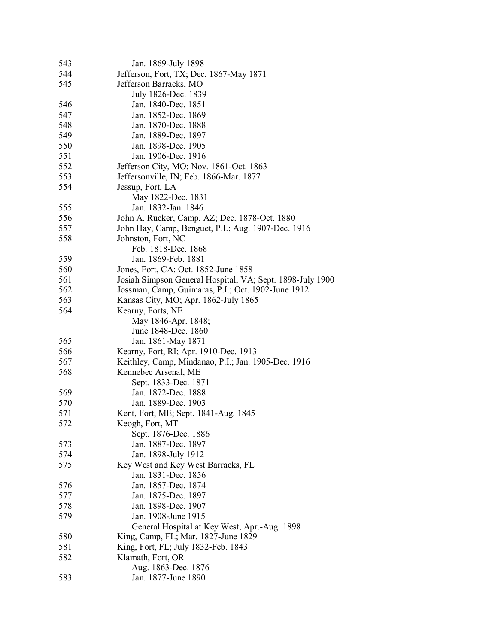| 543 | Jan. 1869-July 1898                                       |
|-----|-----------------------------------------------------------|
| 544 | Jefferson, Fort, TX; Dec. 1867-May 1871                   |
| 545 | Jefferson Barracks, MO                                    |
|     | July 1826-Dec. 1839                                       |
| 546 | Jan. 1840-Dec. 1851                                       |
| 547 | Jan. 1852-Dec. 1869                                       |
| 548 | Jan. 1870-Dec. 1888                                       |
| 549 | Jan. 1889-Dec. 1897                                       |
| 550 | Jan. 1898-Dec. 1905                                       |
| 551 | Jan. 1906-Dec. 1916                                       |
| 552 | Jefferson City, MO; Nov. 1861-Oct. 1863                   |
| 553 | Jeffersonville, IN; Feb. 1866-Mar. 1877                   |
| 554 | Jessup, Fort, LA                                          |
|     | May 1822-Dec. 1831                                        |
|     | Jan. 1832-Jan. 1846                                       |
| 555 |                                                           |
| 556 | John A. Rucker, Camp, AZ; Dec. 1878-Oct. 1880             |
| 557 | John Hay, Camp, Benguet, P.I.; Aug. 1907-Dec. 1916        |
| 558 | Johnston, Fort, NC                                        |
|     | Feb. 1818-Dec. 1868                                       |
| 559 | Jan. 1869-Feb. 1881                                       |
| 560 | Jones, Fort, CA; Oct. 1852-June 1858                      |
| 561 | Josiah Simpson General Hospital, VA; Sept. 1898-July 1900 |
| 562 | Jossman, Camp, Guimaras, P.I.; Oct. 1902-June 1912        |
| 563 | Kansas City, MO; Apr. 1862-July 1865                      |
| 564 | Kearny, Forts, NE                                         |
|     | May 1846-Apr. 1848;                                       |
|     | June 1848-Dec. 1860                                       |
| 565 | Jan. 1861-May 1871                                        |
| 566 | Kearny, Fort, RI; Apr. 1910-Dec. 1913                     |
| 567 | Keithley, Camp, Mindanao, P.I.; Jan. 1905-Dec. 1916       |
| 568 | Kennebec Arsenal, ME                                      |
|     | Sept. 1833-Dec. 1871                                      |
| 569 | Jan. 1872-Dec. 1888                                       |
| 570 | Jan. 1889-Dec. 1903                                       |
| 571 | Kent, Fort, ME; Sept. 1841-Aug. 1845                      |
| 572 | Keogh, Fort, MT                                           |
|     | Sept. 1876-Dec. 1886                                      |
| 573 | Jan. 1887-Dec. 1897                                       |
| 574 | Jan. 1898-July 1912                                       |
| 575 | Key West and Key West Barracks, FL                        |
|     | Jan. 1831-Dec. 1856                                       |
| 576 | Jan. 1857-Dec. 1874                                       |
| 577 | Jan. 1875-Dec. 1897                                       |
| 578 | Jan. 1898-Dec. 1907                                       |
| 579 | Jan. 1908-June 1915                                       |
|     | General Hospital at Key West; Apr.-Aug. 1898              |
| 580 | King, Camp, FL; Mar. 1827-June 1829                       |
| 581 | King, Fort, FL; July 1832-Feb. 1843                       |
| 582 | Klamath, Fort, OR                                         |
|     | Aug. 1863-Dec. 1876                                       |
|     |                                                           |
| 583 | Jan. 1877-June 1890                                       |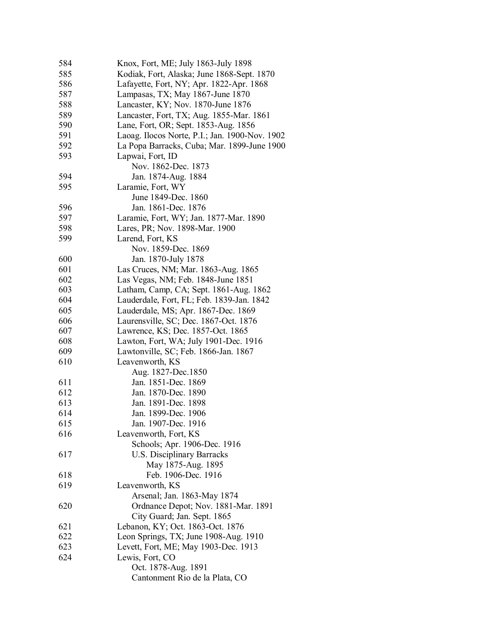| 584 | Knox, Fort, ME; July 1863-July 1898            |
|-----|------------------------------------------------|
| 585 | Kodiak, Fort, Alaska; June 1868-Sept. 1870     |
| 586 | Lafayette, Fort, NY; Apr. 1822-Apr. 1868       |
| 587 | Lampasas, TX; May 1867-June 1870               |
| 588 | Lancaster, KY; Nov. 1870-June 1876             |
| 589 | Lancaster, Fort, TX; Aug. 1855-Mar. 1861       |
| 590 | Lane, Fort, OR; Sept. 1853-Aug. 1856           |
| 591 | Laoag. Ilocos Norte, P.I.; Jan. 1900-Nov. 1902 |
| 592 | La Popa Barracks, Cuba; Mar. 1899-June 1900    |
| 593 | Lapwai, Fort, ID                               |
|     | Nov. 1862-Dec. 1873                            |
| 594 | Jan. 1874-Aug. 1884                            |
| 595 | Laramie, Fort, WY                              |
|     | June 1849-Dec. 1860                            |
| 596 | Jan. 1861-Dec. 1876                            |
| 597 | Laramie, Fort, WY; Jan. 1877-Mar. 1890         |
| 598 | Lares, PR; Nov. 1898-Mar. 1900                 |
| 599 | Larend, Fort, KS                               |
|     | Nov. 1859-Dec. 1869                            |
| 600 | Jan. 1870-July 1878                            |
| 601 | Las Cruces, NM; Mar. 1863-Aug. 1865            |
| 602 | Las Vegas, NM; Feb. 1848-June 1851             |
| 603 | Latham, Camp, CA; Sept. 1861-Aug. 1862         |
| 604 | Lauderdale, Fort, FL; Feb. 1839-Jan. 1842      |
| 605 | Lauderdale, MS; Apr. 1867-Dec. 1869            |
| 606 | Laurensville, SC; Dec. 1867-Oct. 1876          |
| 607 | Lawrence, KS; Dec. 1857-Oct. 1865              |
| 608 | Lawton, Fort, WA; July 1901-Dec. 1916          |
| 609 | Lawtonville, SC; Feb. 1866-Jan. 1867           |
| 610 | Leavenworth, KS                                |
|     | Aug. 1827-Dec. 1850                            |
| 611 | Jan. 1851-Dec. 1869                            |
| 612 | Jan. 1870-Dec. 1890                            |
| 613 | Jan. 1891-Dec. 1898                            |
| 614 | Jan. 1899-Dec. 1906                            |
| 615 | Jan. 1907-Dec. 1916                            |
| 616 | Leavenworth, Fort, KS                          |
|     | Schools; Apr. 1906-Dec. 1916                   |
| 617 | <b>U.S. Disciplinary Barracks</b>              |
|     | May 1875-Aug. 1895                             |
| 618 | Feb. 1906-Dec. 1916                            |
| 619 | Leavenworth, KS                                |
|     | Arsenal; Jan. 1863-May 1874                    |
| 620 | Ordnance Depot; Nov. 1881-Mar. 1891            |
|     | City Guard; Jan. Sept. 1865                    |
| 621 | Lebanon, KY; Oct. 1863-Oct. 1876               |
| 622 | Leon Springs, TX; June 1908-Aug. 1910          |
| 623 | Levett, Fort, ME; May 1903-Dec. 1913           |
| 624 | Lewis, Fort, CO                                |
|     | Oct. 1878-Aug. 1891                            |
|     | Cantonment Rio de la Plata, CO                 |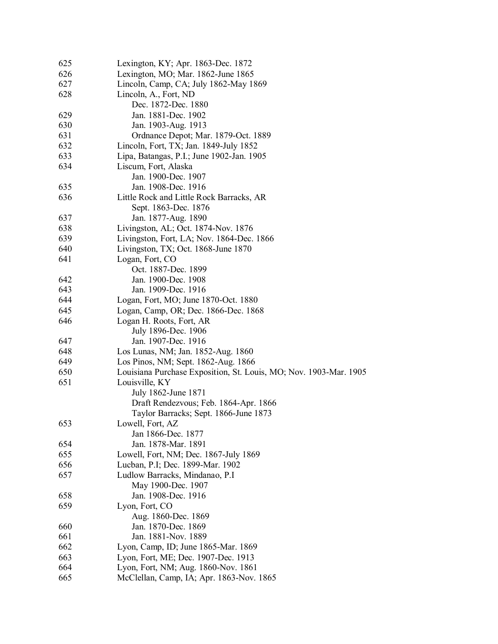| 625 | Lexington, KY; Apr. 1863-Dec. 1872                                |
|-----|-------------------------------------------------------------------|
| 626 | Lexington, MO; Mar. 1862-June 1865                                |
| 627 | Lincoln, Camp, CA; July 1862-May 1869                             |
| 628 | Lincoln, A., Fort, ND                                             |
|     | Dec. 1872-Dec. 1880                                               |
| 629 | Jan. 1881-Dec. 1902                                               |
| 630 | Jan. 1903-Aug. 1913                                               |
| 631 | Ordnance Depot; Mar. 1879-Oct. 1889                               |
| 632 | Lincoln, Fort, TX; Jan. 1849-July 1852                            |
| 633 | Lipa, Batangas, P.I.; June 1902-Jan. 1905                         |
| 634 | Liscum, Fort, Alaska                                              |
|     | Jan. 1900-Dec. 1907                                               |
| 635 | Jan. 1908-Dec. 1916                                               |
| 636 | Little Rock and Little Rock Barracks, AR                          |
|     | Sept. 1863-Dec. 1876                                              |
| 637 |                                                                   |
| 638 | Jan. 1877-Aug. 1890                                               |
|     | Livingston, AL; Oct. 1874-Nov. 1876                               |
| 639 | Livingston, Fort, LA; Nov. 1864-Dec. 1866                         |
| 640 | Livingston, TX; Oct. 1868-June 1870                               |
| 641 | Logan, Fort, CO                                                   |
|     | Oct. 1887-Dec. 1899                                               |
| 642 | Jan. 1900-Dec. 1908                                               |
| 643 | Jan. 1909-Dec. 1916                                               |
| 644 | Logan, Fort, MO; June 1870-Oct. 1880                              |
| 645 | Logan, Camp, OR; Dec. 1866-Dec. 1868                              |
| 646 | Logan H. Roots, Fort, AR                                          |
|     | July 1896-Dec. 1906                                               |
| 647 | Jan. 1907-Dec. 1916                                               |
| 648 | Los Lunas, NM; Jan. 1852-Aug. 1860                                |
| 649 | Los Pinos, NM; Sept. 1862-Aug. 1866                               |
| 650 | Louisiana Purchase Exposition, St. Louis, MO; Nov. 1903-Mar. 1905 |
| 651 | Louisville, KY                                                    |
|     | July 1862-June 1871                                               |
|     | Draft Rendezvous; Feb. 1864-Apr. 1866                             |
|     | Taylor Barracks; Sept. 1866-June 1873                             |
| 653 | Lowell, Fort, AZ                                                  |
|     | Jan 1866-Dec. 1877                                                |
| 654 | Jan. 1878-Mar. 1891                                               |
| 655 | Lowell, Fort, NM; Dec. 1867-July 1869                             |
| 656 | Lucban, P.I; Dec. 1899-Mar. 1902                                  |
| 657 | Ludlow Barracks, Mindanao, P.I                                    |
|     | May 1900-Dec. 1907                                                |
| 658 | Jan. 1908-Dec. 1916                                               |
| 659 | Lyon, Fort, CO                                                    |
|     | Aug. 1860-Dec. 1869                                               |
| 660 | Jan. 1870-Dec. 1869                                               |
| 661 | Jan. 1881-Nov. 1889                                               |
| 662 | Lyon, Camp, ID; June 1865-Mar. 1869                               |
| 663 | Lyon, Fort, ME; Dec. 1907-Dec. 1913                               |
| 664 | Lyon, Fort, NM; Aug. 1860-Nov. 1861                               |
| 665 | McClellan, Camp, IA; Apr. 1863-Nov. 1865                          |
|     |                                                                   |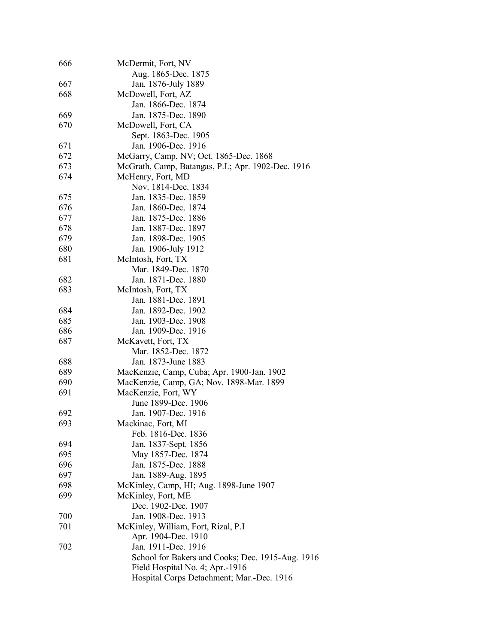| 666 | McDermit, Fort, NV                                 |
|-----|----------------------------------------------------|
|     | Aug. 1865-Dec. 1875                                |
| 667 | Jan. 1876-July 1889                                |
| 668 | McDowell, Fort, AZ                                 |
|     | Jan. 1866-Dec. 1874                                |
| 669 | Jan. 1875-Dec. 1890                                |
| 670 | McDowell, Fort, CA                                 |
|     | Sept. 1863-Dec. 1905                               |
| 671 | Jan. 1906-Dec. 1916                                |
| 672 | McGarry, Camp, NV; Oct. 1865-Dec. 1868             |
| 673 | McGrath, Camp, Batangas, P.I.; Apr. 1902-Dec. 1916 |
| 674 | McHenry, Fort, MD                                  |
|     | Nov. 1814-Dec. 1834                                |
| 675 | Jan. 1835-Dec. 1859                                |
| 676 | Jan. 1860-Dec. 1874                                |
| 677 | Jan. 1875-Dec. 1886                                |
| 678 | Jan. 1887-Dec. 1897                                |
| 679 | Jan. 1898-Dec. 1905                                |
| 680 | Jan. 1906-July 1912                                |
| 681 | McIntosh, Fort, TX                                 |
|     | Mar. 1849-Dec. 1870                                |
| 682 | Jan. 1871-Dec. 1880                                |
| 683 |                                                    |
|     | McIntosh, Fort, TX<br>Jan. 1881-Dec. 1891          |
|     |                                                    |
| 684 | Jan. 1892-Dec. 1902                                |
| 685 | Jan. 1903-Dec. 1908                                |
| 686 | Jan. 1909-Dec. 1916                                |
| 687 | McKavett, Fort, TX                                 |
|     | Mar. 1852-Dec. 1872                                |
| 688 | Jan. 1873-June 1883                                |
| 689 | MacKenzie, Camp, Cuba; Apr. 1900-Jan. 1902         |
| 690 | MacKenzie, Camp, GA; Nov. 1898-Mar. 1899           |
| 691 | MacKenzie, Fort, WY                                |
|     | June 1899-Dec. 1906                                |
| 692 | Jan. 1907-Dec. 1916                                |
| 693 | Mackinac, Fort, MI                                 |
|     | Feb. 1816-Dec. 1836                                |
| 694 | Jan. 1837-Sept. 1856                               |
| 695 | May 1857-Dec. 1874                                 |
| 696 | Jan. 1875-Dec. 1888                                |
| 697 | Jan. 1889-Aug. 1895                                |
| 698 | McKinley, Camp, HI; Aug. 1898-June 1907            |
| 699 | McKinley, Fort, ME                                 |
|     | Dec. 1902-Dec. 1907                                |
| 700 | Jan. 1908-Dec. 1913                                |
| 701 | McKinley, William, Fort, Rizal, P.I                |
|     | Apr. 1904-Dec. 1910                                |
| 702 | Jan. 1911-Dec. 1916                                |
|     | School for Bakers and Cooks; Dec. 1915-Aug. 1916   |
|     | Field Hospital No. 4; Apr.-1916                    |
|     | Hospital Corps Detachment; Mar.-Dec. 1916          |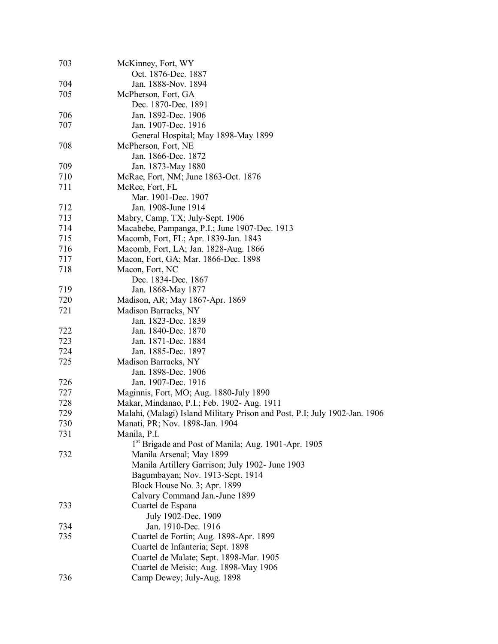| 703 | McKinney, Fort, WY                                                         |
|-----|----------------------------------------------------------------------------|
|     | Oct. 1876-Dec. 1887                                                        |
| 704 | Jan. 1888-Nov. 1894                                                        |
| 705 | McPherson, Fort, GA                                                        |
|     | Dec. 1870-Dec. 1891                                                        |
| 706 | Jan. 1892-Dec. 1906                                                        |
| 707 | Jan. 1907-Dec. 1916                                                        |
|     | General Hospital; May 1898-May 1899                                        |
| 708 | McPherson, Fort, NE                                                        |
|     | Jan. 1866-Dec. 1872                                                        |
| 709 | Jan. 1873-May 1880                                                         |
| 710 | McRae, Fort, NM; June 1863-Oct. 1876                                       |
| 711 | McRee, Fort, FL                                                            |
|     | Mar. 1901-Dec. 1907                                                        |
| 712 | Jan. 1908-June 1914                                                        |
| 713 | Mabry, Camp, TX; July-Sept. 1906                                           |
| 714 | Macabebe, Pampanga, P.I.; June 1907-Dec. 1913                              |
| 715 |                                                                            |
|     | Macomb, Fort, FL; Apr. 1839-Jan. 1843                                      |
| 716 | Macomb, Fort, LA; Jan. 1828-Aug. 1866                                      |
| 717 | Macon, Fort, GA; Mar. 1866-Dec. 1898                                       |
| 718 | Macon, Fort, NC                                                            |
|     | Dec. 1834-Dec. 1867                                                        |
| 719 | Jan. 1868-May 1877                                                         |
| 720 | Madison, AR; May 1867-Apr. 1869                                            |
| 721 | Madison Barracks, NY                                                       |
|     | Jan. 1823-Dec. 1839                                                        |
| 722 | Jan. 1840-Dec. 1870                                                        |
| 723 | Jan. 1871-Dec. 1884                                                        |
| 724 | Jan. 1885-Dec. 1897                                                        |
| 725 | Madison Barracks, NY                                                       |
|     | Jan. 1898-Dec. 1906                                                        |
| 726 | Jan. 1907-Dec. 1916                                                        |
| 727 | Maginnis, Fort, MO; Aug. 1880-July 1890                                    |
| 728 | Makar, Mindanao, P.I.; Feb. 1902- Aug. 1911                                |
| 729 | Malahi, (Malagi) Island Military Prison and Post, P.I; July 1902-Jan. 1906 |
| 730 | Manati, PR; Nov. 1898-Jan. 1904                                            |
| 731 | Manila, P.I.                                                               |
|     | 1st Brigade and Post of Manila; Aug. 1901-Apr. 1905                        |
| 732 | Manila Arsenal; May 1899                                                   |
|     | Manila Artillery Garrison; July 1902- June 1903                            |
|     | Bagumbayan; Nov. 1913-Sept. 1914                                           |
|     | Block House No. 3; Apr. 1899                                               |
|     | Calvary Command Jan.-June 1899                                             |
| 733 | Cuartel de Espana                                                          |
|     | July 1902-Dec. 1909                                                        |
| 734 | Jan. 1910-Dec. 1916                                                        |
| 735 | Cuartel de Fortin; Aug. 1898-Apr. 1899                                     |
|     | Cuartel de Infanteria; Sept. 1898                                          |
|     | Cuartel de Malate; Sept. 1898-Mar. 1905                                    |
|     | Cuartel de Meisic; Aug. 1898-May 1906                                      |
| 736 | Camp Dewey; July-Aug. 1898                                                 |
|     |                                                                            |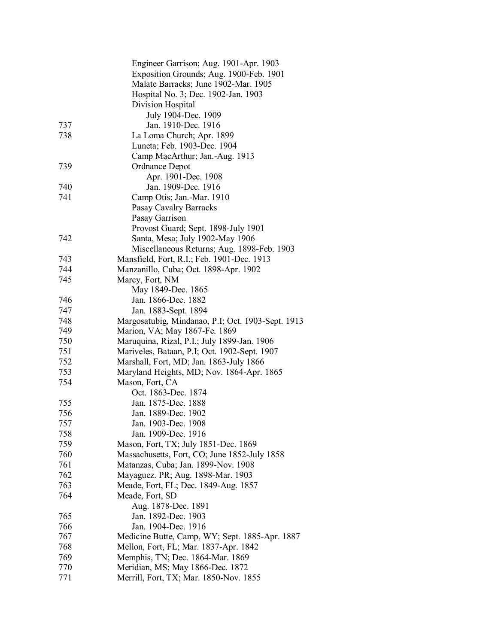|     | Engineer Garrison; Aug. 1901-Apr. 1903            |
|-----|---------------------------------------------------|
|     | Exposition Grounds; Aug. 1900-Feb. 1901           |
|     | Malate Barracks; June 1902-Mar. 1905              |
|     | Hospital No. 3; Dec. 1902-Jan. 1903               |
|     | Division Hospital                                 |
|     | July 1904-Dec. 1909                               |
| 737 | Jan. 1910-Dec. 1916                               |
| 738 | La Loma Church; Apr. 1899                         |
|     | Luneta; Feb. 1903-Dec. 1904                       |
|     | Camp MacArthur; Jan.-Aug. 1913                    |
| 739 | Ordnance Depot                                    |
|     | Apr. 1901-Dec. 1908                               |
| 740 | Jan. 1909-Dec. 1916                               |
| 741 | Camp Otis; Jan.-Mar. 1910                         |
|     | Pasay Cavalry Barracks                            |
|     | Pasay Garrison                                    |
|     | Provost Guard; Sept. 1898-July 1901               |
| 742 | Santa, Mesa; July 1902-May 1906                   |
|     | Miscellaneous Returns; Aug. 1898-Feb. 1903        |
| 743 | Mansfield, Fort, R.I.; Feb. 1901-Dec. 1913        |
| 744 | Manzanillo, Cuba; Oct. 1898-Apr. 1902             |
| 745 | Marcy, Fort, NM                                   |
|     | May 1849-Dec. 1865                                |
| 746 | Jan. 1866-Dec. 1882                               |
| 747 | Jan. 1883-Sept. 1894                              |
| 748 | Margosatubig, Mindanao, P.I; Oct. 1903-Sept. 1913 |
| 749 | Marion, VA; May 1867-Fe. 1869                     |
| 750 | Maruquina, Rizal, P.I.; July 1899-Jan. 1906       |
| 751 | Mariveles, Bataan, P.I; Oct. 1902-Sept. 1907      |
| 752 | Marshall, Fort, MD; Jan. 1863-July 1866           |
| 753 | Maryland Heights, MD; Nov. 1864-Apr. 1865         |
| 754 | Mason, Fort, CA                                   |
|     | Oct. 1863-Dec. 1874                               |
| 755 | Jan. 1875-Dec. 1888                               |
| 756 | Jan. 1889-Dec. 1902                               |
| 757 | Jan. 1903-Dec. 1908                               |
| 758 | Jan. 1909-Dec. 1916                               |
| 759 | Mason, Fort, TX; July 1851-Dec. 1869              |
| 760 | Massachusetts, Fort, CO; June 1852-July 1858      |
| 761 | Matanzas, Cuba; Jan. 1899-Nov. 1908               |
| 762 | Mayaguez. PR; Aug. 1898-Mar. 1903                 |
| 763 | Meade, Fort, FL; Dec. 1849-Aug. 1857              |
| 764 | Meade, Fort, SD                                   |
|     | Aug. 1878-Dec. 1891                               |
| 765 | Jan. 1892-Dec. 1903                               |
| 766 | Jan. 1904-Dec. 1916                               |
|     |                                                   |
| 767 | Medicine Butte, Camp, WY; Sept. 1885-Apr. 1887    |
| 768 | Mellon, Fort, FL; Mar. 1837-Apr. 1842             |
| 769 | Memphis, TN; Dec. 1864-Mar. 1869                  |
| 770 | Meridian, MS; May 1866-Dec. 1872                  |
| 771 | Merrill, Fort, TX; Mar. 1850-Nov. 1855            |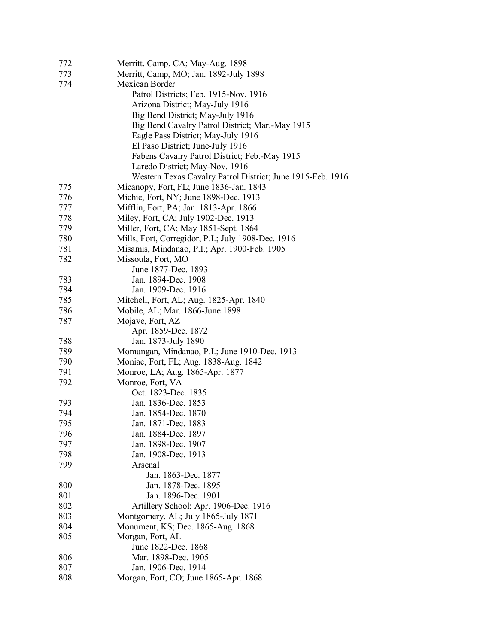| 772 | Merritt, Camp, CA; May-Aug. 1898                           |
|-----|------------------------------------------------------------|
| 773 | Merritt, Camp, MO; Jan. 1892-July 1898                     |
| 774 | Mexican Border                                             |
|     | Patrol Districts; Feb. 1915-Nov. 1916                      |
|     | Arizona District; May-July 1916                            |
|     | Big Bend District; May-July 1916                           |
|     | Big Bend Cavalry Patrol District; Mar.-May 1915            |
|     | Eagle Pass District; May-July 1916                         |
|     | El Paso District; June-July 1916                           |
|     | Fabens Cavalry Patrol District; Feb.-May 1915              |
|     | Laredo District; May-Nov. 1916                             |
|     | Western Texas Cavalry Patrol District; June 1915-Feb. 1916 |
| 775 | Micanopy, Fort, FL; June 1836-Jan. 1843                    |
| 776 | Michie, Fort, NY; June 1898-Dec. 1913                      |
| 777 | Mifflin, Fort, PA; Jan. 1813-Apr. 1866                     |
| 778 | Miley, Fort, CA; July 1902-Dec. 1913                       |
| 779 | Miller, Fort, CA; May 1851-Sept. 1864                      |
| 780 | Mills, Fort, Corregidor, P.I.; July 1908-Dec. 1916         |
| 781 | Misamis, Mindanao, P.I.; Apr. 1900-Feb. 1905               |
| 782 | Missoula, Fort, MO                                         |
|     | June 1877-Dec. 1893                                        |
| 783 | Jan. 1894-Dec. 1908                                        |
| 784 | Jan. 1909-Dec. 1916                                        |
| 785 | Mitchell, Fort, AL; Aug. 1825-Apr. 1840                    |
| 786 | Mobile, AL; Mar. 1866-June 1898                            |
| 787 | Mojave, Fort, AZ                                           |
|     | Apr. 1859-Dec. 1872                                        |
| 788 | Jan. 1873-July 1890                                        |
| 789 | Momungan, Mindanao, P.I.; June 1910-Dec. 1913              |
| 790 | Moniac, Fort, FL; Aug. 1838-Aug. 1842                      |
| 791 | Monroe, LA; Aug. 1865-Apr. 1877                            |
| 792 | Monroe, Fort, VA                                           |
|     | Oct. 1823-Dec. 1835                                        |
| 793 | Jan. 1836-Dec. 1853                                        |
| 794 | Jan. 1854-Dec. 1870                                        |
| 795 | Jan. 1871-Dec. 1883                                        |
| 796 | Jan. 1884-Dec. 1897                                        |
| 797 | Jan. 1898-Dec. 1907                                        |
| 798 | Jan. 1908-Dec. 1913                                        |
| 799 | Arsenal                                                    |
|     | Jan. 1863-Dec. 1877                                        |
| 800 | Jan. 1878-Dec. 1895                                        |
| 801 | Jan. 1896-Dec. 1901                                        |
| 802 | Artillery School; Apr. 1906-Dec. 1916                      |
| 803 | Montgomery, AL; July 1865-July 1871                        |
| 804 | Monument, KS; Dec. 1865-Aug. 1868                          |
| 805 | Morgan, Fort, AL                                           |
|     | June 1822-Dec. 1868                                        |
| 806 | Mar. 1898-Dec. 1905                                        |
| 807 | Jan. 1906-Dec. 1914                                        |
| 808 | Morgan, Fort, CO; June 1865-Apr. 1868                      |
|     |                                                            |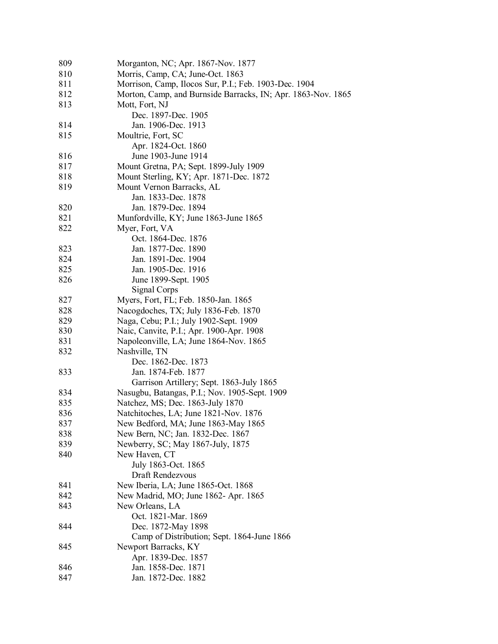| 809 | Morganton, NC; Apr. 1867-Nov. 1877                           |
|-----|--------------------------------------------------------------|
| 810 | Morris, Camp, CA; June-Oct. 1863                             |
| 811 | Morrison, Camp, Ilocos Sur, P.I.; Feb. 1903-Dec. 1904        |
| 812 | Morton, Camp, and Burnside Barracks, IN; Apr. 1863-Nov. 1865 |
| 813 | Mott, Fort, NJ                                               |
|     | Dec. 1897-Dec. 1905                                          |
| 814 | Jan. 1906-Dec. 1913                                          |
| 815 | Moultrie, Fort, SC                                           |
|     | Apr. 1824-Oct. 1860                                          |
| 816 | June 1903-June 1914                                          |
| 817 | Mount Gretna, PA; Sept. 1899-July 1909                       |
| 818 | Mount Sterling, KY; Apr. 1871-Dec. 1872                      |
| 819 | Mount Vernon Barracks, AL                                    |
|     | Jan. 1833-Dec. 1878                                          |
| 820 | Jan. 1879-Dec. 1894                                          |
| 821 | Munfordville, KY; June 1863-June 1865                        |
| 822 | Myer, Fort, VA                                               |
|     | Oct. 1864-Dec. 1876                                          |
| 823 | Jan. 1877-Dec. 1890                                          |
| 824 | Jan. 1891-Dec. 1904                                          |
| 825 | Jan. 1905-Dec. 1916                                          |
| 826 | June 1899-Sept. 1905                                         |
|     | Signal Corps                                                 |
| 827 | Myers, Fort, FL; Feb. 1850-Jan. 1865                         |
| 828 | Nacogdoches, TX; July 1836-Feb. 1870                         |
| 829 | Naga, Cebu; P.I.; July 1902-Sept. 1909                       |
| 830 | Naic, Canvite, P.I.; Apr. 1900-Apr. 1908                     |
| 831 | Napoleonville, LA; June 1864-Nov. 1865                       |
| 832 | Nashville, TN                                                |
|     | Dec. 1862-Dec. 1873                                          |
| 833 | Jan. 1874-Feb. 1877                                          |
|     | Garrison Artillery; Sept. 1863-July 1865                     |
| 834 | Nasugbu, Batangas, P.I.; Nov. 1905-Sept. 1909                |
| 835 | Natchez, MS; Dec. 1863-July 1870                             |
| 836 | Natchitoches, LA; June 1821-Nov. 1876                        |
| 837 | New Bedford, MA; June 1863-May 1865                          |
| 838 | New Bern, NC; Jan. 1832-Dec. 1867                            |
| 839 | Newberry, SC; May 1867-July, 1875                            |
| 840 | New Haven, CT                                                |
|     | July 1863-Oct. 1865                                          |
|     | Draft Rendezvous                                             |
| 841 | New Iberia, LA; June 1865-Oct. 1868                          |
| 842 | New Madrid, MO; June 1862- Apr. 1865                         |
| 843 | New Orleans, LA                                              |
|     | Oct. 1821-Mar. 1869                                          |
| 844 | Dec. 1872-May 1898                                           |
|     | Camp of Distribution; Sept. 1864-June 1866                   |
| 845 | Newport Barracks, KY                                         |
|     | Apr. 1839-Dec. 1857                                          |
| 846 | Jan. 1858-Dec. 1871                                          |
| 847 | Jan. 1872-Dec. 1882                                          |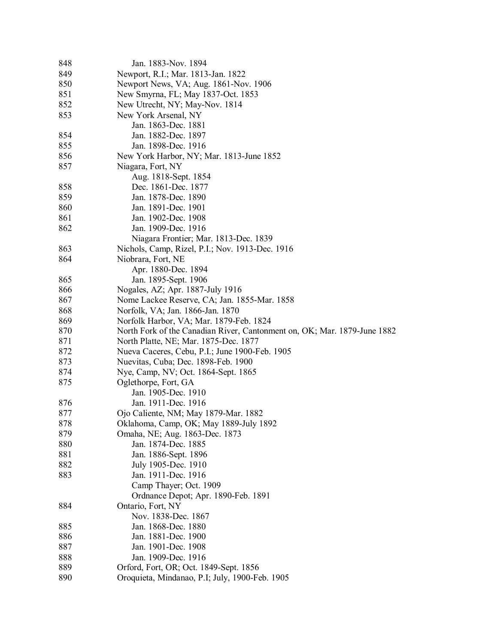| 848 | Jan. 1883-Nov. 1894                                                      |
|-----|--------------------------------------------------------------------------|
| 849 | Newport, R.I.; Mar. 1813-Jan. 1822                                       |
| 850 | Newport News, VA; Aug. 1861-Nov. 1906                                    |
| 851 | New Smyrna, FL; May 1837-Oct. 1853                                       |
| 852 | New Utrecht, NY; May-Nov. 1814                                           |
| 853 | New York Arsenal, NY                                                     |
|     | Jan. 1863-Dec. 1881                                                      |
| 854 | Jan. 1882-Dec. 1897                                                      |
| 855 | Jan. 1898-Dec. 1916                                                      |
| 856 | New York Harbor, NY; Mar. 1813-June 1852                                 |
| 857 | Niagara, Fort, NY                                                        |
|     | Aug. 1818-Sept. 1854                                                     |
| 858 | Dec. 1861-Dec. 1877                                                      |
| 859 | Jan. 1878-Dec. 1890                                                      |
| 860 | Jan. 1891-Dec. 1901                                                      |
| 861 | Jan. 1902-Dec. 1908                                                      |
| 862 | Jan. 1909-Dec. 1916                                                      |
|     | Niagara Frontier; Mar. 1813-Dec. 1839                                    |
| 863 | Nichols, Camp, Rizel, P.I.; Nov. 1913-Dec. 1916                          |
| 864 | Niobrara, Fort, NE                                                       |
|     | Apr. 1880-Dec. 1894                                                      |
| 865 | Jan. 1895-Sept. 1906                                                     |
| 866 | Nogales, AZ; Apr. 1887-July 1916                                         |
| 867 | Nome Lackee Reserve, CA; Jan. 1855-Mar. 1858                             |
| 868 | Norfolk, VA; Jan. 1866-Jan. 1870                                         |
| 869 | Norfolk Harbor, VA; Mar. 1879-Feb. 1824                                  |
| 870 | North Fork of the Canadian River, Cantonment on, OK; Mar. 1879-June 1882 |
| 871 | North Platte, NE; Mar. 1875-Dec. 1877                                    |
| 872 | Nueva Caceres, Cebu, P.I.; June 1900-Feb. 1905                           |
| 873 | Nuevitas, Cuba; Dec. 1898-Feb. 1900                                      |
| 874 | Nye, Camp, NV; Oct. 1864-Sept. 1865                                      |
| 875 | Oglethorpe, Fort, GA                                                     |
|     | Jan. 1905-Dec. 1910                                                      |
| 876 | Jan. 1911-Dec. 1916                                                      |
| 877 | Ojo Caliente, NM; May 1879-Mar. 1882                                     |
| 878 | Oklahoma, Camp, OK; May 1889-July 1892                                   |
| 879 | Omaha, NE; Aug. 1863-Dec. 1873                                           |
| 880 | Jan. 1874-Dec. 1885                                                      |
| 881 | Jan. 1886-Sept. 1896                                                     |
| 882 | July 1905-Dec. 1910                                                      |
| 883 | Jan. 1911-Dec. 1916                                                      |
|     | Camp Thayer; Oct. 1909                                                   |
|     | Ordnance Depot; Apr. 1890-Feb. 1891                                      |
| 884 | Ontario, Fort, NY                                                        |
|     | Nov. 1838-Dec. 1867                                                      |
| 885 | Jan. 1868-Dec. 1880                                                      |
| 886 | Jan. 1881-Dec. 1900                                                      |
| 887 | Jan. 1901-Dec. 1908                                                      |
| 888 | Jan. 1909-Dec. 1916                                                      |
| 889 | Orford, Fort, OR; Oct. 1849-Sept. 1856                                   |
| 890 | Oroquieta, Mindanao, P.I; July, 1900-Feb. 1905                           |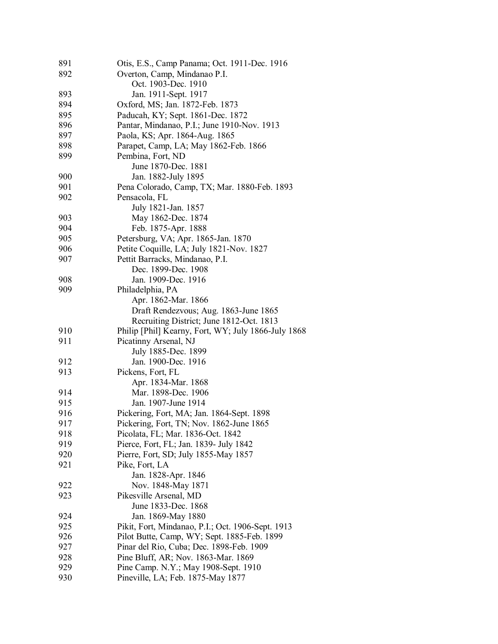| 891 | Otis, E.S., Camp Panama; Oct. 1911-Dec. 1916        |
|-----|-----------------------------------------------------|
| 892 | Overton, Camp, Mindanao P.I.                        |
|     | Oct. 1903-Dec. 1910                                 |
| 893 | Jan. 1911-Sept. 1917                                |
| 894 | Oxford, MS; Jan. 1872-Feb. 1873                     |
| 895 | Paducah, KY; Sept. 1861-Dec. 1872                   |
| 896 | Pantar, Mindanao, P.I.; June 1910-Nov. 1913         |
| 897 | Paola, KS; Apr. 1864-Aug. 1865                      |
| 898 | Parapet, Camp, LA; May 1862-Feb. 1866               |
| 899 | Pembina, Fort, ND                                   |
|     | June 1870-Dec. 1881                                 |
| 900 | Jan. 1882-July 1895                                 |
| 901 | Pena Colorado, Camp, TX; Mar. 1880-Feb. 1893        |
| 902 | Pensacola, FL                                       |
|     | July 1821-Jan. 1857                                 |
| 903 | May 1862-Dec. 1874                                  |
| 904 | Feb. 1875-Apr. 1888                                 |
| 905 | Petersburg, VA; Apr. 1865-Jan. 1870                 |
| 906 | Petite Coquille, LA; July 1821-Nov. 1827            |
| 907 | Pettit Barracks, Mindanao, P.I.                     |
|     | Dec. 1899-Dec. 1908                                 |
| 908 | Jan. 1909-Dec. 1916                                 |
| 909 | Philadelphia, PA                                    |
|     | Apr. 1862-Mar. 1866                                 |
|     | Draft Rendezvous; Aug. 1863-June 1865               |
|     | Recruiting District; June 1812-Oct. 1813            |
| 910 | Philip [Phil] Kearny, Fort, WY; July 1866-July 1868 |
| 911 | Picatinny Arsenal, NJ                               |
|     | July 1885-Dec. 1899                                 |
| 912 | Jan. 1900-Dec. 1916                                 |
| 913 | Pickens, Fort, FL                                   |
|     | Apr. 1834-Mar. 1868                                 |
| 914 | Mar. 1898-Dec. 1906                                 |
| 915 | Jan. 1907-June 1914                                 |
| 916 | Pickering, Fort, MA; Jan. 1864-Sept. 1898           |
| 917 | Pickering, Fort, TN; Nov. 1862-June 1865            |
| 918 | Picolata, FL; Mar. 1836-Oct. 1842                   |
| 919 | Pierce, Fort, FL; Jan. 1839- July 1842              |
| 920 | Pierre, Fort, SD; July 1855-May 1857                |
| 921 | Pike, Fort, LA                                      |
|     | Jan. 1828-Apr. 1846                                 |
| 922 | Nov. 1848-May 1871                                  |
| 923 | Pikesville Arsenal, MD                              |
|     | June 1833-Dec. 1868                                 |
| 924 | Jan. 1869-May 1880                                  |
| 925 | Pikit, Fort, Mindanao, P.I.; Oct. 1906-Sept. 1913   |
| 926 | Pilot Butte, Camp, WY; Sept. 1885-Feb. 1899         |
| 927 | Pinar del Rio, Cuba; Dec. 1898-Feb. 1909            |
| 928 | Pine Bluff, AR; Nov. 1863-Mar. 1869                 |
| 929 | Pine Camp. N.Y.; May 1908-Sept. 1910                |
| 930 | Pineville, LA; Feb. 1875-May 1877                   |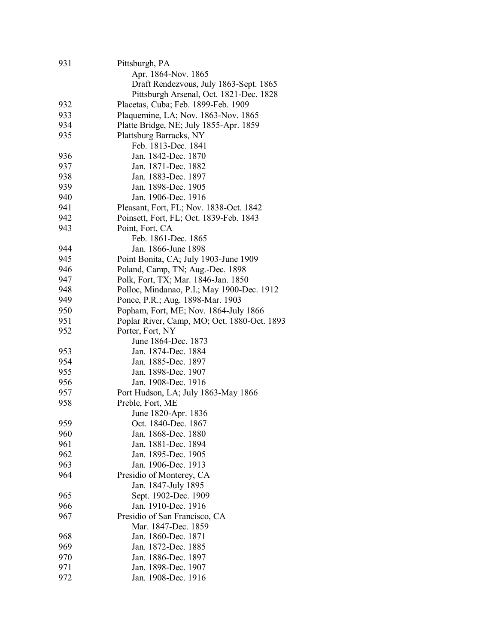| 931 | Pittsburgh, PA                              |
|-----|---------------------------------------------|
|     | Apr. 1864-Nov. 1865                         |
|     | Draft Rendezvous, July 1863-Sept. 1865      |
|     | Pittsburgh Arsenal, Oct. 1821-Dec. 1828     |
| 932 | Placetas, Cuba; Feb. 1899-Feb. 1909         |
| 933 | Plaquemine, LA; Nov. 1863-Nov. 1865         |
| 934 | Platte Bridge, NE; July 1855-Apr. 1859      |
| 935 | Plattsburg Barracks, NY                     |
|     | Feb. 1813-Dec. 1841                         |
| 936 | Jan. 1842-Dec. 1870                         |
| 937 | Jan. 1871-Dec. 1882                         |
| 938 | Jan. 1883-Dec. 1897                         |
| 939 | Jan. 1898-Dec. 1905                         |
| 940 | Jan. 1906-Dec. 1916                         |
| 941 | Pleasant, Fort, FL; Nov. 1838-Oct. 1842     |
| 942 | Poinsett, Fort, FL; Oct. 1839-Feb. 1843     |
| 943 | Point, Fort, CA                             |
|     | Feb. 1861-Dec. 1865                         |
| 944 | Jan. 1866-June 1898                         |
| 945 | Point Bonita, CA; July 1903-June 1909       |
| 946 | Poland, Camp, TN; Aug.-Dec. 1898            |
| 947 | Polk, Fort, TX; Mar. 1846-Jan. 1850         |
| 948 | Polloc, Mindanao, P.I.; May 1900-Dec. 1912  |
| 949 | Ponce, P.R.; Aug. 1898-Mar. 1903            |
| 950 | Popham, Fort, ME; Nov. 1864-July 1866       |
| 951 | Poplar River, Camp, MO; Oct. 1880-Oct. 1893 |
| 952 | Porter, Fort, NY                            |
|     | June 1864-Dec. 1873                         |
| 953 | Jan. 1874-Dec. 1884                         |
| 954 | Jan. 1885-Dec. 1897                         |
| 955 | Jan. 1898-Dec. 1907                         |
| 956 | Jan. 1908-Dec. 1916                         |
| 957 | Port Hudson, LA; July 1863-May 1866         |
| 958 | Preble, Fort, ME                            |
|     | June 1820-Apr. 1836                         |
| 959 | Oct. 1840-Dec. 1867                         |
| 960 | Jan. 1868-Dec. 1880                         |
| 961 | Jan. 1881-Dec. 1894                         |
| 962 | Jan. 1895-Dec. 1905                         |
| 963 | Jan. 1906-Dec. 1913                         |
| 964 | Presidio of Monterey, CA                    |
|     | Jan. 1847-July 1895                         |
| 965 | Sept. 1902-Dec. 1909                        |
| 966 | Jan. 1910-Dec. 1916                         |
| 967 | Presidio of San Francisco, CA               |
|     | Mar. 1847-Dec. 1859                         |
| 968 | Jan. 1860-Dec. 1871                         |
| 969 | Jan. 1872-Dec. 1885                         |
| 970 | Jan. 1886-Dec. 1897                         |
| 971 | Jan. 1898-Dec. 1907                         |
| 972 | Jan. 1908-Dec. 1916                         |
|     |                                             |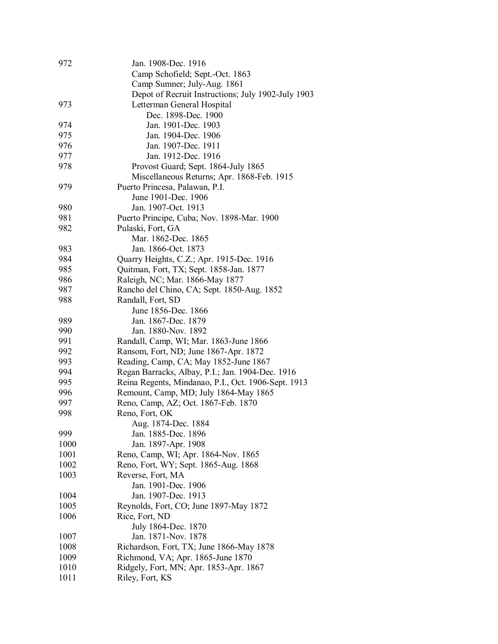| 972  | Jan. 1908-Dec. 1916                                 |
|------|-----------------------------------------------------|
|      | Camp Schofield; Sept.-Oct. 1863                     |
|      | Camp Sumner; July-Aug. 1861                         |
|      | Depot of Recruit Instructions; July 1902-July 1903  |
| 973  | Letterman General Hospital                          |
|      | Dec. 1898-Dec. 1900                                 |
| 974  | Jan. 1901-Dec. 1903                                 |
| 975  | Jan. 1904-Dec. 1906                                 |
| 976  | Jan. 1907-Dec. 1911                                 |
| 977  | Jan. 1912-Dec. 1916                                 |
| 978  | Provost Guard; Sept. 1864-July 1865                 |
|      | Miscellaneous Returns; Apr. 1868-Feb. 1915          |
| 979  | Puerto Princesa, Palawan, P.I.                      |
|      | June 1901-Dec. 1906                                 |
| 980  | Jan. 1907-Oct. 1913                                 |
|      |                                                     |
| 981  | Puerto Principe, Cuba; Nov. 1898-Mar. 1900          |
| 982  | Pulaski, Fort, GA                                   |
|      | Mar. 1862-Dec. 1865                                 |
| 983  | Jan. 1866-Oct. 1873                                 |
| 984  | Quarry Heights, C.Z.; Apr. 1915-Dec. 1916           |
| 985  | Quitman, Fort, TX; Sept. 1858-Jan. 1877             |
| 986  | Raleigh, NC; Mar. 1866-May 1877                     |
| 987  | Rancho del Chino, CA; Sept. 1850-Aug. 1852          |
| 988  | Randall, Fort, SD                                   |
|      | June 1856-Dec. 1866                                 |
| 989  | Jan. 1867-Dec. 1879                                 |
| 990  | Jan. 1880-Nov. 1892                                 |
| 991  | Randall, Camp, WI; Mar. 1863-June 1866              |
| 992  | Ransom, Fort, ND; June 1867-Apr. 1872               |
| 993  | Reading, Camp, CA; May 1852-June 1867               |
| 994  | Regan Barracks, Albay, P.I.; Jan. 1904-Dec. 1916    |
| 995  | Reina Regents, Mindanao, P.I., Oct. 1906-Sept. 1913 |
| 996  | Remount, Camp, MD; July 1864-May 1865               |
| 997  | Reno, Camp, AZ; Oct. 1867-Feb. 1870                 |
| 998  | Reno, Fort, OK                                      |
|      | Aug. 1874-Dec. 1884                                 |
| 999  | Jan. 1885-Dec. 1896                                 |
| 1000 | Jan. 1897-Apr. 1908                                 |
| 1001 | Reno, Camp, WI; Apr. 1864-Nov. 1865                 |
| 1002 | Reno, Fort, WY; Sept. 1865-Aug. 1868                |
| 1003 | Reverse, Fort, MA                                   |
|      | Jan. 1901-Dec. 1906                                 |
| 1004 | Jan. 1907-Dec. 1913                                 |
| 1005 | Reynolds, Fort, CO; June 1897-May 1872              |
| 1006 | Rice, Fort, ND                                      |
|      | July 1864-Dec. 1870                                 |
| 1007 | Jan. 1871-Nov. 1878                                 |
| 1008 | Richardson, Fort, TX; June 1866-May 1878            |
| 1009 | Richmond, VA; Apr. 1865-June 1870                   |
| 1010 | Ridgely, Fort, MN; Apr. 1853-Apr. 1867              |
| 1011 |                                                     |
|      | Riley, Fort, KS                                     |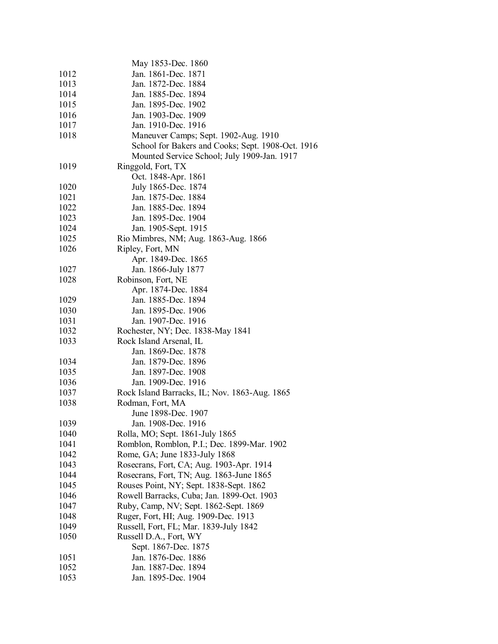|      | May 1853-Dec. 1860                                |  |
|------|---------------------------------------------------|--|
| 1012 | Jan. 1861-Dec. 1871                               |  |
| 1013 | Jan. 1872-Dec. 1884                               |  |
| 1014 | Jan. 1885-Dec. 1894                               |  |
| 1015 | Jan. 1895-Dec. 1902                               |  |
| 1016 | Jan. 1903-Dec. 1909                               |  |
| 1017 | Jan. 1910-Dec. 1916                               |  |
| 1018 | Maneuver Camps; Sept. 1902-Aug. 1910              |  |
|      | School for Bakers and Cooks; Sept. 1908-Oct. 1916 |  |
|      | Mounted Service School; July 1909-Jan. 1917       |  |
| 1019 | Ringgold, Fort, TX                                |  |
|      | Oct. 1848-Apr. 1861                               |  |
| 1020 | July 1865-Dec. 1874                               |  |
| 1021 | Jan. 1875-Dec. 1884                               |  |
| 1022 | Jan. 1885-Dec. 1894                               |  |
| 1023 | Jan. 1895-Dec. 1904                               |  |
| 1024 | Jan. 1905-Sept. 1915                              |  |
| 1025 | Rio Mimbres, NM; Aug. 1863-Aug. 1866              |  |
| 1026 | Ripley, Fort, MN                                  |  |
|      | Apr. 1849-Dec. 1865                               |  |
| 1027 | Jan. 1866-July 1877                               |  |
| 1028 | Robinson, Fort, NE                                |  |
|      | Apr. 1874-Dec. 1884                               |  |
| 1029 | Jan. 1885-Dec. 1894                               |  |
| 1030 | Jan. 1895-Dec. 1906                               |  |
| 1031 | Jan. 1907-Dec. 1916                               |  |
| 1032 | Rochester, NY; Dec. 1838-May 1841                 |  |
| 1033 | Rock Island Arsenal, IL                           |  |
|      | Jan. 1869-Dec. 1878                               |  |
| 1034 | Jan. 1879-Dec. 1896                               |  |
| 1035 | Jan. 1897-Dec. 1908                               |  |
| 1036 | Jan. 1909-Dec. 1916                               |  |
| 1037 | Rock Island Barracks, IL; Nov. 1863-Aug. 1865     |  |
| 1038 | Rodman, Fort, MA                                  |  |
|      | June 1898-Dec. 1907                               |  |
| 1039 | Jan. 1908-Dec. 1916                               |  |
| 1040 | Rolla, MO; Sept. 1861-July 1865                   |  |
| 1041 | Romblon, Romblon, P.I.; Dec. 1899-Mar. 1902       |  |
| 1042 | Rome, GA; June 1833-July 1868                     |  |
| 1043 | Rosecrans, Fort, CA; Aug. 1903-Apr. 1914          |  |
| 1044 | Rosecrans, Fort, TN; Aug. 1863-June 1865          |  |
| 1045 | Rouses Point, NY; Sept. 1838-Sept. 1862           |  |
| 1046 | Rowell Barracks, Cuba; Jan. 1899-Oct. 1903        |  |
| 1047 | Ruby, Camp, NV; Sept. 1862-Sept. 1869             |  |
| 1048 | Ruger, Fort, HI; Aug. 1909-Dec. 1913              |  |
| 1049 | Russell, Fort, FL; Mar. 1839-July 1842            |  |
| 1050 | Russell D.A., Fort, WY                            |  |
|      | Sept. 1867-Dec. 1875                              |  |
| 1051 | Jan. 1876-Dec. 1886                               |  |
| 1052 | Jan. 1887-Dec. 1894                               |  |
| 1053 | Jan. 1895-Dec. 1904                               |  |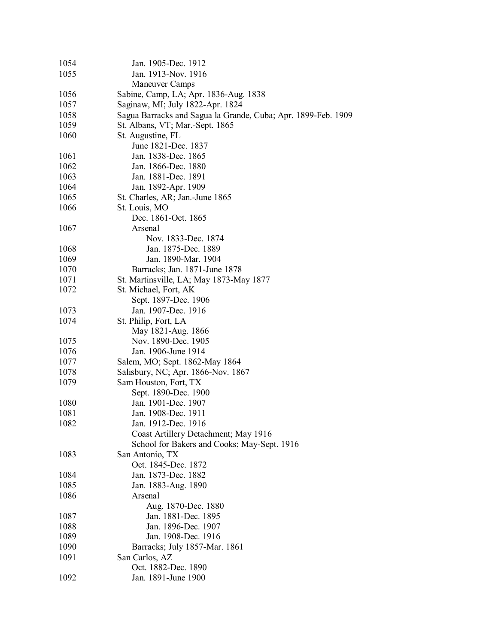| 1054         | Jan. 1905-Dec. 1912                                           |
|--------------|---------------------------------------------------------------|
| 1055         | Jan. 1913-Nov. 1916                                           |
|              | <b>Maneuver Camps</b>                                         |
| 1056         | Sabine, Camp, LA; Apr. 1836-Aug. 1838                         |
| 1057         | Saginaw, MI; July 1822-Apr. 1824                              |
| 1058         | Sagua Barracks and Sagua la Grande, Cuba; Apr. 1899-Feb. 1909 |
| 1059         | St. Albans, VT; Mar.-Sept. 1865                               |
| 1060         | St. Augustine, FL                                             |
|              | June 1821-Dec. 1837                                           |
| 1061         | Jan. 1838-Dec. 1865                                           |
| 1062         | Jan. 1866-Dec. 1880                                           |
| 1063         | Jan. 1881-Dec. 1891                                           |
| 1064         | Jan. 1892-Apr. 1909                                           |
| 1065         | St. Charles, AR; Jan.-June 1865                               |
| 1066         | St. Louis, MO                                                 |
|              | Dec. 1861-Oct. 1865                                           |
| 1067         | Arsenal                                                       |
|              | Nov. 1833-Dec. 1874                                           |
| 1068         | Jan. 1875-Dec. 1889                                           |
| 1069         | Jan. 1890-Mar. 1904                                           |
| 1070         | Barracks; Jan. 1871-June 1878                                 |
| 1071         | St. Martinsville, LA; May 1873-May 1877                       |
| 1072         | St. Michael, Fort, AK                                         |
|              | Sept. 1897-Dec. 1906                                          |
| 1073         | Jan. 1907-Dec. 1916                                           |
| 1074         | St. Philip, Fort, LA                                          |
|              | May 1821-Aug. 1866                                            |
| 1075         | Nov. 1890-Dec. 1905                                           |
| 1076         | Jan. 1906-June 1914                                           |
| 1077         | Salem, MO; Sept. 1862-May 1864                                |
| 1078         | Salisbury, NC; Apr. 1866-Nov. 1867                            |
| 1079         | Sam Houston, Fort, TX                                         |
|              | Sept. 1890-Dec. 1900                                          |
| 1080         | Jan. 1901-Dec. 1907                                           |
| 1081<br>1082 | Jan. 1908-Dec. 1911<br>Jan. 1912-Dec. 1916                    |
|              | Coast Artillery Detachment; May 1916                          |
|              | School for Bakers and Cooks; May-Sept. 1916                   |
| 1083         | San Antonio, TX                                               |
|              | Oct. 1845-Dec. 1872                                           |
| 1084         | Jan. 1873-Dec. 1882                                           |
| 1085         | Jan. 1883-Aug. 1890                                           |
| 1086         | Arsenal                                                       |
|              | Aug. 1870-Dec. 1880                                           |
| 1087         | Jan. 1881-Dec. 1895                                           |
| 1088         | Jan. 1896-Dec. 1907                                           |
| 1089         | Jan. 1908-Dec. 1916                                           |
| 1090         | Barracks; July 1857-Mar. 1861                                 |
| 1091         | San Carlos, AZ                                                |
|              | Oct. 1882-Dec. 1890                                           |
| 1092         | Jan. 1891-June 1900                                           |
|              |                                                               |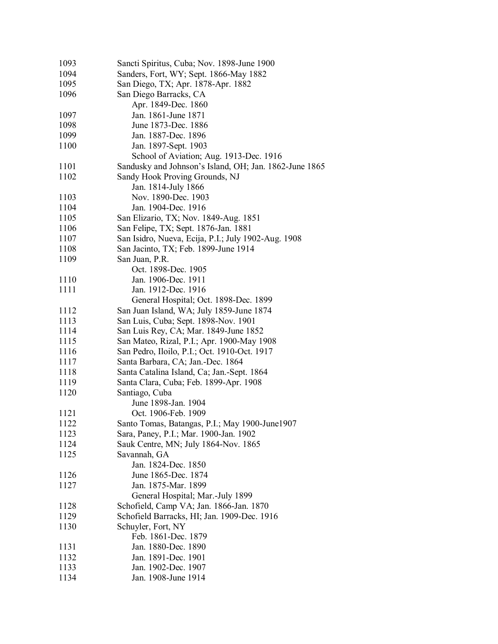| Sancti Spiritus, Cuba; Nov. 1898-June 1900             |
|--------------------------------------------------------|
| Sanders, Fort, WY; Sept. 1866-May 1882                 |
| San Diego, TX; Apr. 1878-Apr. 1882                     |
| San Diego Barracks, CA                                 |
| Apr. 1849-Dec. 1860                                    |
| Jan. 1861-June 1871                                    |
| June 1873-Dec. 1886                                    |
| Jan. 1887-Dec. 1896                                    |
| Jan. 1897-Sept. 1903                                   |
| School of Aviation; Aug. 1913-Dec. 1916                |
| Sandusky and Johnson's Island, OH; Jan. 1862-June 1865 |
| Sandy Hook Proving Grounds, NJ                         |
| Jan. 1814-July 1866                                    |
| Nov. 1890-Dec. 1903                                    |
| Jan. 1904-Dec. 1916                                    |
| San Elizario, TX; Nov. 1849-Aug. 1851                  |
| San Felipe, TX; Sept. 1876-Jan. 1881                   |
|                                                        |
| San Isidro, Nueva, Ecija, P.I.; July 1902-Aug. 1908    |
| San Jacinto, TX; Feb. 1899-June 1914                   |
| San Juan, P.R.                                         |
| Oct. 1898-Dec. 1905                                    |
| Jan. 1906-Dec. 1911                                    |
| Jan. 1912-Dec. 1916                                    |
| General Hospital; Oct. 1898-Dec. 1899                  |
| San Juan Island, WA; July 1859-June 1874               |
| San Luis, Cuba; Sept. 1898-Nov. 1901                   |
| San Luis Rey, CA; Mar. 1849-June 1852                  |
| San Mateo, Rizal, P.I.; Apr. 1900-May 1908             |
| San Pedro, Iloilo, P.I.; Oct. 1910-Oct. 1917           |
| Santa Barbara, CA; Jan.-Dec. 1864                      |
| Santa Catalina Island, Ca; Jan.-Sept. 1864             |
| Santa Clara, Cuba; Feb. 1899-Apr. 1908                 |
| Santiago, Cuba                                         |
| June 1898-Jan. 1904                                    |
| Oct. 1906-Feb. 1909                                    |
| Santo Tomas, Batangas, P.I.; May 1900-June1907         |
| Sara, Paney, P.I.; Mar. 1900-Jan. 1902                 |
| Sauk Centre, MN; July 1864-Nov. 1865                   |
| Savannah, GA                                           |
| Jan. 1824-Dec. 1850                                    |
| June 1865-Dec. 1874                                    |
| Jan. 1875-Mar. 1899                                    |
| General Hospital; Mar.-July 1899                       |
| Schofield, Camp VA; Jan. 1866-Jan. 1870                |
| Schofield Barracks, HI; Jan. 1909-Dec. 1916            |
| Schuyler, Fort, NY                                     |
| Feb. 1861-Dec. 1879                                    |
| Jan. 1880-Dec. 1890                                    |
| Jan. 1891-Dec. 1901                                    |
| Jan. 1902-Dec. 1907                                    |
| Jan. 1908-June 1914                                    |
|                                                        |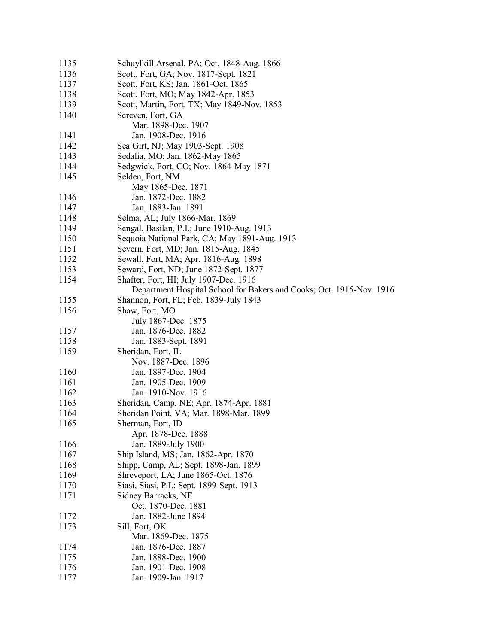| 1135 | Schuylkill Arsenal, PA; Oct. 1848-Aug. 1866                          |
|------|----------------------------------------------------------------------|
| 1136 | Scott, Fort, GA; Nov. 1817-Sept. 1821                                |
| 1137 | Scott, Fort, KS; Jan. 1861-Oct. 1865                                 |
| 1138 | Scott, Fort, MO; May 1842-Apr. 1853                                  |
| 1139 | Scott, Martin, Fort, TX; May 1849-Nov. 1853                          |
| 1140 | Screven, Fort, GA                                                    |
|      | Mar. 1898-Dec. 1907                                                  |
| 1141 | Jan. 1908-Dec. 1916                                                  |
| 1142 | Sea Girt, NJ; May 1903-Sept. 1908                                    |
| 1143 | Sedalia, MO; Jan. 1862-May 1865                                      |
| 1144 | Sedgwick, Fort, CO; Nov. 1864-May 1871                               |
| 1145 | Selden, Fort, NM                                                     |
|      | May 1865-Dec. 1871                                                   |
| 1146 | Jan. 1872-Dec. 1882                                                  |
| 1147 | Jan. 1883-Jan. 1891                                                  |
| 1148 | Selma, AL; July 1866-Mar. 1869                                       |
| 1149 | Sengal, Basilan, P.I.; June 1910-Aug. 1913                           |
| 1150 | Sequoia National Park, CA; May 1891-Aug. 1913                        |
| 1151 | Severn, Fort, MD; Jan. 1815-Aug. 1845                                |
| 1152 | Sewall, Fort, MA; Apr. 1816-Aug. 1898                                |
| 1153 | Seward, Fort, ND; June 1872-Sept. 1877                               |
| 1154 | Shafter, Fort, HI; July 1907-Dec. 1916                               |
|      | Department Hospital School for Bakers and Cooks; Oct. 1915-Nov. 1916 |
| 1155 | Shannon, Fort, FL; Feb. 1839-July 1843                               |
| 1156 | Shaw, Fort, MO                                                       |
|      | July 1867-Dec. 1875                                                  |
| 1157 | Jan. 1876-Dec. 1882                                                  |
| 1158 | Jan. 1883-Sept. 1891                                                 |
| 1159 | Sheridan, Fort, IL                                                   |
|      | Nov. 1887-Dec. 1896                                                  |
| 1160 | Jan. 1897-Dec. 1904                                                  |
| 1161 | Jan. 1905-Dec. 1909                                                  |
| 1162 | Jan. 1910-Nov. 1916                                                  |
| 1163 | Sheridan, Camp, NE; Apr. 1874-Apr. 1881                              |
| 1164 | Sheridan Point, VA; Mar. 1898-Mar. 1899                              |
| 1165 | Sherman, Fort, ID                                                    |
|      | Apr. 1878-Dec. 1888                                                  |
| 1166 | Jan. 1889-July 1900                                                  |
| 1167 | Ship Island, MS; Jan. 1862-Apr. 1870                                 |
| 1168 | Shipp, Camp, AL; Sept. 1898-Jan. 1899                                |
| 1169 | Shreveport, LA; June 1865-Oct. 1876                                  |
| 1170 | Siasi, Siasi, P.I.; Sept. 1899-Sept. 1913                            |
| 1171 | Sidney Barracks, NE                                                  |
|      | Oct. 1870-Dec. 1881                                                  |
| 1172 | Jan. 1882-June 1894                                                  |
|      |                                                                      |
| 1173 | Sill, Fort, OK                                                       |
|      | Mar. 1869-Dec. 1875                                                  |
| 1174 | Jan. 1876-Dec. 1887                                                  |
| 1175 | Jan. 1888-Dec. 1900                                                  |
| 1176 | Jan. 1901-Dec. 1908                                                  |
| 1177 | Jan. 1909-Jan. 1917                                                  |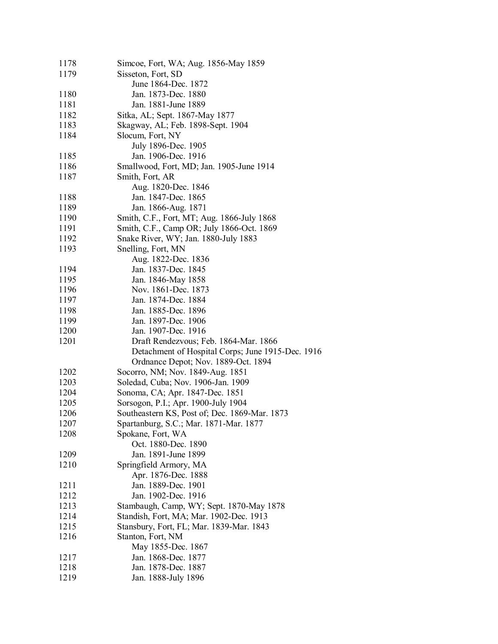| 1178 | Simcoe, Fort, WA; Aug. 1856-May 1859              |
|------|---------------------------------------------------|
| 1179 | Sisseton, Fort, SD                                |
|      | June 1864-Dec. 1872                               |
| 1180 | Jan. 1873-Dec. 1880                               |
| 1181 | Jan. 1881-June 1889                               |
| 1182 | Sitka, AL; Sept. 1867-May 1877                    |
| 1183 | Skagway, AL; Feb. 1898-Sept. 1904                 |
| 1184 | Slocum, Fort, NY                                  |
|      | July 1896-Dec. 1905                               |
| 1185 | Jan. 1906-Dec. 1916                               |
| 1186 | Smallwood, Fort, MD; Jan. 1905-June 1914          |
| 1187 | Smith, Fort, AR                                   |
|      | Aug. 1820-Dec. 1846                               |
| 1188 | Jan. 1847-Dec. 1865                               |
| 1189 | Jan. 1866-Aug. 1871                               |
| 1190 | Smith, C.F., Fort, MT; Aug. 1866-July 1868        |
| 1191 | Smith, C.F., Camp OR; July 1866-Oct. 1869         |
| 1192 | Snake River, WY; Jan. 1880-July 1883              |
| 1193 | Snelling, Fort, MN                                |
|      | Aug. 1822-Dec. 1836                               |
| 1194 | Jan. 1837-Dec. 1845                               |
| 1195 | Jan. 1846-May 1858                                |
| 1196 | Nov. 1861-Dec. 1873                               |
| 1197 | Jan. 1874-Dec. 1884                               |
| 1198 | Jan. 1885-Dec. 1896                               |
| 1199 | Jan. 1897-Dec. 1906                               |
| 1200 | Jan. 1907-Dec. 1916                               |
| 1201 | Draft Rendezvous; Feb. 1864-Mar. 1866             |
|      | Detachment of Hospital Corps; June 1915-Dec. 1916 |
|      | Ordnance Depot; Nov. 1889-Oct. 1894               |
| 1202 | Socorro, NM; Nov. 1849-Aug. 1851                  |
| 1203 | Soledad, Cuba; Nov. 1906-Jan. 1909                |
| 1204 | Sonoma, CA; Apr. 1847-Dec. 1851                   |
| 1205 | Sorsogon, P.I.; Apr. 1900-July 1904               |
| 1206 | Southeastern KS, Post of; Dec. 1869-Mar. 1873     |
| 1207 | Spartanburg, S.C.; Mar. 1871-Mar. 1877            |
| 1208 | Spokane, Fort, WA                                 |
|      | Oct. 1880-Dec. 1890                               |
| 1209 | Jan. 1891-June 1899                               |
| 1210 | Springfield Armory, MA                            |
|      | Apr. 1876-Dec. 1888                               |
| 1211 | Jan. 1889-Dec. 1901                               |
| 1212 | Jan. 1902-Dec. 1916                               |
| 1213 | Stambaugh, Camp, WY; Sept. 1870-May 1878          |
| 1214 | Standish, Fort, MA; Mar. 1902-Dec. 1913           |
| 1215 | Stansbury, Fort, FL; Mar. 1839-Mar. 1843          |
| 1216 | Stanton, Fort, NM                                 |
|      | May 1855-Dec. 1867                                |
| 1217 | Jan. 1868-Dec. 1877                               |
| 1218 | Jan. 1878-Dec. 1887                               |
| 1219 | Jan. 1888-July 1896                               |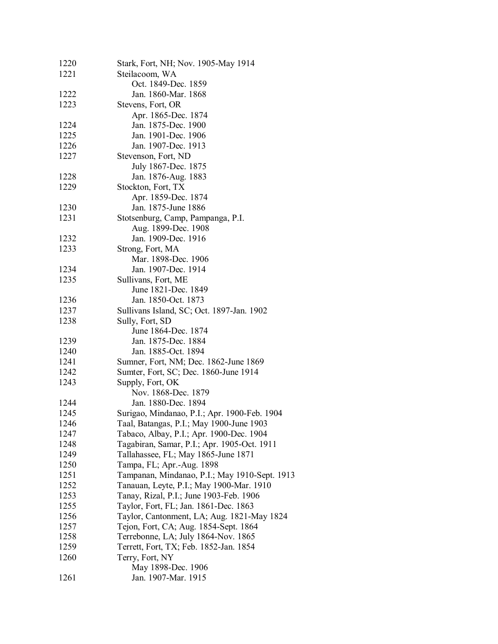| 1220 | Stark, Fort, NH; Nov. 1905-May 1914           |
|------|-----------------------------------------------|
| 1221 | Steilacoom, WA                                |
|      | Oct. 1849-Dec. 1859                           |
| 1222 | Jan. 1860-Mar. 1868                           |
| 1223 | Stevens, Fort, OR                             |
|      | Apr. 1865-Dec. 1874                           |
| 1224 | Jan. 1875-Dec. 1900                           |
| 1225 | Jan. 1901-Dec. 1906                           |
| 1226 | Jan. 1907-Dec. 1913                           |
| 1227 | Stevenson, Fort, ND                           |
|      | July 1867-Dec. 1875                           |
| 1228 | Jan. 1876-Aug. 1883                           |
| 1229 | Stockton, Fort, TX                            |
|      | Apr. 1859-Dec. 1874                           |
| 1230 | Jan. 1875-June 1886                           |
| 1231 | Stotsenburg, Camp, Pampanga, P.I.             |
|      | Aug. 1899-Dec. 1908                           |
| 1232 | Jan. 1909-Dec. 1916                           |
| 1233 | Strong, Fort, MA                              |
|      | Mar. 1898-Dec. 1906                           |
| 1234 | Jan. 1907-Dec. 1914                           |
| 1235 | Sullivans, Fort, ME                           |
|      | June 1821-Dec. 1849                           |
| 1236 | Jan. 1850-Oct. 1873                           |
| 1237 | Sullivans Island, SC; Oct. 1897-Jan. 1902     |
| 1238 | Sully, Fort, SD                               |
|      | June 1864-Dec. 1874                           |
| 1239 | Jan. 1875-Dec. 1884                           |
| 1240 | Jan. 1885-Oct. 1894                           |
| 1241 | Sumner, Fort, NM; Dec. 1862-June 1869         |
| 1242 | Sumter, Fort, SC; Dec. 1860-June 1914         |
| 1243 |                                               |
|      | Supply, Fort, OK<br>Nov. 1868-Dec. 1879       |
| 1244 | Jan. 1880-Dec. 1894                           |
| 1245 |                                               |
|      | Surigao, Mindanao, P.I.; Apr. 1900-Feb. 1904  |
| 1246 | Taal, Batangas, P.I.; May 1900-June 1903      |
| 1247 | Tabaco, Albay, P.I.; Apr. 1900-Dec. 1904      |
| 1248 | Tagabiran, Samar, P.I.; Apr. 1905-Oct. 1911   |
| 1249 | Tallahassee, FL; May 1865-June 1871           |
| 1250 | Tampa, FL; Apr.-Aug. 1898                     |
| 1251 | Tampanan, Mindanao, P.I.; May 1910-Sept. 1913 |
| 1252 | Tanauan, Leyte, P.I.; May 1900-Mar. 1910      |
| 1253 | Tanay, Rizal, P.I.; June 1903-Feb. 1906       |
| 1255 | Taylor, Fort, FL; Jan. 1861-Dec. 1863         |
| 1256 | Taylor, Cantonment, LA; Aug. 1821-May 1824    |
| 1257 | Tejon, Fort, CA; Aug. 1854-Sept. 1864         |
| 1258 | Terrebonne, LA; July 1864-Nov. 1865           |
| 1259 | Terrett, Fort, TX; Feb. 1852-Jan. 1854        |
| 1260 | Terry, Fort, NY                               |
|      | May 1898-Dec. 1906                            |
| 1261 | Jan. 1907-Mar. 1915                           |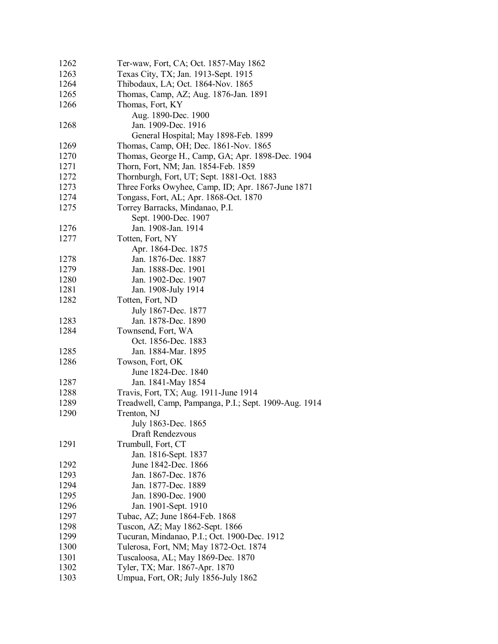| 1262 | Ter-waw, Fort, CA; Oct. 1857-May 1862                 |
|------|-------------------------------------------------------|
| 1263 | Texas City, TX; Jan. 1913-Sept. 1915                  |
| 1264 | Thibodaux, LA; Oct. 1864-Nov. 1865                    |
| 1265 | Thomas, Camp, AZ; Aug. 1876-Jan. 1891                 |
| 1266 | Thomas, Fort, KY                                      |
|      | Aug. 1890-Dec. 1900                                   |
| 1268 | Jan. 1909-Dec. 1916                                   |
|      | General Hospital; May 1898-Feb. 1899                  |
| 1269 | Thomas, Camp, OH; Dec. 1861-Nov. 1865                 |
| 1270 | Thomas, George H., Camp, GA; Apr. 1898-Dec. 1904      |
| 1271 | Thorn, Fort, NM; Jan. 1854-Feb. 1859                  |
| 1272 | Thornburgh, Fort, UT; Sept. 1881-Oct. 1883            |
| 1273 |                                                       |
|      | Three Forks Owyhee, Camp, ID; Apr. 1867-June 1871     |
| 1274 | Tongass, Fort, AL; Apr. 1868-Oct. 1870                |
| 1275 | Torrey Barracks, Mindanao, P.I.                       |
|      | Sept. 1900-Dec. 1907                                  |
| 1276 | Jan. 1908-Jan. 1914                                   |
| 1277 | Totten, Fort, NY                                      |
|      | Apr. 1864-Dec. 1875                                   |
| 1278 | Jan. 1876-Dec. 1887                                   |
| 1279 | Jan. 1888-Dec. 1901                                   |
| 1280 | Jan. 1902-Dec. 1907                                   |
| 1281 | Jan. 1908-July 1914                                   |
| 1282 | Totten, Fort, ND                                      |
|      | July 1867-Dec. 1877                                   |
| 1283 | Jan. 1878-Dec. 1890                                   |
| 1284 | Townsend, Fort, WA                                    |
|      | Oct. 1856-Dec. 1883                                   |
| 1285 | Jan. 1884-Mar. 1895                                   |
| 1286 | Towson, Fort, OK                                      |
|      | June 1824-Dec. 1840                                   |
| 1287 | Jan. 1841-May 1854                                    |
| 1288 | Travis, Fort, TX; Aug. 1911-June 1914                 |
| 1289 | Treadwell, Camp, Pampanga, P.I.; Sept. 1909-Aug. 1914 |
| 1290 | Trenton, NJ                                           |
|      | July 1863-Dec. 1865                                   |
|      | Draft Rendezvous                                      |
| 1291 | Trumbull, Fort, CT                                    |
|      | Jan. 1816-Sept. 1837                                  |
| 1292 | June 1842-Dec. 1866                                   |
| 1293 | Jan. 1867-Dec. 1876                                   |
| 1294 | Jan. 1877-Dec. 1889                                   |
| 1295 | Jan. 1890-Dec. 1900                                   |
| 1296 | Jan. 1901-Sept. 1910                                  |
| 1297 | Tubac, AZ; June 1864-Feb. 1868                        |
| 1298 | Tuscon, AZ; May 1862-Sept. 1866                       |
| 1299 | Tucuran, Mindanao, P.I.; Oct. 1900-Dec. 1912          |
| 1300 | Tulerosa, Fort, NM; May 1872-Oct. 1874                |
| 1301 | Tuscaloosa, AL; May 1869-Dec. 1870                    |
| 1302 | Tyler, TX; Mar. 1867-Apr. 1870                        |
| 1303 | Umpua, Fort, OR; July 1856-July 1862                  |
|      |                                                       |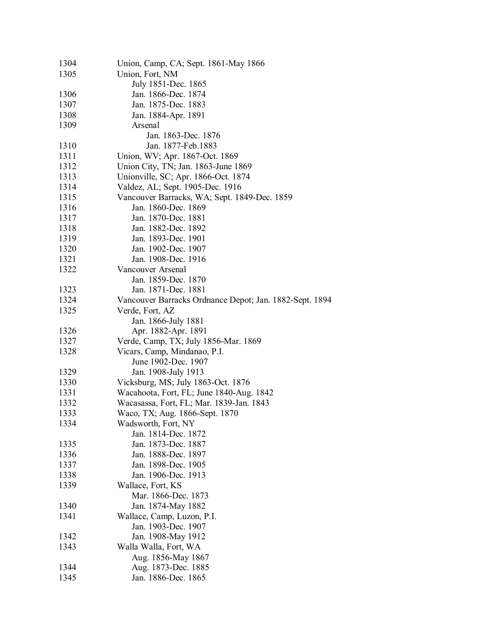| 1304 | Union, Camp, CA; Sept. 1861-May 1866                    |
|------|---------------------------------------------------------|
| 1305 | Union, Fort, NM                                         |
|      | July 1851-Dec. 1865                                     |
| 1306 | Jan. 1866-Dec. 1874                                     |
| 1307 | Jan. 1875-Dec. 1883                                     |
| 1308 | Jan. 1884-Apr. 1891                                     |
| 1309 | Arsenal                                                 |
|      | Jan. 1863-Dec. 1876                                     |
| 1310 | Jan. 1877-Feb. 1883                                     |
| 1311 | Union, WV; Apr. 1867-Oct. 1869                          |
| 1312 | Union City, TN; Jan. 1863-June 1869                     |
| 1313 | Unionville, SC; Apr. 1866-Oct. 1874                     |
| 1314 | Valdez, AL; Sept. 1905-Dec. 1916                        |
|      |                                                         |
| 1315 | Vancouver Barracks, WA; Sept. 1849-Dec. 1859            |
| 1316 | Jan. 1860-Dec. 1869                                     |
| 1317 | Jan. 1870-Dec. 1881                                     |
| 1318 | Jan. 1882-Dec. 1892                                     |
| 1319 | Jan. 1893-Dec. 1901                                     |
| 1320 | Jan. 1902-Dec. 1907                                     |
| 1321 | Jan. 1908-Dec. 1916                                     |
| 1322 | Vancouver Arsenal                                       |
|      | Jan. 1859-Dec. 1870                                     |
| 1323 | Jan. 1871-Dec. 1881                                     |
| 1324 | Vancouver Barracks Ordnance Depot; Jan. 1882-Sept. 1894 |
| 1325 | Verde, Fort, AZ                                         |
|      | Jan. 1866-July 1881                                     |
| 1326 | Apr. 1882-Apr. 1891                                     |
| 1327 | Verde, Camp, TX; July 1856-Mar. 1869                    |
| 1328 | Vicars, Camp, Mindanao, P.I.                            |
|      | June 1902-Dec. 1907                                     |
| 1329 | Jan. 1908-July 1913                                     |
| 1330 | Vicksburg, MS; July 1863-Oct. 1876                      |
| 1331 | Wacahoota, Fort, FL; June 1840-Aug. 1842                |
| 1332 | Wacasassa, Fort, FL; Mar. 1839-Jan. 1843                |
| 1333 | Waco, TX; Aug. 1866-Sept. 1870                          |
| 1334 | Wadsworth, Fort, NY                                     |
|      | Jan. 1814-Dec. 1872                                     |
| 1335 | Jan. 1873-Dec. 1887                                     |
| 1336 | Jan. 1888-Dec. 1897                                     |
| 1337 | Jan. 1898-Dec. 1905                                     |
| 1338 | Jan. 1906-Dec. 1913                                     |
| 1339 | Wallace, Fort, KS                                       |
|      | Mar. 1866-Dec. 1873                                     |
| 1340 | Jan. 1874-May 1882                                      |
| 1341 | Wallace, Camp, Luzon, P.I.                              |
|      | Jan. 1903-Dec. 1907                                     |
| 1342 | Jan. 1908-May 1912                                      |
|      |                                                         |
| 1343 | Walla Walla, Fort, WA                                   |
|      | Aug. 1856-May 1867                                      |
| 1344 | Aug. 1873-Dec. 1885                                     |
| 1345 | Jan. 1886-Dec. 1865                                     |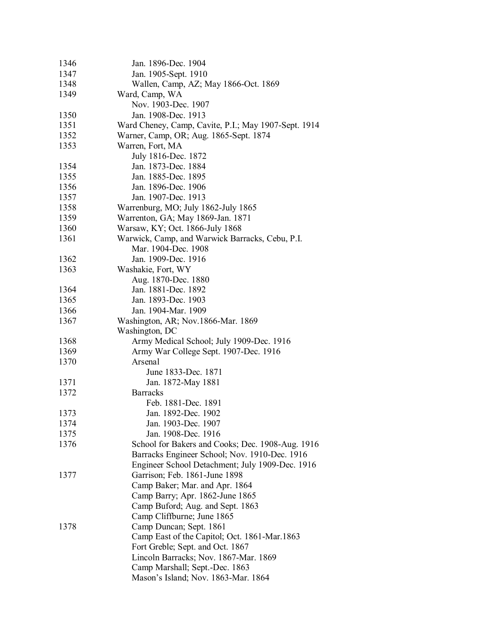| 1346 | Jan. 1896-Dec. 1904                                  |
|------|------------------------------------------------------|
| 1347 | Jan. 1905-Sept. 1910                                 |
| 1348 | Wallen, Camp, AZ; May 1866-Oct. 1869                 |
| 1349 | Ward, Camp, WA                                       |
|      | Nov. 1903-Dec. 1907                                  |
| 1350 | Jan. 1908-Dec. 1913                                  |
| 1351 | Ward Cheney, Camp, Cavite, P.I.; May 1907-Sept. 1914 |
| 1352 | Warner, Camp, OR; Aug. 1865-Sept. 1874               |
| 1353 | Warren, Fort, MA                                     |
|      | July 1816-Dec. 1872                                  |
| 1354 | Jan. 1873-Dec. 1884                                  |
| 1355 | Jan. 1885-Dec. 1895                                  |
| 1356 | Jan. 1896-Dec. 1906                                  |
| 1357 | Jan. 1907-Dec. 1913                                  |
| 1358 | Warrenburg, MO; July 1862-July 1865                  |
| 1359 | Warrenton, GA; May 1869-Jan. 1871                    |
| 1360 | Warsaw, KY; Oct. 1866-July 1868                      |
| 1361 | Warwick, Camp, and Warwick Barracks, Cebu, P.I.      |
|      | Mar. 1904-Dec. 1908                                  |
| 1362 | Jan. 1909-Dec. 1916                                  |
| 1363 | Washakie, Fort, WY                                   |
|      | Aug. 1870-Dec. 1880                                  |
| 1364 | Jan. 1881-Dec. 1892                                  |
| 1365 | Jan. 1893-Dec. 1903                                  |
| 1366 | Jan. 1904-Mar. 1909                                  |
| 1367 | Washington, AR; Nov.1866-Mar. 1869                   |
|      | Washington, DC                                       |
| 1368 | Army Medical School; July 1909-Dec. 1916             |
| 1369 | Army War College Sept. 1907-Dec. 1916                |
| 1370 | Arsenal                                              |
|      |                                                      |
| 1371 | June 1833-Dec. 1871                                  |
|      | Jan. 1872-May 1881                                   |
| 1372 | <b>Barracks</b>                                      |
|      | Feb. 1881-Dec. 1891                                  |
| 1373 | Jan. 1892-Dec. 1902                                  |
| 1374 | Jan. 1903-Dec. 1907                                  |
| 1375 | Jan. 1908-Dec. 1916                                  |
| 1376 | School for Bakers and Cooks; Dec. 1908-Aug. 1916     |
|      | Barracks Engineer School; Nov. 1910-Dec. 1916        |
|      | Engineer School Detachment; July 1909-Dec. 1916      |
| 1377 | Garrison; Feb. 1861-June 1898                        |
|      | Camp Baker; Mar. and Apr. 1864                       |
|      | Camp Barry; Apr. 1862-June 1865                      |
|      | Camp Buford; Aug. and Sept. 1863                     |
|      | Camp Cliffburne; June 1865                           |
| 1378 | Camp Duncan; Sept. 1861                              |
|      | Camp East of the Capitol; Oct. 1861-Mar.1863         |
|      | Fort Greble; Sept. and Oct. 1867                     |
|      | Lincoln Barracks; Nov. 1867-Mar. 1869                |
|      | Camp Marshall; Sept.-Dec. 1863                       |
|      | Mason's Island; Nov. 1863-Mar. 1864                  |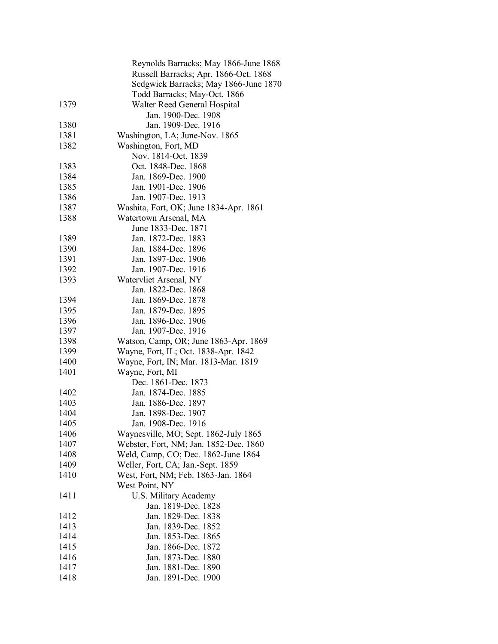|      | Reynolds Barracks; May 1866-June 1868        |
|------|----------------------------------------------|
|      | Russell Barracks; Apr. 1866-Oct. 1868        |
|      | Sedgwick Barracks; May 1866-June 1870        |
|      | Todd Barracks; May-Oct. 1866                 |
| 1379 | Walter Reed General Hospital                 |
|      | Jan. 1900-Dec. 1908                          |
| 1380 | Jan. 1909-Dec. 1916                          |
| 1381 | Washington, LA; June-Nov. 1865               |
| 1382 | Washington, Fort, MD                         |
|      | Nov. 1814-Oct. 1839                          |
| 1383 | Oct. 1848-Dec. 1868                          |
| 1384 | Jan. 1869-Dec. 1900                          |
| 1385 | Jan. 1901-Dec. 1906                          |
| 1386 | Jan. 1907-Dec. 1913                          |
| 1387 | Washita, Fort, OK; June 1834-Apr. 1861       |
| 1388 |                                              |
|      | Watertown Arsenal, MA                        |
|      | June 1833-Dec. 1871                          |
| 1389 | Jan. 1872-Dec. 1883                          |
| 1390 | Jan. 1884-Dec. 1896                          |
| 1391 | Jan. 1897-Dec. 1906                          |
| 1392 | Jan. 1907-Dec. 1916                          |
| 1393 | Watervliet Arsenal, NY                       |
|      | Jan. 1822-Dec. 1868                          |
| 1394 | Jan. 1869-Dec. 1878                          |
| 1395 | Jan. 1879-Dec. 1895                          |
| 1396 | Jan. 1896-Dec. 1906                          |
| 1397 | Jan. 1907-Dec. 1916                          |
| 1398 | Watson, Camp, OR; June 1863-Apr. 1869        |
| 1399 | Wayne, Fort, IL; Oct. 1838-Apr. 1842         |
| 1400 | Wayne, Fort, IN; Mar. 1813-Mar. 1819         |
| 1401 | Wayne, Fort, MI                              |
|      | Dec. 1861-Dec. 1873                          |
| 1402 | Jan. 1874-Dec. 1885                          |
| 1403 | Jan. 1886-Dec. 1897                          |
| 1404 | Jan. 1898-Dec. 1907                          |
| 1405 | Jan. 1908-Dec. 1916                          |
| 1406 | Waynesville, MO; Sept. 1862-July 1865        |
| 1407 | Webster, Fort, NM; Jan. 1852-Dec. 1860       |
| 1408 | Weld, Camp, CO; Dec. 1862-June 1864          |
| 1409 | Weller, Fort, CA; Jan.-Sept. 1859            |
| 1410 | West, Fort, NM; Feb. 1863-Jan. 1864          |
|      | West Point, NY                               |
| 1411 |                                              |
|      | U.S. Military Academy<br>Jan. 1819-Dec. 1828 |
|      |                                              |
| 1412 | Jan. 1829-Dec. 1838                          |
| 1413 | Jan. 1839-Dec. 1852                          |
| 1414 | Jan. 1853-Dec. 1865                          |
| 1415 | Jan. 1866-Dec. 1872                          |
| 1416 | Jan. 1873-Dec. 1880                          |
| 1417 | Jan. 1881-Dec. 1890                          |
| 1418 | Jan. 1891-Dec. 1900                          |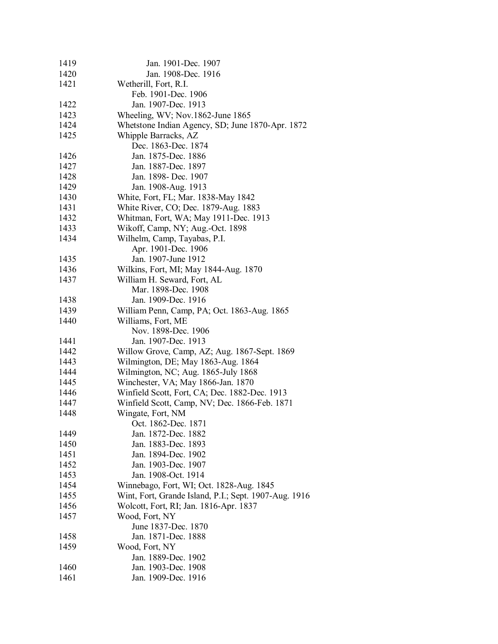| 1419 | Jan. 1901-Dec. 1907                                   |
|------|-------------------------------------------------------|
| 1420 | Jan. 1908-Dec. 1916                                   |
| 1421 | Wetherill, Fort, R.I.                                 |
|      | Feb. 1901-Dec. 1906                                   |
| 1422 | Jan. 1907-Dec. 1913                                   |
| 1423 | Wheeling, WV; Nov.1862-June 1865                      |
| 1424 | Whetstone Indian Agency, SD; June 1870-Apr. 1872      |
| 1425 | Whipple Barracks, AZ                                  |
|      | Dec. 1863-Dec. 1874                                   |
| 1426 | Jan. 1875-Dec. 1886                                   |
| 1427 | Jan. 1887-Dec. 1897                                   |
| 1428 | Jan. 1898- Dec. 1907                                  |
| 1429 | Jan. 1908-Aug. 1913                                   |
| 1430 | White, Fort, FL; Mar. 1838-May 1842                   |
| 1431 | White River, CO; Dec. 1879-Aug. 1883                  |
| 1432 | Whitman, Fort, WA; May 1911-Dec. 1913                 |
|      |                                                       |
| 1433 | Wikoff, Camp, NY; Aug.-Oct. 1898                      |
| 1434 | Wilhelm, Camp, Tayabas, P.I.                          |
|      | Apr. 1901-Dec. 1906                                   |
| 1435 | Jan. 1907-June 1912                                   |
| 1436 | Wilkins, Fort, MI; May 1844-Aug. 1870                 |
| 1437 | William H. Seward, Fort, AL                           |
|      | Mar. 1898-Dec. 1908                                   |
| 1438 | Jan. 1909-Dec. 1916                                   |
| 1439 | William Penn, Camp, PA; Oct. 1863-Aug. 1865           |
| 1440 | Williams, Fort, ME                                    |
|      | Nov. 1898-Dec. 1906                                   |
| 1441 | Jan. 1907-Dec. 1913                                   |
| 1442 | Willow Grove, Camp, AZ; Aug. 1867-Sept. 1869          |
| 1443 | Wilmington, DE; May 1863-Aug. 1864                    |
| 1444 | Wilmington, NC; Aug. 1865-July 1868                   |
| 1445 | Winchester, VA; May 1866-Jan. 1870                    |
| 1446 | Winfield Scott, Fort, CA; Dec. 1882-Dec. 1913         |
| 1447 | Winfield Scott, Camp, NV; Dec. 1866-Feb. 1871         |
| 1448 | Wingate, Fort, NM                                     |
|      | Oct. 1862-Dec. 1871                                   |
| 1449 | Jan. 1872-Dec. 1882                                   |
| 1450 | Jan. 1883-Dec. 1893                                   |
| 1451 | Jan. 1894-Dec. 1902                                   |
| 1452 | Jan. 1903-Dec. 1907                                   |
| 1453 | Jan. 1908-Oct. 1914                                   |
| 1454 | Winnebago, Fort, WI; Oct. 1828-Aug. 1845              |
| 1455 | Wint, Fort, Grande Island, P.I.; Sept. 1907-Aug. 1916 |
| 1456 | Wolcott, Fort, RI; Jan. 1816-Apr. 1837                |
| 1457 | Wood, Fort, NY                                        |
|      | June 1837-Dec. 1870                                   |
| 1458 | Jan. 1871-Dec. 1888                                   |
| 1459 | Wood, Fort, NY                                        |
|      | Jan. 1889-Dec. 1902                                   |
| 1460 | Jan. 1903-Dec. 1908                                   |
|      |                                                       |
| 1461 | Jan. 1909-Dec. 1916                                   |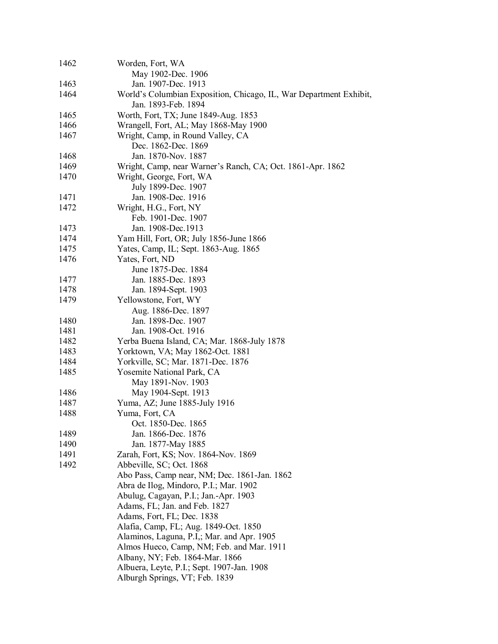| 1462 | Worden, Fort, WA                                                   |
|------|--------------------------------------------------------------------|
|      | May 1902-Dec. 1906                                                 |
| 1463 | Jan. 1907-Dec. 1913                                                |
| 1464 | World's Columbian Exposition, Chicago, IL, War Department Exhibit, |
|      | Jan. 1893-Feb. 1894                                                |
| 1465 | Worth, Fort, TX; June 1849-Aug. 1853                               |
| 1466 |                                                                    |
|      | Wrangell, Fort, AL; May 1868-May 1900                              |
| 1467 | Wright, Camp, in Round Valley, CA                                  |
|      | Dec. 1862-Dec. 1869                                                |
| 1468 | Jan. 1870-Nov. 1887                                                |
| 1469 | Wright, Camp, near Warner's Ranch, CA; Oct. 1861-Apr. 1862         |
| 1470 | Wright, George, Fort, WA                                           |
|      | July 1899-Dec. 1907                                                |
| 1471 | Jan. 1908-Dec. 1916                                                |
| 1472 | Wright, H.G., Fort, NY                                             |
|      | Feb. 1901-Dec. 1907                                                |
| 1473 | Jan. 1908-Dec. 1913                                                |
| 1474 | Yam Hill, Fort, OR; July 1856-June 1866                            |
| 1475 | Yates, Camp, IL; Sept. 1863-Aug. 1865                              |
| 1476 | Yates, Fort, ND                                                    |
|      |                                                                    |
|      | June 1875-Dec. 1884                                                |
| 1477 | Jan. 1885-Dec. 1893                                                |
| 1478 | Jan. 1894-Sept. 1903                                               |
| 1479 | Yellowstone, Fort, WY                                              |
|      | Aug. 1886-Dec. 1897                                                |
| 1480 | Jan. 1898-Dec. 1907                                                |
| 1481 | Jan. 1908-Oct. 1916                                                |
| 1482 | Yerba Buena Island, CA; Mar. 1868-July 1878                        |
| 1483 | Yorktown, VA; May 1862-Oct. 1881                                   |
| 1484 | Yorkville, SC; Mar. 1871-Dec. 1876                                 |
| 1485 | Yosemite National Park, CA                                         |
|      | May 1891-Nov. 1903                                                 |
| 1486 | May 1904-Sept. 1913                                                |
| 1487 | Yuma, AZ; June 1885-July 1916                                      |
|      |                                                                    |
| 1488 | Yuma, Fort, CA                                                     |
|      | Oct. 1850-Dec. 1865                                                |
| 1489 | Jan. 1866-Dec. 1876                                                |
| 1490 | Jan. 1877-May 1885                                                 |
| 1491 | Zarah, Fort, KS; Nov. 1864-Nov. 1869                               |
| 1492 | Abbeville, SC; Oct. 1868                                           |
|      | Abo Pass, Camp near, NM; Dec. 1861-Jan. 1862                       |
|      | Abra de Ilog, Mindoro, P.I.; Mar. 1902                             |
|      | Abulug, Cagayan, P.I.; Jan.-Apr. 1903                              |
|      | Adams, FL; Jan. and Feb. 1827                                      |
|      | Adams, Fort, FL; Dec. 1838                                         |
|      | Alafia, Camp, FL; Aug. 1849-Oct. 1850                              |
|      | Alaminos, Laguna, P.I,; Mar. and Apr. 1905                         |
|      | Almos Hueco, Camp, NM; Feb. and Mar. 1911                          |
|      | Albany, NY; Feb. 1864-Mar. 1866                                    |
|      | Albuera, Leyte, P.I.; Sept. 1907-Jan. 1908                         |
|      |                                                                    |
|      | Alburgh Springs, VT; Feb. 1839                                     |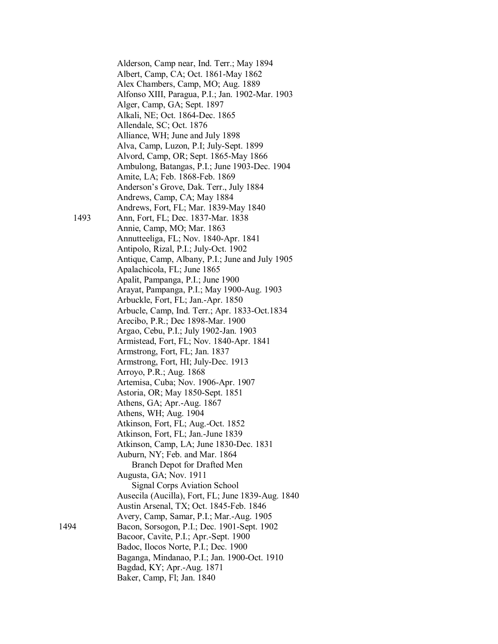Alderson, Camp near, Ind. Terr.; May 1894 Albert, Camp, CA; Oct. 1861-May 1862 Alex Chambers, Camp, MO; Aug. 1889 Alfonso XIII, Paragua, P.I.; Jan. 1902-Mar. 1903 Alger, Camp, GA; Sept. 1897 Alkali, NE; Oct. 1864-Dec. 1865 Allendale, SC; Oct. 1876 Alliance, WH; June and July 1898 Alva, Camp, Luzon, P.I; July-Sept. 1899 Alvord, Camp, OR; Sept. 1865-May 1866 Ambulong, Batangas, P.I.; June 1903-Dec. 1904 Amite, LA; Feb. 1868-Feb. 1869 Anderson's Grove, Dak. Terr., July 1884 Andrews, Camp, CA; May 1884 Andrews, Fort, FL; Mar. 1839-May 1840 1493 Ann, Fort, FL; Dec. 1837-Mar. 1838 Annie, Camp, MO; Mar. 1863 Annutteeliga, FL; Nov. 1840-Apr. 1841 Antipolo, Rizal, P.I.; July-Oct. 1902 Antique, Camp, Albany, P.I.; June and July 1905 Apalachicola, FL; June 1865 Apalit, Pampanga, P.I.; June 1900 Arayat, Pampanga, P.I.; May 1900-Aug. 1903 Arbuckle, Fort, FL; Jan.-Apr. 1850 Arbucle, Camp, Ind. Terr.; Apr. 1833-Oct.1834 Arecibo, P.R.; Dec 1898-Mar. 1900 Argao, Cebu, P.I.; July 1902-Jan. 1903 Armistead, Fort, FL; Nov. 1840-Apr. 1841 Armstrong, Fort, FL; Jan. 1837 Armstrong, Fort, HI; July-Dec. 1913 Arroyo, P.R.; Aug. 1868 Artemisa, Cuba; Nov. 1906-Apr. 1907 Astoria, OR; May 1850-Sept. 1851 Athens, GA; Apr.-Aug. 1867 Athens, WH; Aug. 1904 Atkinson, Fort, FL; Aug.-Oct. 1852 Atkinson, Fort, FL; Jan.-June 1839 Atkinson, Camp, LA; June 1830-Dec. 1831 Auburn, NY; Feb. and Mar. 1864 Branch Depot for Drafted Men Augusta, GA; Nov. 1911 Signal Corps Aviation School Ausecila (Aucilla), Fort, FL; June 1839-Aug. 1840 Austin Arsenal, TX; Oct. 1845-Feb. 1846 Avery, Camp, Samar, P.I.; Mar.-Aug. 1905 1494 Bacon, Sorsogon, P.I.; Dec. 1901-Sept. 1902 Bacoor, Cavite, P.I.; Apr.-Sept. 1900 Badoc, Ilocos Norte, P.I.; Dec. 1900 Baganga, Mindanao, P.I.; Jan. 1900-Oct. 1910 Bagdad, KY; Apr.-Aug. 1871 Baker, Camp, Fl; Jan. 1840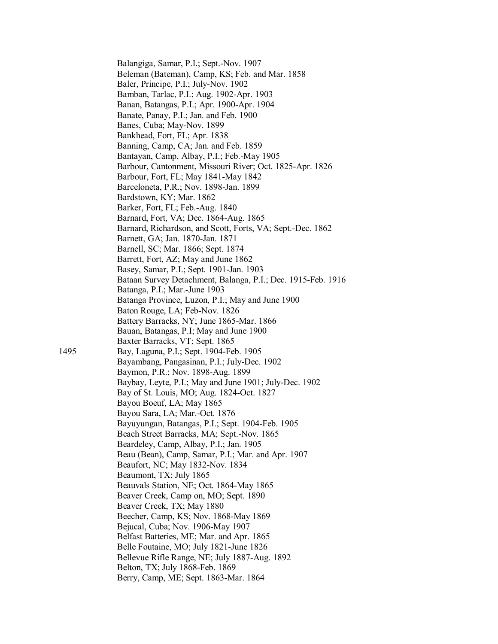Balangiga, Samar, P.I.; Sept.-Nov. 1907 Beleman (Bateman), Camp, KS; Feb. and Mar. 1858 Baler, Principe, P.I.; July-Nov. 1902 Bamban, Tarlac, P.I.; Aug. 1902-Apr. 1903 Banan, Batangas, P.I.; Apr. 1900-Apr. 1904 Banate, Panay, P.I.; Jan. and Feb. 1900 Banes, Cuba; May-Nov. 1899 Bankhead, Fort, FL; Apr. 1838 Banning, Camp, CA; Jan. and Feb. 1859 Bantayan, Camp, Albay, P.I.; Feb.-May 1905 Barbour, Cantonment, Missouri River; Oct. 1825-Apr. 1826 Barbour, Fort, FL; May 1841-May 1842 Barceloneta, P.R.; Nov. 1898-Jan. 1899 Bardstown, KY; Mar. 1862 Barker, Fort, FL; Feb.-Aug. 1840 Barnard, Fort, VA; Dec. 1864-Aug. 1865 Barnard, Richardson, and Scott, Forts, VA; Sept.-Dec. 1862 Barnett, GA; Jan. 1870-Jan. 1871 Barnell, SC; Mar. 1866; Sept. 1874 Barrett, Fort, AZ; May and June 1862 Basey, Samar, P.I.; Sept. 1901-Jan. 1903 Bataan Survey Detachment, Balanga, P.I.; Dec. 1915-Feb. 1916 Batanga, P.I.; Mar.-June 1903 Batanga Province, Luzon, P.I.; May and June 1900 Baton Rouge, LA; Feb-Nov. 1826 Battery Barracks, NY; June 1865-Mar. 1866 Bauan, Batangas, P.I; May and June 1900 Baxter Barracks, VT; Sept. 1865 1495 Bay, Laguna, P.I.; Sept. 1904-Feb. 1905 Bayambang, Pangasinan, P.I.; July-Dec. 1902 Baymon, P.R.; Nov. 1898-Aug. 1899 Baybay, Leyte, P.I.; May and June 1901; July-Dec. 1902 Bay of St. Louis, MO; Aug. 1824-Oct. 1827 Bayou Boeuf, LA; May 1865 Bayou Sara, LA; Mar.-Oct. 1876 Bayuyungan, Batangas, P.I.; Sept. 1904-Feb. 1905 Beach Street Barracks, MA; Sept.-Nov. 1865 Beardeley, Camp, Albay, P.I.; Jan. 1905 Beau (Bean), Camp, Samar, P.I.; Mar. and Apr. 1907 Beaufort, NC; May 1832-Nov. 1834 Beaumont, TX; July 1865 Beauvals Station, NE; Oct. 1864-May 1865 Beaver Creek, Camp on, MO; Sept. 1890 Beaver Creek, TX; May 1880 Beecher, Camp, KS; Nov. 1868-May 1869 Bejucal, Cuba; Nov. 1906-May 1907 Belfast Batteries, ME; Mar. and Apr. 1865 Belle Foutaine, MO; July 1821-June 1826 Bellevue Rifle Range, NE; July 1887-Aug. 1892 Belton, TX; July 1868-Feb. 1869 Berry, Camp, ME; Sept. 1863-Mar. 1864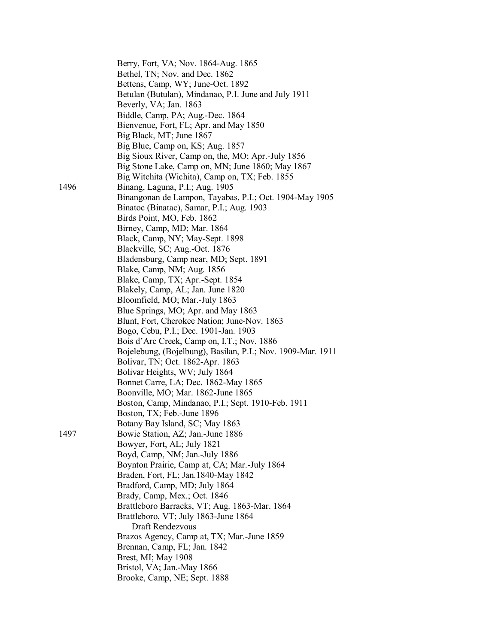|      | Berry, Fort, VA; Nov. 1864-Aug. 1865                        |
|------|-------------------------------------------------------------|
|      | Bethel, TN; Nov. and Dec. 1862                              |
|      | Bettens, Camp, WY; June-Oct. 1892                           |
|      | Betulan (Butulan), Mindanao, P.I. June and July 1911        |
|      | Beverly, VA; Jan. 1863                                      |
|      | Biddle, Camp, PA; Aug.-Dec. 1864                            |
|      | Bienvenue, Fort, FL; Apr. and May 1850                      |
|      | Big Black, MT; June 1867                                    |
|      | Big Blue, Camp on, KS; Aug. 1857                            |
|      | Big Sioux River, Camp on, the, MO; Apr.-July 1856           |
|      | Big Stone Lake, Camp on, MN; June 1860; May 1867            |
|      | Big Witchita (Wichita), Camp on, TX; Feb. 1855              |
| 1496 | Binang, Laguna, P.I.; Aug. 1905                             |
|      | Binangonan de Lampon, Tayabas, P.I.; Oct. 1904-May 1905     |
|      | Binatoc (Binatac), Samar, P.I.; Aug. 1903                   |
|      | Birds Point, MO, Feb. 1862                                  |
|      | Birney, Camp, MD; Mar. 1864                                 |
|      | Black, Camp, NY; May-Sept. 1898                             |
|      | Blackville, SC; Aug.-Oct. 1876                              |
|      | Bladensburg, Camp near, MD; Sept. 1891                      |
|      | Blake, Camp, NM; Aug. 1856                                  |
|      |                                                             |
|      | Blake, Camp, TX; Apr.-Sept. 1854                            |
|      | Blakely, Camp, AL; Jan. June 1820                           |
|      | Bloomfield, MO; Mar.-July 1863                              |
|      | Blue Springs, MO; Apr. and May 1863                         |
|      | Blunt, Fort, Cherokee Nation; June-Nov. 1863                |
|      | Bogo, Cebu, P.I.; Dec. 1901-Jan. 1903                       |
|      | Bois d'Arc Creek, Camp on, I.T.; Nov. 1886                  |
|      | Bojelebung, (Bojelbung), Basilan, P.I.; Nov. 1909-Mar. 1911 |
|      | Bolivar, TN; Oct. 1862-Apr. 1863                            |
|      | Bolivar Heights, WV; July 1864                              |
|      | Bonnet Carre, LA; Dec. 1862-May 1865                        |
|      | Boonville, MO; Mar. 1862-June 1865                          |
|      | Boston, Camp, Mindanao, P.I.; Sept. 1910-Feb. 1911          |
|      | Boston, TX; Feb.-June 1896                                  |
|      | Botany Bay Island, SC; May 1863                             |
| 1497 | Bowie Station, AZ; Jan.-June 1886                           |
|      | Bowyer, Fort, AL; July 1821                                 |
|      | Boyd, Camp, NM; Jan.-July 1886                              |
|      | Boynton Prairie, Camp at, CA; Mar.-July 1864                |
|      | Braden, Fort, FL; Jan. 1840-May 1842                        |
|      | Bradford, Camp, MD; July 1864                               |
|      | Brady, Camp, Mex.; Oct. 1846                                |
|      | Brattleboro Barracks, VT; Aug. 1863-Mar. 1864               |
|      | Brattleboro, VT; July 1863-June 1864                        |
|      | Draft Rendezvous                                            |
|      | Brazos Agency, Camp at, TX; Mar.-June 1859                  |
|      | Brennan, Camp, FL; Jan. 1842                                |
|      | Brest, MI; May 1908                                         |
|      | Bristol, VA; Jan.-May 1866                                  |
|      | Brooke, Camp, NE; Sept. 1888                                |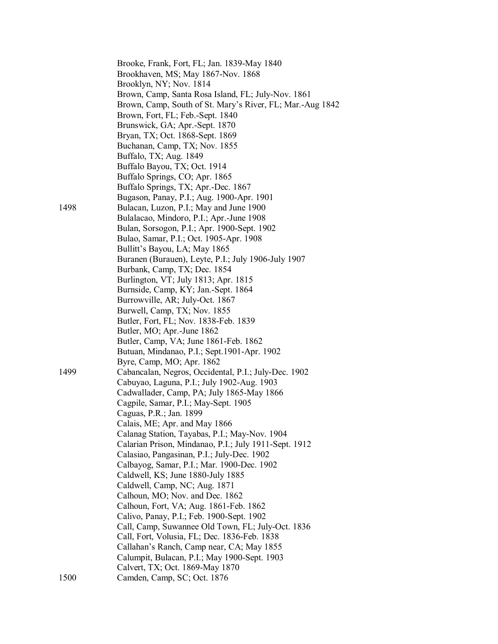|      | Brooke, Frank, Fort, FL; Jan. 1839-May 1840               |
|------|-----------------------------------------------------------|
|      | Brookhaven, MS; May 1867-Nov. 1868                        |
|      | Brooklyn, NY; Nov. 1814                                   |
|      | Brown, Camp, Santa Rosa Island, FL; July-Nov. 1861        |
|      | Brown, Camp, South of St. Mary's River, FL; Mar.-Aug 1842 |
|      | Brown, Fort, FL; Feb.-Sept. 1840                          |
|      | Brunswick, GA; Apr.-Sept. 1870                            |
|      | Bryan, TX; Oct. 1868-Sept. 1869                           |
|      | Buchanan, Camp, TX; Nov. 1855                             |
|      | Buffalo, TX; Aug. 1849                                    |
|      | Buffalo Bayou, TX; Oct. 1914                              |
|      | Buffalo Springs, CO; Apr. 1865                            |
|      | Buffalo Springs, TX; Apr.-Dec. 1867                       |
|      | Bugason, Panay, P.I.; Aug. 1900-Apr. 1901                 |
| 1498 | Bulacan, Luzon, P.I.; May and June 1900                   |
|      | Bulalacao, Mindoro, P.I.; Apr.-June 1908                  |
|      | Bulan, Sorsogon, P.I.; Apr. 1900-Sept. 1902               |
|      | Bulao, Samar, P.I.; Oct. 1905-Apr. 1908                   |
|      | Bullitt's Bayou, LA; May 1865                             |
|      | Buranen (Burauen), Leyte, P.I.; July 1906-July 1907       |
|      | Burbank, Camp, TX; Dec. 1854                              |
|      | Burlington, VT; July 1813; Apr. 1815                      |
|      | Burnside, Camp, KY; Jan.-Sept. 1864                       |
|      | Burrowville, AR; July-Oct. 1867                           |
|      | Burwell, Camp, TX; Nov. 1855                              |
|      | Butler, Fort, FL; Nov. 1838-Feb. 1839                     |
|      | Butler, MO; Apr.-June 1862                                |
|      | Butler, Camp, VA; June 1861-Feb. 1862                     |
|      | Butuan, Mindanao, P.I.; Sept.1901-Apr. 1902               |
|      | Byre, Camp, MO; Apr. 1862                                 |
| 1499 | Cabancalan, Negros, Occidental, P.I.; July-Dec. 1902      |
|      | Cabuyao, Laguna, P.I.; July 1902-Aug. 1903                |
|      | Cadwallader, Camp, PA; July 1865-May 1866                 |
|      | Cagpile, Samar, P.I.; May-Sept. 1905                      |
|      | Caguas, P.R.; Jan. 1899                                   |
|      | Calais, ME; Apr. and May 1866                             |
|      | Calanag Station, Tayabas, P.I.; May-Nov. 1904             |
|      | Calarian Prison, Mindanao, P.I.; July 1911-Sept. 1912     |
|      | Calasiao, Pangasinan, P.I.; July-Dec. 1902                |
|      | Calbayog, Samar, P.I.; Mar. 1900-Dec. 1902                |
|      | Caldwell, KS; June 1880-July 1885                         |
|      | Caldwell, Camp, NC; Aug. 1871                             |
|      | Calhoun, MO; Nov. and Dec. 1862                           |
|      | Calhoun, Fort, VA; Aug. 1861-Feb. 1862                    |
|      | Calivo, Panay, P.I.; Feb. 1900-Sept. 1902                 |
|      | Call, Camp, Suwannee Old Town, FL; July-Oct. 1836         |
|      | Call, Fort, Volusia, FL; Dec. 1836-Feb. 1838              |
|      | Callahan's Ranch, Camp near, CA; May 1855                 |
|      | Calumpit, Bulacan, P.I.; May 1900-Sept. 1903              |
|      | Calvert, TX; Oct. 1869-May 1870                           |
| 1500 | Camden, Camp, SC; Oct. 1876                               |
|      |                                                           |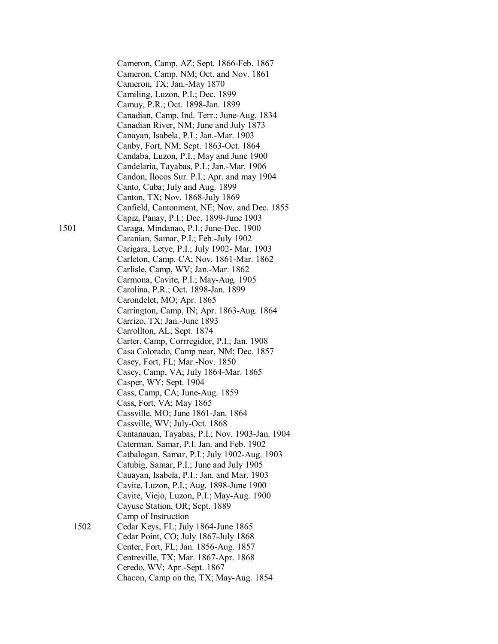Cameron, Camp, AZ; Sept. 1866-Feb. 1867 Cameron, Camp, NM; Oct. and Nov. 1861 Cameron, TX; Jan.-May 1870 Camiling, Luzon, P.I.; Dec. 1899 Camuy, P.R.; Oct. 1898-Jan. 1899 Canadian, Camp, Ind. Terr.; June-Aug. 1834 Canadian River, NM; June and July 1873 Canayan, Isabela, P.I.; Jan.-Mar. 1903 Canby, Fort, NM; Sept. 1863-Oct. 1864 Candaba, Luzon, P.I.; May and June 1900 Candelaria, Tayabas, P.I.; Jan.-Mar. 1906 Candon, Ilocos Sur. P.I.; Apr. and may 1904 Canto, Cuba; July and Aug. 1899 Canton, TX; Nov. 1868-July 1869 Canfield, Cantonment, NE; Nov. and Dec. 1855 Capiz, Panay, P.I.; Dec. 1899-June 1903 1501 Caraga, Mindanao, P.I.; June-Dec. 1900 Caranian, Samar, P.I.; Feb.-July 1902 Carigara, Letye, P.I.; July 1902- Mar. 1903 Carleton, Camp. CA; Nov. 1861-Mar. 1862 Carlisle, Camp, WV; Jan.-Mar. 1862 Carmona, Cavite, P.I.; May-Aug. 1905 Carolina, P.R.; Oct. 1898-Jan. 1899 Carondelet, MO; Apr. 1865 Carrington, Camp, IN; Apr. 1863-Aug. 1864 Carrizo, TX; Jan.-June 1893 Carrollton, AL; Sept. 1874 Carter, Camp, Corrregidor, P.I.; Jan. 1908 Casa Colorado, Camp near, NM; Dec. 1857 Casey, Fort, FL; Mar.-Nov. 1850 Casey, Camp, VA; July 1864-Mar. 1865 Casper, WY; Sept. 1904 Cass, Camp, CA; June-Aug. 1859 Cass, Fort, VA; May 1865 Cassville, MO; June 1861-Jan. 1864 Cassville, WV; July-Oct. 1868 Cantanauan, Tayabas, P.I.; Nov. 1903-Jan. 1904 Caterman, Samar, P.I. Jan. and Feb. 1902 Catbalogan, Samar, P.I.; July 1902-Aug. 1903 Catubig, Samar, P.I.; June and July 1905 Cauayan, Isabela, P.I.; Jan. and Mar. 1903 Cavite, Luzon, P.I.; Aug. 1898-June 1900 Cavite, Viejo, Luzon, P.I.; May-Aug. 1900 Cayuse Station, OR; Sept. 1889 Camp of Instruction 1502 Cedar Keys, FL; July 1864-June 1865 Cedar Point, CO; July 1867-July 1868 Center, Fort, FL; Jan. 1856-Aug. 1857 Centreville, TX; Mar. 1867-Apr. 1868 Ceredo, WV; Apr.-Sept. 1867 Chacon, Camp on the, TX; May-Aug. 1854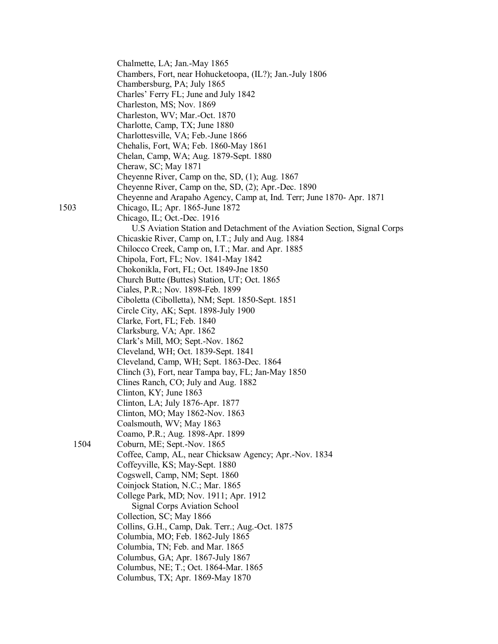| 1503 | Chalmette, LA; Jan.-May 1865<br>Chambers, Fort, near Hohucketoopa, (IL?); Jan.-July 1806<br>Chambersburg, PA; July 1865<br>Charles' Ferry FL; June and July 1842<br>Charleston, MS; Nov. 1869<br>Charleston, WV; Mar.-Oct. 1870<br>Charlotte, Camp, TX; June 1880<br>Charlottesville, VA; Feb.-June 1866<br>Chehalis, Fort, WA; Feb. 1860-May 1861<br>Chelan, Camp, WA; Aug. 1879-Sept. 1880<br>Cheraw, SC; May 1871<br>Cheyenne River, Camp on the, SD, (1); Aug. 1867<br>Cheyenne River, Camp on the, SD, (2); Apr.-Dec. 1890<br>Cheyenne and Arapaho Agency, Camp at, Ind. Terr; June 1870- Apr. 1871<br>Chicago, IL; Apr. 1865-June 1872<br>Chicago, IL; Oct.-Dec. 1916<br>U.S Aviation Station and Detachment of the Aviation Section, Signal Corps |
|------|----------------------------------------------------------------------------------------------------------------------------------------------------------------------------------------------------------------------------------------------------------------------------------------------------------------------------------------------------------------------------------------------------------------------------------------------------------------------------------------------------------------------------------------------------------------------------------------------------------------------------------------------------------------------------------------------------------------------------------------------------------|
|      | Chicaskie River, Camp on, I.T.; July and Aug. 1884<br>Chilocco Creek, Camp on, I.T.; Mar. and Apr. 1885<br>Chipola, Fort, FL; Nov. 1841-May 1842<br>Chokonikla, Fort, FL; Oct. 1849-Jne 1850                                                                                                                                                                                                                                                                                                                                                                                                                                                                                                                                                             |
|      | Church Butte (Buttes) Station, UT; Oct. 1865                                                                                                                                                                                                                                                                                                                                                                                                                                                                                                                                                                                                                                                                                                             |
|      | Ciales, P.R.; Nov. 1898-Feb. 1899                                                                                                                                                                                                                                                                                                                                                                                                                                                                                                                                                                                                                                                                                                                        |
|      | Ciboletta (Cibolletta), NM; Sept. 1850-Sept. 1851                                                                                                                                                                                                                                                                                                                                                                                                                                                                                                                                                                                                                                                                                                        |
|      | Circle City, AK; Sept. 1898-July 1900                                                                                                                                                                                                                                                                                                                                                                                                                                                                                                                                                                                                                                                                                                                    |
|      | Clarke, Fort, FL; Feb. 1840                                                                                                                                                                                                                                                                                                                                                                                                                                                                                                                                                                                                                                                                                                                              |
|      | Clarksburg, VA; Apr. 1862                                                                                                                                                                                                                                                                                                                                                                                                                                                                                                                                                                                                                                                                                                                                |
|      | Clark's Mill, MO; Sept.-Nov. 1862                                                                                                                                                                                                                                                                                                                                                                                                                                                                                                                                                                                                                                                                                                                        |
|      | Cleveland, WH; Oct. 1839-Sept. 1841                                                                                                                                                                                                                                                                                                                                                                                                                                                                                                                                                                                                                                                                                                                      |
|      | Cleveland, Camp, WH; Sept. 1863-Dec. 1864                                                                                                                                                                                                                                                                                                                                                                                                                                                                                                                                                                                                                                                                                                                |
|      | Clinch (3), Fort, near Tampa bay, FL; Jan-May 1850                                                                                                                                                                                                                                                                                                                                                                                                                                                                                                                                                                                                                                                                                                       |
|      | Clines Ranch, CO; July and Aug. 1882                                                                                                                                                                                                                                                                                                                                                                                                                                                                                                                                                                                                                                                                                                                     |
|      | Clinton, KY; June 1863                                                                                                                                                                                                                                                                                                                                                                                                                                                                                                                                                                                                                                                                                                                                   |
|      | Clinton, LA; July 1876-Apr. 1877                                                                                                                                                                                                                                                                                                                                                                                                                                                                                                                                                                                                                                                                                                                         |
|      | Clinton, MO; May 1862-Nov. 1863<br>Coalsmouth, WV; May 1863                                                                                                                                                                                                                                                                                                                                                                                                                                                                                                                                                                                                                                                                                              |
|      | Coamo, P.R.; Aug. 1898-Apr. 1899                                                                                                                                                                                                                                                                                                                                                                                                                                                                                                                                                                                                                                                                                                                         |
| 1504 | Coburn, ME; Sept.-Nov. 1865                                                                                                                                                                                                                                                                                                                                                                                                                                                                                                                                                                                                                                                                                                                              |
|      | Coffee, Camp, AL, near Chicksaw Agency; Apr.-Nov. 1834                                                                                                                                                                                                                                                                                                                                                                                                                                                                                                                                                                                                                                                                                                   |
|      | Coffeyville, KS; May-Sept. 1880                                                                                                                                                                                                                                                                                                                                                                                                                                                                                                                                                                                                                                                                                                                          |
|      | Cogswell, Camp, NM; Sept. 1860                                                                                                                                                                                                                                                                                                                                                                                                                                                                                                                                                                                                                                                                                                                           |
|      | Coinjock Station, N.C.; Mar. 1865                                                                                                                                                                                                                                                                                                                                                                                                                                                                                                                                                                                                                                                                                                                        |
|      | College Park, MD; Nov. 1911; Apr. 1912                                                                                                                                                                                                                                                                                                                                                                                                                                                                                                                                                                                                                                                                                                                   |
|      | <b>Signal Corps Aviation School</b>                                                                                                                                                                                                                                                                                                                                                                                                                                                                                                                                                                                                                                                                                                                      |
|      | Collection, SC; May 1866                                                                                                                                                                                                                                                                                                                                                                                                                                                                                                                                                                                                                                                                                                                                 |
|      | Collins, G.H., Camp, Dak. Terr.; Aug.-Oct. 1875                                                                                                                                                                                                                                                                                                                                                                                                                                                                                                                                                                                                                                                                                                          |
|      | Columbia, MO; Feb. 1862-July 1865                                                                                                                                                                                                                                                                                                                                                                                                                                                                                                                                                                                                                                                                                                                        |
|      | Columbia, TN; Feb. and Mar. 1865                                                                                                                                                                                                                                                                                                                                                                                                                                                                                                                                                                                                                                                                                                                         |
|      | Columbus, GA; Apr. 1867-July 1867<br>Columbus, NE; T.; Oct. 1864-Mar. 1865                                                                                                                                                                                                                                                                                                                                                                                                                                                                                                                                                                                                                                                                               |
|      | Columbus, TX; Apr. 1869-May 1870                                                                                                                                                                                                                                                                                                                                                                                                                                                                                                                                                                                                                                                                                                                         |
|      |                                                                                                                                                                                                                                                                                                                                                                                                                                                                                                                                                                                                                                                                                                                                                          |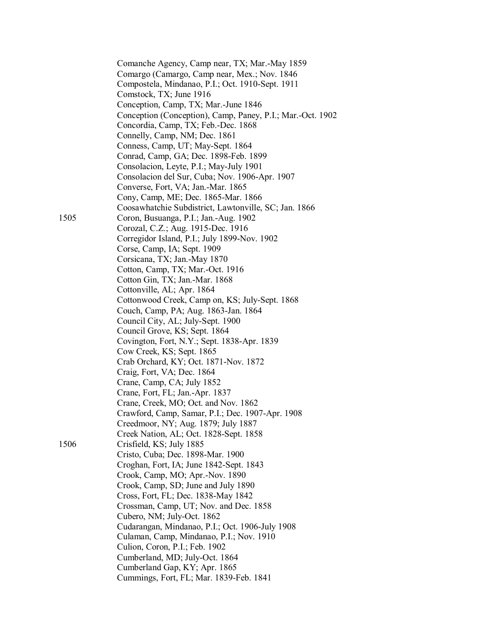|      | Comanche Agency, Camp near, TX; Mar.-May 1859              |
|------|------------------------------------------------------------|
|      | Comargo (Camargo, Camp near, Mex.; Nov. 1846               |
|      | Compostela, Mindanao, P.I.; Oct. 1910-Sept. 1911           |
|      | Comstock, TX; June 1916                                    |
|      | Conception, Camp, TX; Mar.-June 1846                       |
|      | Conception (Conception), Camp, Paney, P.I.; Mar.-Oct. 1902 |
|      | Concordia, Camp, TX; Feb.-Dec. 1868                        |
|      |                                                            |
|      | Connelly, Camp, NM; Dec. 1861                              |
|      | Conness, Camp, UT; May-Sept. 1864                          |
|      | Conrad, Camp, GA; Dec. 1898-Feb. 1899                      |
|      | Consolacion, Leyte, P.I.; May-July 1901                    |
|      | Consolacion del Sur, Cuba; Nov. 1906-Apr. 1907             |
|      | Converse, Fort, VA; Jan.-Mar. 1865                         |
|      | Cony, Camp, ME; Dec. 1865-Mar. 1866                        |
|      | Coosawhatchie Subdistrict, Lawtonville, SC; Jan. 1866      |
| 1505 | Coron, Busuanga, P.I.; Jan.-Aug. 1902                      |
|      | Corozal, C.Z.; Aug. 1915-Dec. 1916                         |
|      | Corregidor Island, P.I.; July 1899-Nov. 1902               |
|      | Corse, Camp, IA; Sept. 1909                                |
|      | Corsicana, TX; Jan.-May 1870                               |
|      | Cotton, Camp, TX; Mar.-Oct. 1916                           |
|      | Cotton Gin, TX; Jan.-Mar. 1868                             |
|      | Cottonville, AL; Apr. 1864                                 |
|      | Cottonwood Creek, Camp on, KS; July-Sept. 1868             |
|      | Couch, Camp, PA; Aug. 1863-Jan. 1864                       |
|      | Council City, AL; July-Sept. 1900                          |
|      | Council Grove, KS; Sept. 1864                              |
|      | Covington, Fort, N.Y.; Sept. 1838-Apr. 1839                |
|      | Cow Creek, KS; Sept. 1865                                  |
|      | Crab Orchard, KY; Oct. 1871-Nov. 1872                      |
|      | Craig, Fort, VA; Dec. 1864                                 |
|      | Crane, Camp, CA; July 1852                                 |
|      |                                                            |
|      | Crane, Fort, FL; Jan.-Apr. 1837                            |
|      | Crane, Creek, MO; Oct. and Nov. 1862                       |
|      | Crawford, Camp, Samar, P.I.; Dec. 1907-Apr. 1908           |
|      | Creedmoor, NY; Aug. 1879; July 1887                        |
|      | Creek Nation, AL; Oct. 1828-Sept. 1858                     |
| 1506 | Crisfield, KS; July 1885                                   |
|      | Cristo, Cuba; Dec. 1898-Mar. 1900                          |
|      | Croghan, Fort, IA; June 1842-Sept. 1843                    |
|      | Crook, Camp, MO; Apr.-Nov. 1890                            |
|      | Crook, Camp, SD; June and July 1890                        |
|      | Cross, Fort, FL; Dec. 1838-May 1842                        |
|      | Crossman, Camp, UT; Nov. and Dec. 1858                     |
|      | Cubero, NM; July-Oct. 1862                                 |
|      | Cudarangan, Mindanao, P.I.; Oct. 1906-July 1908            |
|      | Culaman, Camp, Mindanao, P.I.; Nov. 1910                   |
|      | Culion, Coron, P.I.; Feb. 1902                             |
|      | Cumberland, MD; July-Oct. 1864                             |
|      | Cumberland Gap, KY; Apr. 1865                              |
|      | Cummings, Fort, FL; Mar. 1839-Feb. 1841                    |
|      |                                                            |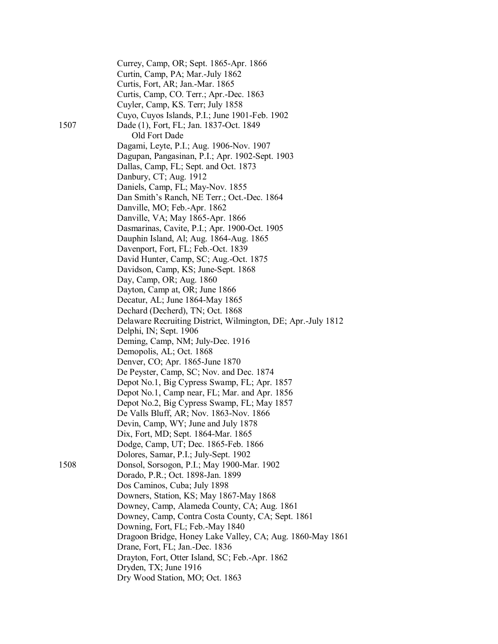|      | Currey, Camp, OR; Sept. 1865-Apr. 1866<br>Curtin, Camp, PA; Mar.-July 1862<br>Curtis, Fort, AR; Jan.-Mar. 1865<br>Curtis, Camp, CO. Terr.; Apr.-Dec. 1863<br>Cuyler, Camp, KS. Terr; July 1858 |
|------|------------------------------------------------------------------------------------------------------------------------------------------------------------------------------------------------|
|      | Cuyo, Cuyos Islands, P.I.; June 1901-Feb. 1902                                                                                                                                                 |
| 1507 | Dade (1), Fort, FL; Jan. 1837-Oct. 1849                                                                                                                                                        |
|      | Old Fort Dade                                                                                                                                                                                  |
|      | Dagami, Leyte, P.I.; Aug. 1906-Nov. 1907                                                                                                                                                       |
|      | Dagupan, Pangasinan, P.I.; Apr. 1902-Sept. 1903                                                                                                                                                |
|      | Dallas, Camp, FL; Sept. and Oct. 1873                                                                                                                                                          |
|      | Danbury, CT; Aug. 1912                                                                                                                                                                         |
|      | Daniels, Camp, FL; May-Nov. 1855                                                                                                                                                               |
|      | Dan Smith's Ranch, NE Terr.; Oct.-Dec. 1864                                                                                                                                                    |
|      | Danville, MO; Feb.-Apr. 1862                                                                                                                                                                   |
|      | Danville, VA; May 1865-Apr. 1866                                                                                                                                                               |
|      | Dasmarinas, Cavite, P.I.; Apr. 1900-Oct. 1905                                                                                                                                                  |
|      | Dauphin Island, Al; Aug. 1864-Aug. 1865                                                                                                                                                        |
|      | Davenport, Fort, FL; Feb.-Oct. 1839                                                                                                                                                            |
|      | David Hunter, Camp, SC; Aug.-Oct. 1875                                                                                                                                                         |
|      | Davidson, Camp, KS; June-Sept. 1868                                                                                                                                                            |
|      | Day, Camp, OR; Aug. 1860                                                                                                                                                                       |
|      | Dayton, Camp at, OR; June 1866                                                                                                                                                                 |
|      | Decatur, AL; June 1864-May 1865                                                                                                                                                                |
|      | Dechard (Decherd), TN; Oct. 1868                                                                                                                                                               |
|      | Delaware Recruiting District, Wilmington, DE; Apr.-July 1812                                                                                                                                   |
|      | Delphi, IN; Sept. 1906                                                                                                                                                                         |
|      | Deming, Camp, NM; July-Dec. 1916                                                                                                                                                               |
|      | Demopolis, AL; Oct. 1868                                                                                                                                                                       |
|      | Denver, CO; Apr. 1865-June 1870                                                                                                                                                                |
|      | De Peyster, Camp, SC; Nov. and Dec. 1874                                                                                                                                                       |
|      | Depot No.1, Big Cypress Swamp, FL; Apr. 1857                                                                                                                                                   |
|      | Depot No.1, Camp near, FL; Mar. and Apr. 1856                                                                                                                                                  |
|      | Depot No.2, Big Cypress Swamp, FL; May 1857                                                                                                                                                    |
|      | De Valls Bluff, AR; Nov. 1863-Nov. 1866                                                                                                                                                        |
|      | Devin, Camp, WY; June and July 1878                                                                                                                                                            |
|      | Dix, Fort, MD; Sept. 1864-Mar. 1865                                                                                                                                                            |
|      | Dodge, Camp, UT; Dec. 1865-Feb. 1866                                                                                                                                                           |
|      | Dolores, Samar, P.I.; July-Sept. 1902                                                                                                                                                          |
| 1508 | Donsol, Sorsogon, P.I.; May 1900-Mar. 1902                                                                                                                                                     |
|      | Dorado, P.R.; Oct. 1898-Jan. 1899                                                                                                                                                              |
|      | Dos Caminos, Cuba; July 1898                                                                                                                                                                   |
|      | Downers, Station, KS; May 1867-May 1868                                                                                                                                                        |
|      | Downey, Camp, Alameda County, CA; Aug. 1861                                                                                                                                                    |
|      | Downey, Camp, Contra Costa County, CA; Sept. 1861                                                                                                                                              |
|      | Downing, Fort, FL; Feb.-May 1840                                                                                                                                                               |
|      | Dragoon Bridge, Honey Lake Valley, CA; Aug. 1860-May 1861                                                                                                                                      |
|      | Drane, Fort, FL; Jan.-Dec. 1836                                                                                                                                                                |
|      | Drayton, Fort, Otter Island, SC; Feb.-Apr. 1862                                                                                                                                                |
|      | Dryden, TX; June 1916                                                                                                                                                                          |
|      | Dry Wood Station, MO; Oct. 1863                                                                                                                                                                |
|      |                                                                                                                                                                                                |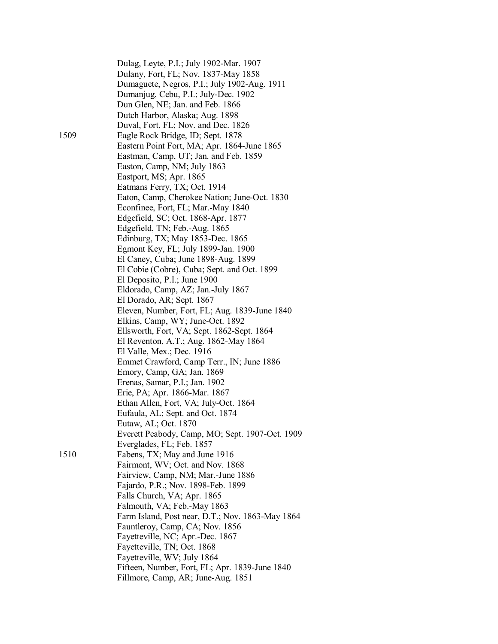|      | Dulag, Leyte, P.I.; July 1902-Mar. 1907          |
|------|--------------------------------------------------|
|      | Dulany, Fort, FL; Nov. 1837-May 1858             |
|      | Dumaguete, Negros, P.I.; July 1902-Aug. 1911     |
|      | Dumanjug, Cebu, P.I.; July-Dec. 1902             |
|      | Dun Glen, NE; Jan. and Feb. 1866                 |
|      | Dutch Harbor, Alaska; Aug. 1898                  |
|      | Duval, Fort, FL; Nov. and Dec. 1826              |
| 1509 | Eagle Rock Bridge, ID; Sept. 1878                |
|      | Eastern Point Fort, MA; Apr. 1864-June 1865      |
|      | Eastman, Camp, UT; Jan. and Feb. 1859            |
|      | Easton, Camp, NM; July 1863                      |
|      | Eastport, MS; Apr. 1865                          |
|      | Eatmans Ferry, TX; Oct. 1914                     |
|      | Eaton, Camp, Cherokee Nation; June-Oct. 1830     |
|      | Econfinee, Fort, FL; Mar.-May 1840               |
|      | Edgefield, SC; Oct. 1868-Apr. 1877               |
|      | Edgefield, TN; Feb.-Aug. 1865                    |
|      | Edinburg, TX; May 1853-Dec. 1865                 |
|      | Egmont Key, FL; July 1899-Jan. 1900              |
|      | El Caney, Cuba; June 1898-Aug. 1899              |
|      | El Cobie (Cobre), Cuba; Sept. and Oct. 1899      |
|      | El Deposito, P.I.; June 1900                     |
|      | Eldorado, Camp, AZ; Jan.-July 1867               |
|      | El Dorado, AR; Sept. 1867                        |
|      | Eleven, Number, Fort, FL; Aug. 1839-June 1840    |
|      | Elkins, Camp, WY; June-Oct. 1892                 |
|      | Ellsworth, Fort, VA; Sept. 1862-Sept. 1864       |
|      |                                                  |
|      | El Reventon, A.T.; Aug. 1862-May 1864            |
|      | El Valle, Mex.; Dec. 1916                        |
|      | Emmet Crawford, Camp Terr., IN; June 1886        |
|      | Emory, Camp, GA; Jan. 1869                       |
|      | Erenas, Samar, P.I.; Jan. 1902                   |
|      | Erie, PA; Apr. 1866-Mar. 1867                    |
|      | Ethan Allen, Fort, VA; July-Oct. 1864            |
|      | Eufaula, AL; Sept. and Oct. 1874                 |
|      | Eutaw, AL; Oct. 1870                             |
|      | Everett Peabody, Camp, MO; Sept. 1907-Oct. 1909  |
|      | Everglades, FL; Feb. 1857                        |
| 1510 | Fabens, TX; May and June 1916                    |
|      | Fairmont, WV; Oct. and Nov. 1868                 |
|      | Fairview, Camp, NM; Mar.-June 1886               |
|      | Fajardo, P.R.; Nov. 1898-Feb. 1899               |
|      | Falls Church, VA; Apr. 1865                      |
|      | Falmouth, VA; Feb.-May 1863                      |
|      | Farm Island, Post near, D.T.; Nov. 1863-May 1864 |
|      | Fauntleroy, Camp, CA; Nov. 1856                  |
|      | Fayetteville, NC; Apr.-Dec. 1867                 |
|      | Fayetteville, TN; Oct. 1868                      |
|      | Fayetteville, WV; July 1864                      |
|      | Fifteen, Number, Fort, FL; Apr. 1839-June 1840   |
|      | Fillmore, Camp, AR; June-Aug. 1851               |
|      |                                                  |

1509

 $1510$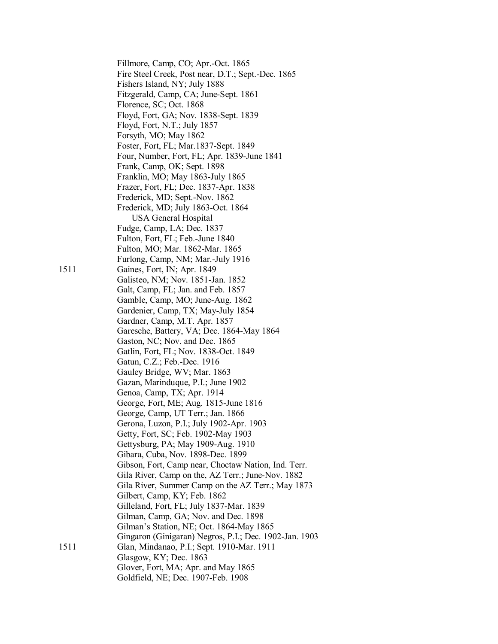Fillmore, Camp, CO; Apr.-Oct. 1865 Fire Steel Creek, Post near, D.T.; Sept.-Dec. 1865 Fishers Island, NY; July 1888 Fitzgerald, Camp, CA; June-Sept. 1861 Florence, SC; Oct. 1868 Floyd, Fort, GA; Nov. 1838-Sept. 1839 Floyd, Fort, N.T.; July 1857 Forsyth, MO; May 1862 Foster, Fort, FL; Mar.1837-Sept. 1849 Four, Number, Fort, FL; Apr. 1839-June 1841 Frank, Camp, OK; Sept. 1898 Franklin, MO; May 1863-July 1865 Frazer, Fort, FL; Dec. 1837-Apr. 1838 Frederick, MD; Sept.-Nov. 1862 Frederick, MD; July 1863-Oct. 1864 USA General Hospital Fudge, Camp, LA; Dec. 1837 Fulton, Fort, FL; Feb.-June 1840 Fulton, MO; Mar. 1862-Mar. 1865 Furlong, Camp, NM; Mar.-July 1916 1511 Gaines, Fort, IN; Apr. 1849 Galisteo, NM; Nov. 1851-Jan. 1852 Galt, Camp, FL; Jan. and Feb. 1857 Gamble, Camp, MO; June-Aug. 1862 Gardenier, Camp, TX; May-July 1854 Gardner, Camp, M.T. Apr. 1857 Garesche, Battery, VA; Dec. 1864-May 1864 Gaston, NC; Nov. and Dec. 1865 Gatlin, Fort, FL; Nov. 1838-Oct. 1849 Gatun, C.Z.; Feb.-Dec. 1916 Gauley Bridge, WV; Mar. 1863 Gazan, Marinduque, P.I.; June 1902 Genoa, Camp, TX; Apr. 1914 George, Fort, ME; Aug. 1815-June 1816 George, Camp, UT Terr.; Jan. 1866 Gerona, Luzon, P.I.; July 1902-Apr. 1903 Getty, Fort, SC; Feb. 1902-May 1903 Gettysburg, PA; May 1909-Aug. 1910 Gibara, Cuba, Nov. 1898-Dec. 1899 Gibson, Fort, Camp near, Choctaw Nation, Ind. Terr. Gila River, Camp on the, AZ Terr.; June-Nov. 1882 Gila River, Summer Camp on the AZ Terr.; May 1873 Gilbert, Camp, KY; Feb. 1862 Gilleland, Fort, FL; July 1837-Mar. 1839 Gilman, Camp, GA; Nov. and Dec. 1898 Gilman's Station, NE; Oct. 1864-May 1865 Gingaron (Ginigaran) Negros, P.I.; Dec. 1902-Jan. 1903 1511 Glan, Mindanao, P.I.; Sept. 1910-Mar. 1911 Glasgow, KY; Dec. 1863 Glover, Fort, MA; Apr. and May 1865 Goldfield, NE; Dec. 1907-Feb. 1908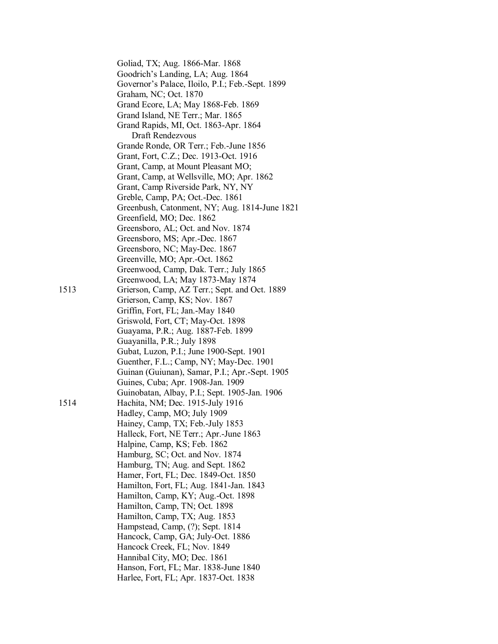|      | Goliad, TX; Aug. 1866-Mar. 1868                  |
|------|--------------------------------------------------|
|      | Goodrich's Landing, LA; Aug. 1864                |
|      | Governor's Palace, Iloilo, P.I.; Feb.-Sept. 1899 |
|      | Graham, NC; Oct. 1870                            |
|      | Grand Ecore, LA; May 1868-Feb. 1869              |
|      | Grand Island, NE Terr.; Mar. 1865                |
|      | Grand Rapids, MI, Oct. 1863-Apr. 1864            |
|      | Draft Rendezvous                                 |
|      | Grande Ronde, OR Terr.; Feb.-June 1856           |
|      | Grant, Fort, C.Z.; Dec. 1913-Oct. 1916           |
|      | Grant, Camp, at Mount Pleasant MO;               |
|      | Grant, Camp, at Wellsville, MO; Apr. 1862        |
|      | Grant, Camp Riverside Park, NY, NY               |
|      | Greble, Camp, PA; Oct.-Dec. 1861                 |
|      | Greenbush, Catonment, NY; Aug. 1814-June 1821    |
|      | Greenfield, MO; Dec. 1862                        |
|      | Greensboro, AL; Oct. and Nov. 1874               |
|      | Greensboro, MS; Apr.-Dec. 1867                   |
|      | Greensboro, NC; May-Dec. 1867                    |
|      | Greenville, MO; Apr.-Oct. 1862                   |
|      | Greenwood, Camp, Dak. Terr.; July 1865           |
|      | Greenwood, LA; May 1873-May 1874                 |
| 1513 | Grierson, Camp, AZ Terr.; Sept. and Oct. 1889    |
|      | Grierson, Camp, KS; Nov. 1867                    |
|      | Griffin, Fort, FL; Jan.-May 1840                 |
|      | Griswold, Fort, CT; May-Oct. 1898                |
|      | Guayama, P.R.; Aug. 1887-Feb. 1899               |
|      | Guayanilla, P.R.; July 1898                      |
|      | Gubat, Luzon, P.I.; June 1900-Sept. 1901         |
|      | Guenther, F.L.; Camp, NY; May-Dec. 1901          |
|      | Guinan (Guiunan), Samar, P.I.; Apr.-Sept. 1905   |
|      | Guines, Cuba; Apr. 1908-Jan. 1909                |
|      | Guinobatan, Albay, P.I.; Sept. 1905-Jan. 1906    |
| 1514 | Hachita, NM; Dec. 1915-July 1916                 |
|      | Hadley, Camp, MO; July 1909                      |
|      | Hainey, Camp, TX; Feb.-July 1853                 |
|      | Halleck, Fort, NE Terr.; Apr.-June 1863          |
|      | Halpine, Camp, KS; Feb. 1862                     |
|      | Hamburg, SC; Oct. and Nov. 1874                  |
|      | Hamburg, TN; Aug. and Sept. 1862                 |
|      | Hamer, Fort, FL; Dec. 1849-Oct. 1850             |
|      | Hamilton, Fort, FL; Aug. 1841-Jan. 1843          |
|      | Hamilton, Camp, KY; Aug.-Oct. 1898               |
|      | Hamilton, Camp, TN; Oct. 1898                    |
|      | Hamilton, Camp, TX; Aug. 1853                    |
|      | Hampstead, Camp, (?); Sept. 1814                 |
|      | Hancock, Camp, GA; July-Oct. 1886                |
|      | Hancock Creek, FL; Nov. 1849                     |
|      | Hannibal City, MO; Dec. 1861                     |
|      | Hanson, Fort, FL; Mar. 1838-June 1840            |
|      | Harlee, Fort, FL; Apr. 1837-Oct. 1838            |
|      |                                                  |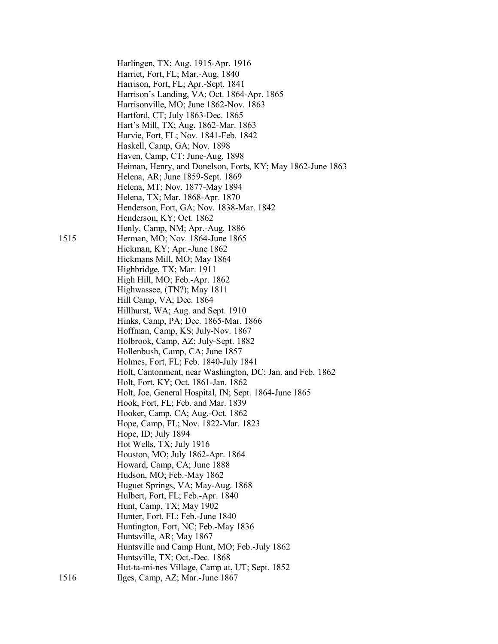Harlingen, TX; Aug. 1915-Apr. 1916 Harriet, Fort, FL; Mar.-Aug. 1840 Harrison, Fort, FL; Apr.-Sept. 1841 Harrison's Landing, VA; Oct. 1864-Apr. 1865 Harrisonville, MO; June 1862-Nov. 1863 Hartford, CT; July 1863-Dec. 1865 Hart's Mill, TX; Aug. 1862-Mar. 1863 Harvie, Fort, FL; Nov. 1841-Feb. 1842 Haskell, Camp, GA; Nov. 1898 Haven, Camp, CT; June-Aug. 1898 Heiman, Henry, and Donelson, Forts, KY; May 1862-June 1863 Helena, AR; June 1859-Sept. 1869 Helena, MT; Nov. 1877-May 1894 Helena, TX; Mar. 1868-Apr. 1870 Henderson, Fort, GA; Nov. 1838-Mar. 1842 Henderson, KY; Oct. 1862 Henly, Camp, NM; Apr.-Aug. 1886 1515 Herman, MO; Nov. 1864-June 1865 Hickman, KY; Apr.-June 1862 Hickmans Mill, MO; May 1864 Highbridge, TX; Mar. 1911 High Hill, MO; Feb.-Apr. 1862 Highwassee, (TN?); May 1811 Hill Camp, VA; Dec. 1864 Hillhurst, WA; Aug. and Sept. 1910 Hinks, Camp, PA; Dec. 1865-Mar. 1866 Hoffman, Camp, KS; July-Nov. 1867 Holbrook, Camp, AZ; July-Sept. 1882 Hollenbush, Camp, CA; June 1857 Holmes, Fort, FL; Feb. 1840-July 1841 Holt, Cantonment, near Washington, DC; Jan. and Feb. 1862 Holt, Fort, KY; Oct. 1861-Jan. 1862 Holt, Joe, General Hospital, IN; Sept. 1864-June 1865 Hook, Fort, FL; Feb. and Mar. 1839 Hooker, Camp, CA; Aug.-Oct. 1862 Hope, Camp, FL; Nov. 1822-Mar. 1823 Hope, ID; July 1894 Hot Wells, TX; July 1916 Houston, MO; July 1862-Apr. 1864 Howard, Camp, CA; June 1888 Hudson, MO; Feb.-May 1862 Huguet Springs, VA; May-Aug. 1868 Hulbert, Fort, FL; Feb.-Apr. 1840 Hunt, Camp, TX; May 1902 Hunter, Fort. FL; Feb.-June 1840 Huntington, Fort, NC; Feb.-May 1836 Huntsville, AR; May 1867 Huntsville and Camp Hunt, MO; Feb.-July 1862 Huntsville, TX; Oct.-Dec. 1868 Hut-ta-mi-nes Village, Camp at, UT; Sept. 1852 1516 Ilges, Camp, AZ; Mar.-June 1867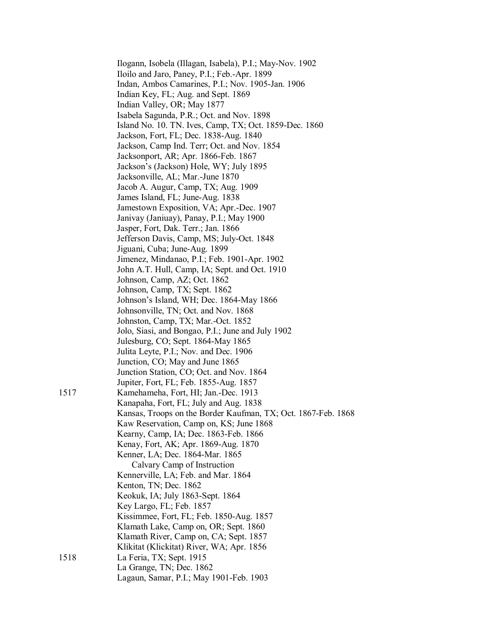|      | Ilogann, Isobela (Illagan, Isabela), P.I.; May-Nov. 1902<br>Iloilo and Jaro, Paney, P.I.; Feb.-Apr. 1899 |
|------|----------------------------------------------------------------------------------------------------------|
|      | Indan, Ambos Camarines, P.I.; Nov. 1905-Jan. 1906                                                        |
|      | Indian Key, FL; Aug. and Sept. 1869                                                                      |
|      | Indian Valley, OR; May 1877                                                                              |
|      | Isabela Sagunda, P.R.; Oct. and Nov. 1898                                                                |
|      | Island No. 10. TN. Ives, Camp, TX; Oct. 1859-Dec. 1860                                                   |
|      | Jackson, Fort, FL; Dec. 1838-Aug. 1840                                                                   |
|      | Jackson, Camp Ind. Terr; Oct. and Nov. 1854                                                              |
|      | Jacksonport, AR; Apr. 1866-Feb. 1867                                                                     |
|      | Jackson's (Jackson) Hole, WY; July 1895                                                                  |
|      | Jacksonville, AL; Mar.-June 1870                                                                         |
|      | Jacob A. Augur, Camp, TX; Aug. 1909                                                                      |
|      | James Island, FL; June-Aug. 1838                                                                         |
|      | Jamestown Exposition, VA; Apr.-Dec. 1907                                                                 |
|      | Janivay (Janiuay), Panay, P.I.; May 1900                                                                 |
|      | Jasper, Fort, Dak. Terr.; Jan. 1866                                                                      |
|      | Jefferson Davis, Camp, MS; July-Oct. 1848                                                                |
|      | Jiguani, Cuba; June-Aug. 1899                                                                            |
|      | Jimenez, Mindanao, P.I.; Feb. 1901-Apr. 1902                                                             |
|      | John A.T. Hull, Camp, IA; Sept. and Oct. 1910                                                            |
|      | Johnson, Camp, AZ; Oct. 1862                                                                             |
|      | Johnson, Camp, TX; Sept. 1862                                                                            |
|      | Johnson's Island, WH; Dec. 1864-May 1866                                                                 |
|      | Johnsonville, TN; Oct. and Nov. 1868                                                                     |
|      | Johnston, Camp, TX; Mar.-Oct. 1852                                                                       |
|      | Jolo, Siasi, and Bongao, P.I.; June and July 1902                                                        |
|      | Julesburg, CO; Sept. 1864-May 1865                                                                       |
|      | Julita Leyte, P.I.; Nov. and Dec. 1906                                                                   |
|      | Junction, CO; May and June 1865                                                                          |
|      | Junction Station, CO; Oct. and Nov. 1864                                                                 |
|      | Jupiter, Fort, FL; Feb. 1855-Aug. 1857                                                                   |
| 1517 | Kamehameha, Fort, HI; Jan.-Dec. 1913                                                                     |
|      | Kanapaha, Fort, FL; July and Aug. 1838                                                                   |
|      | Kansas, Troops on the Border Kaufman, TX; Oct. 1867-Feb. 1868                                            |
|      | Kaw Reservation, Camp on, KS; June 1868                                                                  |
|      | Kearny, Camp, IA; Dec. 1863-Feb. 1866                                                                    |
|      | Kenay, Fort, AK; Apr. 1869-Aug. 1870                                                                     |
|      | Kenner, LA; Dec. 1864-Mar. 1865                                                                          |
|      | Calvary Camp of Instruction                                                                              |
|      | Kennerville, LA; Feb. and Mar. 1864                                                                      |
|      | Kenton, TN; Dec. 1862                                                                                    |
|      | Keokuk, IA; July 1863-Sept. 1864                                                                         |
|      | Key Largo, FL; Feb. 1857                                                                                 |
|      | Kissimmee, Fort, FL; Feb. 1850-Aug. 1857                                                                 |
|      | Klamath Lake, Camp on, OR; Sept. 1860                                                                    |
|      | Klamath River, Camp on, CA; Sept. 1857                                                                   |
|      | Klikitat (Klickitat) River, WA; Apr. 1856                                                                |
| 1518 | La Feria, TX; Sept. 1915                                                                                 |
|      | La Grange, TN; Dec. 1862                                                                                 |
|      | Lagaun, Samar, P.I.; May 1901-Feb. 1903                                                                  |
|      |                                                                                                          |

 $1518\,$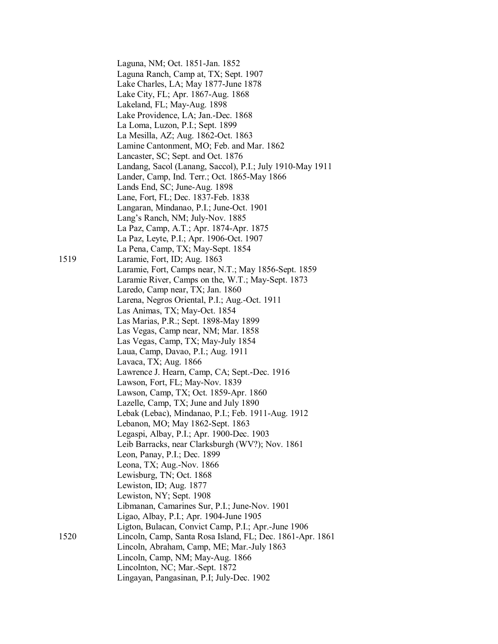Laguna, NM; Oct. 1851-Jan. 1852 Laguna Ranch, Camp at, TX; Sept. 1907 Lake Charles, LA; May 1877-June 1878 Lake City, FL; Apr. 1867-Aug. 1868 Lakeland, FL; May-Aug. 1898 Lake Providence, LA; Jan.-Dec. 1868 La Loma, Luzon, P.I.; Sept. 1899 La Mesilla, AZ; Aug. 1862-Oct. 1863 Lamine Cantonment, MO; Feb. and Mar. 1862 Lancaster, SC; Sept. and Oct. 1876 Landang, Sacol (Lanang, Saccol), P.I.; July 1910-May 1911 Lander, Camp, Ind. Terr.; Oct. 1865-May 1866 Lands End, SC; June-Aug. 1898 Lane, Fort, FL; Dec. 1837-Feb. 1838 Langaran, Mindanao, P.I.; June-Oct. 1901 Lang's Ranch, NM; July-Nov. 1885 La Paz, Camp, A.T.; Apr. 1874-Apr. 1875 La Paz, Leyte, P.I.; Apr. 1906-Oct. 1907 La Pena, Camp, TX; May-Sept. 1854 1519 Laramie, Fort, ID; Aug. 1863 Laramie, Fort, Camps near, N.T.; May 1856-Sept. 1859 Laramie River, Camps on the, W.T.; May-Sept. 1873 Laredo, Camp near, TX; Jan. 1860 Larena, Negros Oriental, P.I.; Aug.-Oct. 1911 Las Animas, TX; May-Oct. 1854 Las Marias, P.R.; Sept. 1898-May 1899 Las Vegas, Camp near, NM; Mar. 1858 Las Vegas, Camp, TX; May-July 1854 Laua, Camp, Davao, P.I.; Aug. 1911 Lavaca, TX; Aug. 1866 Lawrence J. Hearn, Camp, CA; Sept.-Dec. 1916 Lawson, Fort, FL; May-Nov. 1839 Lawson, Camp, TX; Oct. 1859-Apr. 1860 Lazelle, Camp, TX; June and July 1890 Lebak (Lebac), Mindanao, P.I.; Feb. 1911-Aug. 1912 Lebanon, MO; May 1862-Sept. 1863 Legaspi, Albay, P.I.; Apr. 1900-Dec. 1903 Leib Barracks, near Clarksburgh (WV?); Nov. 1861 Leon, Panay, P.I.; Dec. 1899 Leona, TX; Aug.-Nov. 1866 Lewisburg, TN; Oct. 1868 Lewiston, ID; Aug. 1877 Lewiston, NY; Sept. 1908 Libmanan, Camarines Sur, P.I.; June-Nov. 1901 Ligao, Albay, P.I.; Apr. 1904-June 1905 Ligton, Bulacan, Convict Camp, P.I.; Apr.-June 1906 1520 Lincoln, Camp, Santa Rosa Island, FL; Dec. 1861-Apr. 1861 Lincoln, Abraham, Camp, ME; Mar.-July 1863 Lincoln, Camp, NM; May-Aug. 1866 Lincolnton, NC; Mar.-Sept. 1872 Lingayan, Pangasinan, P.I; July-Dec. 1902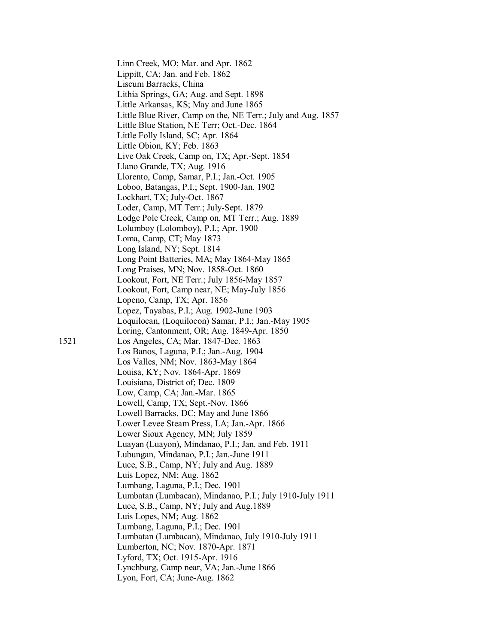Linn Creek, MO; Mar. and Apr. 1862 Lippitt, CA; Jan. and Feb. 1862 Liscum Barracks, China Lithia Springs, GA; Aug. and Sept. 1898 Little Arkansas, KS; May and June 1865 Little Blue River, Camp on the, NE Terr.; July and Aug. 1857 Little Blue Station, NE Terr; Oct.-Dec. 1864 Little Folly Island, SC; Apr. 1864 Little Obion, KY; Feb. 1863 Live Oak Creek, Camp on, TX; Apr.-Sept. 1854 Llano Grande, TX; Aug. 1916 Llorento, Camp, Samar, P.I.; Jan.-Oct. 1905 Loboo, Batangas, P.I.; Sept. 1900-Jan. 1902 Lockhart, TX; July-Oct. 1867 Loder, Camp, MT Terr.; July-Sept. 1879 Lodge Pole Creek, Camp on, MT Terr.; Aug. 1889 Lolumboy (Lolomboy), P.I.; Apr. 1900 Loma, Camp, CT; May 1873 Long Island, NY; Sept. 1814 Long Point Batteries, MA; May 1864-May 1865 Long Praises, MN; Nov. 1858-Oct. 1860 Lookout, Fort, NE Terr.; July 1856-May 1857 Lookout, Fort, Camp near, NE; May-July 1856 Lopeno, Camp, TX; Apr. 1856 Lopez, Tayabas, P.I.; Aug. 1902-June 1903 Loquilocan, (Loquilocon) Samar, P.I.; Jan.-May 1905 Loring, Cantonment, OR; Aug. 1849-Apr. 1850 1521 Los Angeles, CA; Mar. 1847-Dec. 1863 Los Banos, Laguna, P.I.; Jan.-Aug. 1904 Los Valles, NM; Nov. 1863-May 1864 Louisa, KY; Nov. 1864-Apr. 1869 Louisiana, District of; Dec. 1809 Low, Camp, CA; Jan.-Mar. 1865 Lowell, Camp, TX; Sept.-Nov. 1866 Lowell Barracks, DC; May and June 1866 Lower Levee Steam Press, LA; Jan.-Apr. 1866 Lower Sioux Agency, MN; July 1859 Luayan (Luayon), Mindanao, P.I.; Jan. and Feb. 1911 Lubungan, Mindanao, P.I.; Jan.-June 1911 Luce, S.B., Camp, NY; July and Aug. 1889 Luis Lopez, NM; Aug. 1862 Lumbang, Laguna, P.I.; Dec. 1901 Lumbatan (Lumbacan), Mindanao, P.I.; July 1910-July 1911 Luce, S.B., Camp, NY; July and Aug.1889 Luis Lopes, NM; Aug. 1862 Lumbang, Laguna, P.I.; Dec. 1901 Lumbatan (Lumbacan), Mindanao, July 1910-July 1911 Lumberton, NC; Nov. 1870-Apr. 1871 Lyford, TX; Oct. 1915-Apr. 1916 Lynchburg, Camp near, VA; Jan.-June 1866 Lyon, Fort, CA; June-Aug. 1862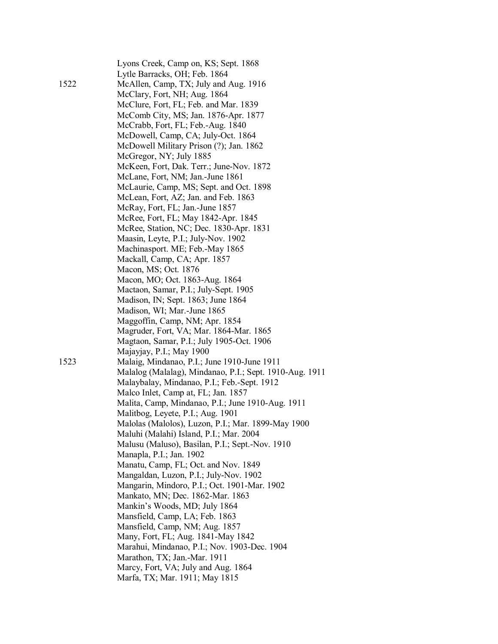| 1522 | Lyons Creek, Camp on, KS; Sept. 1868<br>Lytle Barracks, OH; Feb. 1864<br>McAllen, Camp, TX; July and Aug. 1916<br>McClary, Fort, NH; Aug. 1864<br>McClure, Fort, FL; Feb. and Mar. 1839<br>McComb City, MS; Jan. 1876-Apr. 1877<br>McCrabb, Fort, FL; Feb.-Aug. 1840<br>McDowell, Camp, CA; July-Oct. 1864<br>McDowell Military Prison (?); Jan. 1862<br>McGregor, NY; July 1885<br>McKeen, Fort, Dak. Terr.; June-Nov. 1872<br>McLane, Fort, NM; Jan.-June 1861<br>McLaurie, Camp, MS; Sept. and Oct. 1898<br>McLean, Fort, AZ; Jan. and Feb. 1863<br>McRay, Fort, FL; Jan.-June 1857<br>McRee, Fort, FL; May 1842-Apr. 1845<br>McRee, Station, NC; Dec. 1830-Apr. 1831<br>Maasin, Leyte, P.I.; July-Nov. 1902<br>Machinasport. ME; Feb.-May 1865<br>Mackall, Camp, CA; Apr. 1857<br>Macon, MS; Oct. 1876<br>Macon, MO; Oct. 1863-Aug. 1864<br>Mactaon, Samar, P.I.; July-Sept. 1905<br>Madison, IN; Sept. 1863; June 1864<br>Madison, WI; Mar.-June 1865<br>Maggoffin, Camp, NM; Apr. 1854<br>Magruder, Fort, VA; Mar. 1864-Mar. 1865<br>Magtaon, Samar, P.I.; July 1905-Oct. 1906 |
|------|--------------------------------------------------------------------------------------------------------------------------------------------------------------------------------------------------------------------------------------------------------------------------------------------------------------------------------------------------------------------------------------------------------------------------------------------------------------------------------------------------------------------------------------------------------------------------------------------------------------------------------------------------------------------------------------------------------------------------------------------------------------------------------------------------------------------------------------------------------------------------------------------------------------------------------------------------------------------------------------------------------------------------------------------------------------------------------------|
| 1523 | Majayjay, P.I.; May 1900<br>Malaig, Mindanao, P.I.; June 1910-June 1911<br>Malalog (Malalag), Mindanao, P.I.; Sept. 1910-Aug. 1911<br>Malaybalay, Mindanao, P.I.; Feb.-Sept. 1912<br>Malco Inlet, Camp at, FL; Jan. 1857<br>Malita, Camp, Mindanao, P.I.; June 1910-Aug. 1911<br>Malitbog, Leyete, P.I.; Aug. 1901<br>Malolas (Malolos), Luzon, P.I.; Mar. 1899-May 1900<br>Maluhi (Malahi) Island, P.I.; Mar. 2004<br>Malusu (Maluso), Basilan, P.I.; Sept.-Nov. 1910<br>Manapla, P.I.; Jan. 1902<br>Manatu, Camp, FL; Oct. and Nov. 1849<br>Mangaldan, Luzon, P.I.; July-Nov. 1902<br>Mangarin, Mindoro, P.I.; Oct. 1901-Mar. 1902<br>Mankato, MN; Dec. 1862-Mar. 1863<br>Mankin's Woods, MD; July 1864<br>Mansfield, Camp, LA; Feb. 1863<br>Mansfield, Camp, NM; Aug. 1857<br>Many, Fort, FL; Aug. 1841-May 1842<br>Marahui, Mindanao, P.I.; Nov. 1903-Dec. 1904<br>Marathon, TX; Jan.-Mar. 1911<br>Marcy, Fort, VA; July and Aug. 1864<br>Marfa, TX; Mar. 1911; May 1815                                                                                                         |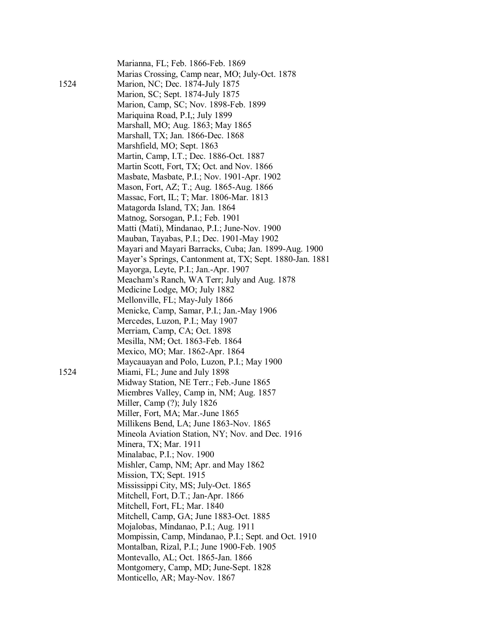| 1524 | Marianna, FL; Feb. 1866-Feb. 1869<br>Marias Crossing, Camp near, MO; July-Oct. 1878<br>Marion, NC; Dec. 1874-July 1875<br>Marion, SC; Sept. 1874-July 1875<br>Marion, Camp, SC; Nov. 1898-Feb. 1899<br>Mariquina Road, P.I,; July 1899<br>Marshall, MO; Aug. 1863; May 1865<br>Marshall, TX; Jan. 1866-Dec. 1868<br>Marshfield, MO; Sept. 1863<br>Martin, Camp, I.T.; Dec. 1886-Oct. 1887<br>Martin Scott, Fort, TX; Oct. and Nov. 1866<br>Masbate, Masbate, P.I.; Nov. 1901-Apr. 1902<br>Mason, Fort, AZ; T.; Aug. 1865-Aug. 1866<br>Massac, Fort, IL; T; Mar. 1806-Mar. 1813<br>Matagorda Island, TX; Jan. 1864<br>Matnog, Sorsogan, P.I.; Feb. 1901<br>Matti (Mati), Mindanao, P.I.; June-Nov. 1900 |
|------|--------------------------------------------------------------------------------------------------------------------------------------------------------------------------------------------------------------------------------------------------------------------------------------------------------------------------------------------------------------------------------------------------------------------------------------------------------------------------------------------------------------------------------------------------------------------------------------------------------------------------------------------------------------------------------------------------------|
|      | Mauban, Tayabas, P.I.; Dec. 1901-May 1902<br>Mayari and Mayari Barracks, Cuba; Jan. 1899-Aug. 1900<br>Mayer's Springs, Cantonment at, TX; Sept. 1880-Jan. 1881<br>Mayorga, Leyte, P.I.; Jan.-Apr. 1907<br>Meacham's Ranch, WA Terr; July and Aug. 1878<br>Medicine Lodge, MO; July 1882<br>Mellonville, FL; May-July 1866<br>Menicke, Camp, Samar, P.I.; Jan.-May 1906<br>Mercedes, Luzon, P.I.; May 1907                                                                                                                                                                                                                                                                                              |
|      | Merriam, Camp, CA; Oct. 1898<br>Mesilla, NM; Oct. 1863-Feb. 1864                                                                                                                                                                                                                                                                                                                                                                                                                                                                                                                                                                                                                                       |
|      | Mexico, MO; Mar. 1862-Apr. 1864                                                                                                                                                                                                                                                                                                                                                                                                                                                                                                                                                                                                                                                                        |
| 1524 | Maycauayan and Polo, Luzon, P.I.; May 1900<br>Miami, FL; June and July 1898<br>Midway Station, NE Terr.; Feb.-June 1865                                                                                                                                                                                                                                                                                                                                                                                                                                                                                                                                                                                |
|      | Miembres Valley, Camp in, NM; Aug. 1857<br>Miller, Camp (?); July 1826                                                                                                                                                                                                                                                                                                                                                                                                                                                                                                                                                                                                                                 |
|      | Miller, Fort, MA; Mar.-June 1865<br>Millikens Bend, LA; June 1863-Nov. 1865                                                                                                                                                                                                                                                                                                                                                                                                                                                                                                                                                                                                                            |
|      | Mineola Aviation Station, NY; Nov. and Dec. 1916                                                                                                                                                                                                                                                                                                                                                                                                                                                                                                                                                                                                                                                       |
|      | Minera, TX; Mar. 1911                                                                                                                                                                                                                                                                                                                                                                                                                                                                                                                                                                                                                                                                                  |
|      | Minalabac, P.I.; Nov. 1900                                                                                                                                                                                                                                                                                                                                                                                                                                                                                                                                                                                                                                                                             |
|      | Mishler, Camp, NM; Apr. and May 1862                                                                                                                                                                                                                                                                                                                                                                                                                                                                                                                                                                                                                                                                   |
|      | Mission, TX; Sept. 1915                                                                                                                                                                                                                                                                                                                                                                                                                                                                                                                                                                                                                                                                                |
|      | Mississippi City, MS; July-Oct. 1865                                                                                                                                                                                                                                                                                                                                                                                                                                                                                                                                                                                                                                                                   |
|      | Mitchell, Fort, D.T.; Jan-Apr. 1866                                                                                                                                                                                                                                                                                                                                                                                                                                                                                                                                                                                                                                                                    |
|      | Mitchell, Fort, FL; Mar. 1840                                                                                                                                                                                                                                                                                                                                                                                                                                                                                                                                                                                                                                                                          |
|      | Mitchell, Camp, GA; June 1883-Oct. 1885<br>Mojalobas, Mindanao, P.I.; Aug. 1911                                                                                                                                                                                                                                                                                                                                                                                                                                                                                                                                                                                                                        |
|      | Mompissin, Camp, Mindanao, P.I.; Sept. and Oct. 1910                                                                                                                                                                                                                                                                                                                                                                                                                                                                                                                                                                                                                                                   |
|      | Montalban, Rizal, P.I.; June 1900-Feb. 1905                                                                                                                                                                                                                                                                                                                                                                                                                                                                                                                                                                                                                                                            |
|      | Montevallo, AL; Oct. 1865-Jan. 1866                                                                                                                                                                                                                                                                                                                                                                                                                                                                                                                                                                                                                                                                    |
|      | Montgomery, Camp, MD; June-Sept. 1828                                                                                                                                                                                                                                                                                                                                                                                                                                                                                                                                                                                                                                                                  |
|      | Monticello, AR; May-Nov. 1867                                                                                                                                                                                                                                                                                                                                                                                                                                                                                                                                                                                                                                                                          |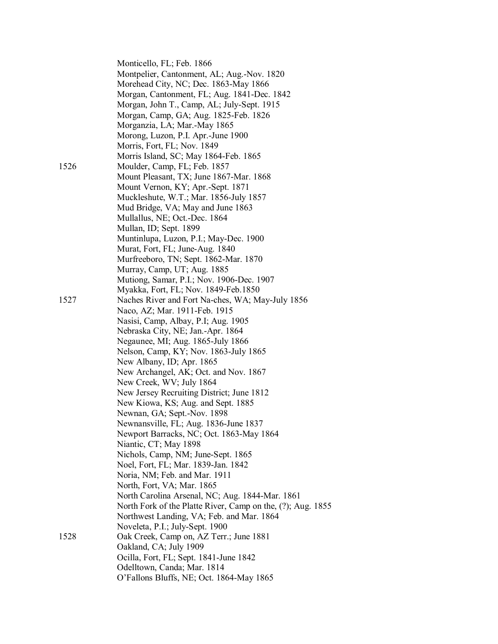|      | Monticello, FL; Feb. 1866                                   |  |
|------|-------------------------------------------------------------|--|
|      | Montpelier, Cantonment, AL; Aug.-Nov. 1820                  |  |
|      | Morehead City, NC; Dec. 1863-May 1866                       |  |
|      | Morgan, Cantonment, FL; Aug. 1841-Dec. 1842                 |  |
|      | Morgan, John T., Camp, AL; July-Sept. 1915                  |  |
|      | Morgan, Camp, GA; Aug. 1825-Feb. 1826                       |  |
|      | Morganzia, LA; Mar.-May 1865                                |  |
|      | Morong, Luzon, P.I. Apr.-June 1900                          |  |
|      | Morris, Fort, FL; Nov. 1849                                 |  |
|      | Morris Island, SC; May 1864-Feb. 1865                       |  |
| 1526 | Moulder, Camp, FL; Feb. 1857                                |  |
|      | Mount Pleasant, TX; June 1867-Mar. 1868                     |  |
|      | Mount Vernon, KY; Apr.-Sept. 1871                           |  |
|      | Muckleshute, W.T.; Mar. 1856-July 1857                      |  |
|      | Mud Bridge, VA; May and June 1863                           |  |
|      | Mullallus, NE; Oct.-Dec. 1864                               |  |
|      | Mullan, ID; Sept. 1899                                      |  |
|      | Muntinlupa, Luzon, P.I.; May-Dec. 1900                      |  |
|      | Murat, Fort, FL; June-Aug. 1840                             |  |
|      | Murfreeboro, TN; Sept. 1862-Mar. 1870                       |  |
|      | Murray, Camp, UT; Aug. 1885                                 |  |
|      | Mutiong, Samar, P.I.; Nov. 1906-Dec. 1907                   |  |
|      | Myakka, Fort, FL; Nov. 1849-Feb.1850                        |  |
| 1527 | Naches River and Fort Na-ches, WA; May-July 1856            |  |
|      | Naco, AZ; Mar. 1911-Feb. 1915                               |  |
|      | Nasisi, Camp, Albay, P.I; Aug. 1905                         |  |
|      | Nebraska City, NE; Jan.-Apr. 1864                           |  |
|      | Negaunee, MI; Aug. 1865-July 1866                           |  |
|      | Nelson, Camp, KY; Nov. 1863-July 1865                       |  |
|      | New Albany, ID; Apr. 1865                                   |  |
|      | New Archangel, AK; Oct. and Nov. 1867                       |  |
|      | New Creek, WV; July 1864                                    |  |
|      | New Jersey Recruiting District; June 1812                   |  |
|      | New Kiowa, KS; Aug. and Sept. 1885                          |  |
|      | Newnan, GA; Sept.-Nov. 1898                                 |  |
|      | Newnansville, FL; Aug. 1836-June 1837                       |  |
|      | Newport Barracks, NC; Oct. 1863-May 1864                    |  |
|      | Niantic, CT; May 1898                                       |  |
|      | Nichols, Camp, NM; June-Sept. 1865                          |  |
|      | Noel, Fort, FL; Mar. 1839-Jan. 1842                         |  |
|      | Noria, NM; Feb. and Mar. 1911                               |  |
|      | North, Fort, VA; Mar. 1865                                  |  |
|      | North Carolina Arsenal, NC; Aug. 1844-Mar. 1861             |  |
|      | North Fork of the Platte River, Camp on the, (?); Aug. 1855 |  |
|      | Northwest Landing, VA; Feb. and Mar. 1864                   |  |
|      | Noveleta, P.I.; July-Sept. 1900                             |  |
| 1528 | Oak Creek, Camp on, AZ Terr.; June 1881                     |  |
|      | Oakland, CA; July 1909                                      |  |
|      | Ocilla, Fort, FL; Sept. 1841-June 1842                      |  |
|      | Odelltown, Canda; Mar. 1814                                 |  |
|      | O'Fallons Bluffs, NE; Oct. 1864-May 1865                    |  |
|      |                                                             |  |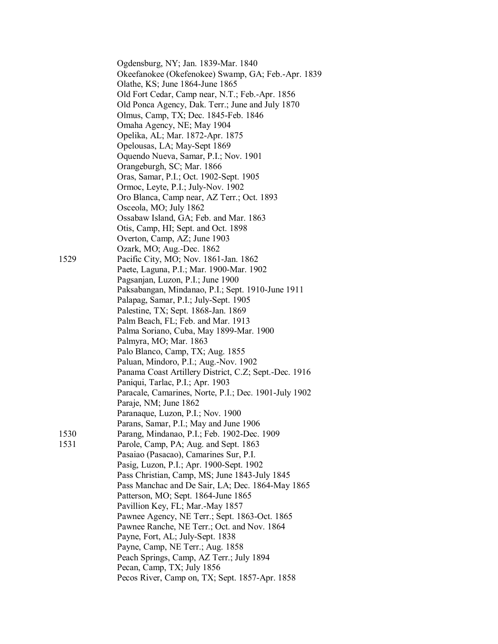|      | Ogdensburg, NY; Jan. 1839-Mar. 1840<br>Okeefanokee (Okefenokee) Swamp, GA; Feb.-Apr. 1839<br>Olathe, KS; June 1864-June 1865<br>Old Fort Cedar, Camp near, N.T.; Feb.-Apr. 1856<br>Old Ponca Agency, Dak. Terr.; June and July 1870<br>Olmus, Camp, TX; Dec. 1845-Feb. 1846<br>Omaha Agency, NE; May 1904<br>Opelika, AL; Mar. 1872-Apr. 1875<br>Opelousas, LA; May-Sept 1869<br>Oquendo Nueva, Samar, P.I.; Nov. 1901<br>Orangeburgh, SC; Mar. 1866<br>Oras, Samar, P.I.; Oct. 1902-Sept. 1905<br>Ormoc, Leyte, P.I.; July-Nov. 1902<br>Oro Blanca, Camp near, AZ Terr.; Oct. 1893 |
|------|-------------------------------------------------------------------------------------------------------------------------------------------------------------------------------------------------------------------------------------------------------------------------------------------------------------------------------------------------------------------------------------------------------------------------------------------------------------------------------------------------------------------------------------------------------------------------------------|
|      | Osceola, MO; July 1862                                                                                                                                                                                                                                                                                                                                                                                                                                                                                                                                                              |
|      | Ossabaw Island, GA; Feb. and Mar. 1863                                                                                                                                                                                                                                                                                                                                                                                                                                                                                                                                              |
|      | Otis, Camp, HI; Sept. and Oct. 1898<br>Overton, Camp, AZ; June 1903                                                                                                                                                                                                                                                                                                                                                                                                                                                                                                                 |
|      | Ozark, MO; Aug.-Dec. 1862                                                                                                                                                                                                                                                                                                                                                                                                                                                                                                                                                           |
| 1529 | Pacific City, MO; Nov. 1861-Jan. 1862                                                                                                                                                                                                                                                                                                                                                                                                                                                                                                                                               |
|      | Paete, Laguna, P.I.; Mar. 1900-Mar. 1902                                                                                                                                                                                                                                                                                                                                                                                                                                                                                                                                            |
|      | Pagsanjan, Luzon, P.I.; June 1900                                                                                                                                                                                                                                                                                                                                                                                                                                                                                                                                                   |
|      | Paksabangan, Mindanao, P.I.; Sept. 1910-June 1911                                                                                                                                                                                                                                                                                                                                                                                                                                                                                                                                   |
|      | Palapag, Samar, P.I.; July-Sept. 1905                                                                                                                                                                                                                                                                                                                                                                                                                                                                                                                                               |
|      | Palestine, TX; Sept. 1868-Jan. 1869<br>Palm Beach, FL; Feb. and Mar. 1913                                                                                                                                                                                                                                                                                                                                                                                                                                                                                                           |
|      | Palma Soriano, Cuba, May 1899-Mar. 1900                                                                                                                                                                                                                                                                                                                                                                                                                                                                                                                                             |
|      | Palmyra, MO; Mar. 1863                                                                                                                                                                                                                                                                                                                                                                                                                                                                                                                                                              |
|      | Palo Blanco, Camp, TX; Aug. 1855                                                                                                                                                                                                                                                                                                                                                                                                                                                                                                                                                    |
|      | Paluan, Mindoro, P.I.; Aug.-Nov. 1902                                                                                                                                                                                                                                                                                                                                                                                                                                                                                                                                               |
|      | Panama Coast Artillery District, C.Z; Sept.-Dec. 1916                                                                                                                                                                                                                                                                                                                                                                                                                                                                                                                               |
|      | Paniqui, Tarlac, P.I.; Apr. 1903                                                                                                                                                                                                                                                                                                                                                                                                                                                                                                                                                    |
|      | Paracale, Camarines, Norte, P.I.; Dec. 1901-July 1902<br>Paraje, NM; June 1862                                                                                                                                                                                                                                                                                                                                                                                                                                                                                                      |
|      | Paranaque, Luzon, P.I.; Nov. 1900                                                                                                                                                                                                                                                                                                                                                                                                                                                                                                                                                   |
|      | Parans, Samar, P.I.; May and June 1906                                                                                                                                                                                                                                                                                                                                                                                                                                                                                                                                              |
| 1530 | Parang, Mindanao, P.I.; Feb. 1902-Dec. 1909                                                                                                                                                                                                                                                                                                                                                                                                                                                                                                                                         |
| 1531 | Parole, Camp, PA; Aug. and Sept. 1863                                                                                                                                                                                                                                                                                                                                                                                                                                                                                                                                               |
|      | Pasaiao (Pasacao), Camarines Sur, P.I.                                                                                                                                                                                                                                                                                                                                                                                                                                                                                                                                              |
|      | Pasig, Luzon, P.I.; Apr. 1900-Sept. 1902                                                                                                                                                                                                                                                                                                                                                                                                                                                                                                                                            |
|      | Pass Christian, Camp, MS; June 1843-July 1845                                                                                                                                                                                                                                                                                                                                                                                                                                                                                                                                       |
|      | Pass Manchac and De Sair, LA; Dec. 1864-May 1865                                                                                                                                                                                                                                                                                                                                                                                                                                                                                                                                    |
|      | Patterson, MO; Sept. 1864-June 1865<br>Pavillion Key, FL; Mar.-May 1857                                                                                                                                                                                                                                                                                                                                                                                                                                                                                                             |
|      | Pawnee Agency, NE Terr.; Sept. 1863-Oct. 1865                                                                                                                                                                                                                                                                                                                                                                                                                                                                                                                                       |
|      | Pawnee Ranche, NE Terr.; Oct. and Nov. 1864                                                                                                                                                                                                                                                                                                                                                                                                                                                                                                                                         |
|      | Payne, Fort, AL; July-Sept. 1838                                                                                                                                                                                                                                                                                                                                                                                                                                                                                                                                                    |
|      | Payne, Camp, NE Terr.; Aug. 1858                                                                                                                                                                                                                                                                                                                                                                                                                                                                                                                                                    |
|      | Peach Springs, Camp, AZ Terr.; July 1894                                                                                                                                                                                                                                                                                                                                                                                                                                                                                                                                            |
|      | Pecan, Camp, TX; July 1856                                                                                                                                                                                                                                                                                                                                                                                                                                                                                                                                                          |
|      | Pecos River, Camp on, TX; Sept. 1857-Apr. 1858                                                                                                                                                                                                                                                                                                                                                                                                                                                                                                                                      |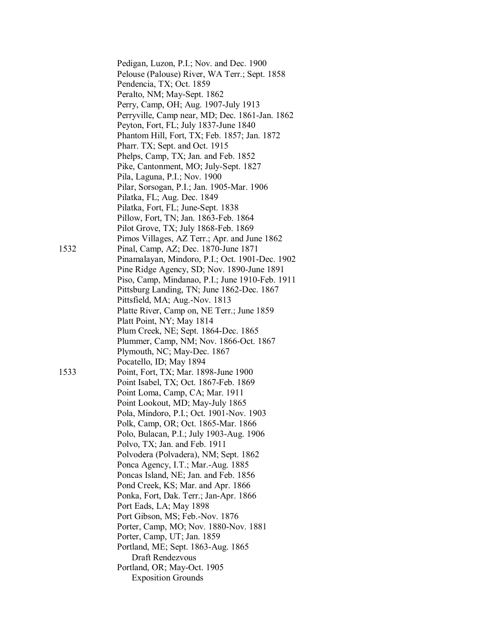|      | Pedigan, Luzon, P.I.; Nov. and Dec. 1900        |
|------|-------------------------------------------------|
|      | Pelouse (Palouse) River, WA Terr.; Sept. 1858   |
|      | Pendencia, TX; Oct. 1859                        |
|      | Peralto, NM; May-Sept. 1862                     |
|      | Perry, Camp, OH; Aug. 1907-July 1913            |
|      | Perryville, Camp near, MD; Dec. 1861-Jan. 1862  |
|      | Peyton, Fort, FL; July 1837-June 1840           |
|      | Phantom Hill, Fort, TX; Feb. 1857; Jan. 1872    |
|      | Pharr. TX; Sept. and Oct. 1915                  |
|      | Phelps, Camp, TX; Jan. and Feb. 1852            |
|      |                                                 |
|      | Pike, Cantonment, MO; July-Sept. 1827           |
|      | Pila, Laguna, P.I.; Nov. 1900                   |
|      | Pilar, Sorsogan, P.I.; Jan. 1905-Mar. 1906      |
|      | Pilatka, FL; Aug. Dec. 1849                     |
|      | Pilatka, Fort, FL; June-Sept. 1838              |
|      | Pillow, Fort, TN; Jan. 1863-Feb. 1864           |
|      | Pilot Grove, TX; July 1868-Feb. 1869            |
|      | Pimos Villages, AZ Terr.; Apr. and June 1862    |
| 1532 | Pinal, Camp, AZ; Dec. 1870-June 1871            |
|      | Pinamalayan, Mindoro, P.I.; Oct. 1901-Dec. 1902 |
|      | Pine Ridge Agency, SD; Nov. 1890-June 1891      |
|      | Piso, Camp, Mindanao, P.I.; June 1910-Feb. 1911 |
|      | Pittsburg Landing, TN; June 1862-Dec. 1867      |
|      | Pittsfield, MA; Aug.-Nov. 1813                  |
|      | Platte River, Camp on, NE Terr.; June 1859      |
|      | Platt Point, NY; May 1814                       |
|      | Plum Creek, NE; Sept. 1864-Dec. 1865            |
|      | Plummer, Camp, NM; Nov. 1866-Oct. 1867          |
|      | Plymouth, NC; May-Dec. 1867                     |
|      | Pocatello, ID; May 1894                         |
| 1533 | Point, Fort, TX; Mar. 1898-June 1900            |
|      | Point Isabel, TX; Oct. 1867-Feb. 1869           |
|      | Point Loma, Camp, CA; Mar. 1911                 |
|      | Point Lookout, MD; May-July 1865                |
|      | Pola, Mindoro, P.I.; Oct. 1901-Nov. 1903        |
|      | Polk, Camp, OR; Oct. 1865-Mar. 1866             |
|      | Polo, Bulacan, P.I.; July 1903-Aug. 1906        |
|      | Polvo, TX; Jan. and Feb. 1911                   |
|      | Polvodera (Polvadera), NM; Sept. 1862           |
|      | Ponca Agency, I.T.; Mar.-Aug. 1885              |
|      | Poncas Island, NE; Jan. and Feb. 1856           |
|      | Pond Creek, KS; Mar. and Apr. 1866              |
|      | Ponka, Fort, Dak. Terr.; Jan-Apr. 1866          |
|      | Port Eads, LA; May 1898                         |
|      | Port Gibson, MS; Feb.-Nov. 1876                 |
|      | Porter, Camp, MO; Nov. 1880-Nov. 1881           |
|      |                                                 |
|      | Porter, Camp, UT; Jan. 1859                     |
|      | Portland, ME; Sept. 1863-Aug. 1865              |
|      | Draft Rendezvous                                |
|      | Portland, OR; May-Oct. 1905                     |
|      | <b>Exposition Grounds</b>                       |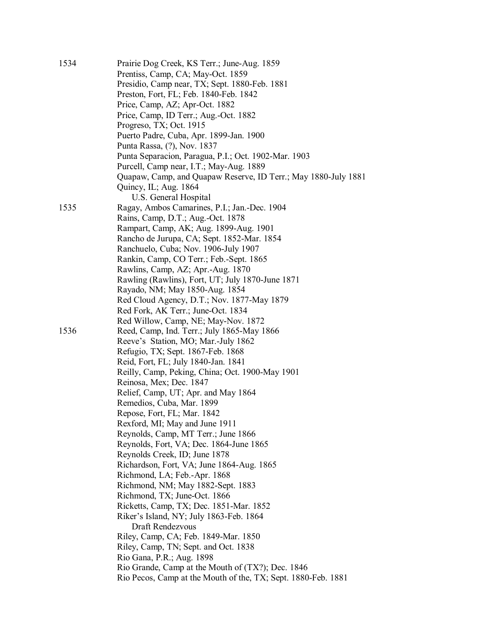| 1534 | Prairie Dog Creek, KS Terr.; June-Aug. 1859                    |
|------|----------------------------------------------------------------|
|      | Prentiss, Camp, CA; May-Oct. 1859                              |
|      | Presidio, Camp near, TX; Sept. 1880-Feb. 1881                  |
|      | Preston, Fort, FL; Feb. 1840-Feb. 1842                         |
|      | Price, Camp, AZ; Apr-Oct. 1882                                 |
|      | Price, Camp, ID Terr.; Aug.-Oct. 1882                          |
|      | Progreso, TX; Oct. 1915                                        |
|      | Puerto Padre, Cuba, Apr. 1899-Jan. 1900                        |
|      | Punta Rassa, (?), Nov. 1837                                    |
|      | Punta Separacion, Paragua, P.I.; Oct. 1902-Mar. 1903           |
|      | Purcell, Camp near, I.T.; May-Aug. 1889                        |
|      | Quapaw, Camp, and Quapaw Reserve, ID Terr.; May 1880-July 1881 |
|      | Quincy, IL; Aug. 1864                                          |
|      | U.S. General Hospital                                          |
| 1535 | Ragay, Ambos Camarines, P.I.; Jan.-Dec. 1904                   |
|      | Rains, Camp, D.T.; Aug.-Oct. 1878                              |
|      | Rampart, Camp, AK; Aug. 1899-Aug. 1901                         |
|      | Rancho de Jurupa, CA; Sept. 1852-Mar. 1854                     |
|      | Ranchuelo, Cuba; Nov. 1906-July 1907                           |
|      | Rankin, Camp, CO Terr.; Feb.-Sept. 1865                        |
|      | Rawlins, Camp, AZ; Apr.-Aug. 1870                              |
|      | Rawling (Rawlins), Fort, UT; July 1870-June 1871               |
|      | Rayado, NM; May 1850-Aug. 1854                                 |
|      | Red Cloud Agency, D.T.; Nov. 1877-May 1879                     |
|      | Red Fork, AK Terr.; June-Oct. 1834                             |
|      | Red Willow, Camp, NE; May-Nov. 1872                            |
| 1536 | Reed, Camp, Ind. Terr.; July 1865-May 1866                     |
|      | Reeve's Station, MO; Mar.-July 1862                            |
|      | Refugio, TX; Sept. 1867-Feb. 1868                              |
|      | Reid, Fort, FL; July 1840-Jan. 1841                            |
|      | Reilly, Camp, Peking, China; Oct. 1900-May 1901                |
|      | Reinosa, Mex; Dec. 1847                                        |
|      | Relief, Camp, UT; Apr. and May 1864                            |
|      | Remedios, Cuba, Mar. 1899                                      |
|      | Repose, Fort, FL; Mar. 1842                                    |
|      | Rexford, MI; May and June 1911                                 |
|      | Reynolds, Camp, MT Terr.; June 1866                            |
|      | Reynolds, Fort, VA; Dec. 1864-June 1865                        |
|      | Reynolds Creek, ID; June 1878                                  |
|      | Richardson, Fort, VA; June 1864-Aug. 1865                      |
|      | Richmond, LA; Feb.-Apr. 1868                                   |
|      | Richmond, NM; May 1882-Sept. 1883                              |
|      | Richmond, TX; June-Oct. 1866                                   |
|      | Ricketts, Camp, TX; Dec. 1851-Mar. 1852                        |
|      | Riker's Island, NY; July 1863-Feb. 1864                        |
|      | Draft Rendezvous                                               |
|      | Riley, Camp, CA; Feb. 1849-Mar. 1850                           |
|      | Riley, Camp, TN; Sept. and Oct. 1838                           |
|      | Rio Gana, P.R.; Aug. 1898                                      |
|      | Rio Grande, Camp at the Mouth of (TX?); Dec. 1846              |
|      | Rio Pecos, Camp at the Mouth of the, TX; Sept. 1880-Feb. 1881  |
|      |                                                                |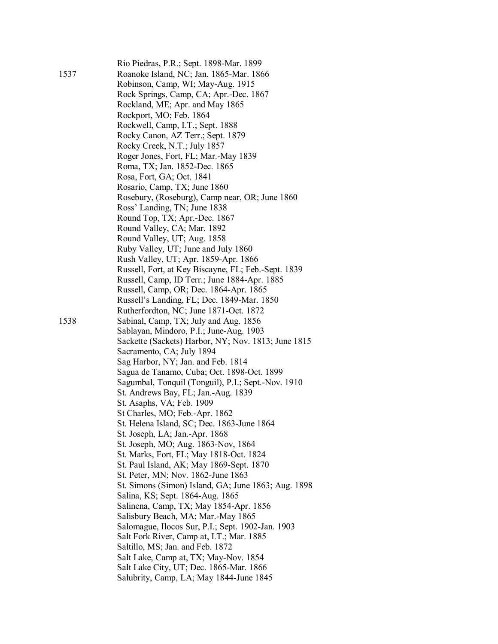|      | Rio Piedras, P.R.; Sept. 1898-Mar. 1899             |
|------|-----------------------------------------------------|
| 1537 | Roanoke Island, NC; Jan. 1865-Mar. 1866             |
|      | Robinson, Camp, WI; May-Aug. 1915                   |
|      | Rock Springs, Camp, CA; Apr.-Dec. 1867              |
|      | Rockland, ME; Apr. and May 1865                     |
|      | Rockport, MO; Feb. 1864                             |
|      | Rockwell, Camp, I.T.; Sept. 1888                    |
|      | Rocky Canon, AZ Terr.; Sept. 1879                   |
|      | Rocky Creek, N.T.; July 1857                        |
|      | Roger Jones, Fort, FL; Mar.-May 1839                |
|      | Roma, TX; Jan. 1852-Dec. 1865                       |
|      | Rosa, Fort, GA; Oct. 1841                           |
|      | Rosario, Camp, TX; June 1860                        |
|      | Rosebury, (Roseburg), Camp near, OR; June 1860      |
|      | Ross' Landing, TN; June 1838                        |
|      |                                                     |
|      | Round Top, TX; Apr.-Dec. 1867                       |
|      | Round Valley, CA; Mar. 1892                         |
|      | Round Valley, UT; Aug. 1858                         |
|      | Ruby Valley, UT; June and July 1860                 |
|      | Rush Valley, UT; Apr. 1859-Apr. 1866                |
|      | Russell, Fort, at Key Biscayne, FL; Feb.-Sept. 1839 |
|      | Russell, Camp, ID Terr.; June 1884-Apr. 1885        |
|      | Russell, Camp, OR; Dec. 1864-Apr. 1865              |
|      | Russell's Landing, FL; Dec. 1849-Mar. 1850          |
|      | Rutherfordton, NC; June 1871-Oct. 1872              |
| 1538 | Sabinal, Camp, TX; July and Aug. 1856               |
|      | Sablayan, Mindoro, P.I.; June-Aug. 1903             |
|      | Sackette (Sackets) Harbor, NY; Nov. 1813; June 1815 |
|      | Sacramento, CA; July 1894                           |
|      | Sag Harbor, NY; Jan. and Feb. 1814                  |
|      | Sagua de Tanamo, Cuba; Oct. 1898-Oct. 1899          |
|      | Sagumbal, Tonquil (Tonguil), P.I.; Sept.-Nov. 1910  |
|      | St. Andrews Bay, FL; Jan.-Aug. 1839                 |
|      | St. Asaphs, VA; Feb. 1909                           |
|      | St Charles, MO; Feb.-Apr. 1862                      |
|      | St. Helena Island, SC; Dec. 1863-June 1864          |
|      | St. Joseph, LA; Jan.-Apr. 1868                      |
|      | St. Joseph, MO; Aug. 1863-Nov, 1864                 |
|      | St. Marks, Fort, FL; May 1818-Oct. 1824             |
|      | St. Paul Island, AK; May 1869-Sept. 1870            |
|      | St. Peter, MN; Nov. 1862-June 1863                  |
|      | St. Simons (Simon) Island, GA; June 1863; Aug. 1898 |
|      | Salina, KS; Sept. 1864-Aug. 1865                    |
|      | Salinena, Camp, TX; May 1854-Apr. 1856              |
|      | Salisbury Beach, MA; Mar.-May 1865                  |
|      | Salomague, Ilocos Sur, P.I.; Sept. 1902-Jan. 1903   |
|      | Salt Fork River, Camp at, I.T.; Mar. 1885           |
|      | Saltillo, MS; Jan. and Feb. 1872                    |
|      | Salt Lake, Camp at, TX; May-Nov. 1854               |
|      | Salt Lake City, UT; Dec. 1865-Mar. 1866             |
|      | Salubrity, Camp, LA; May 1844-June 1845             |
|      |                                                     |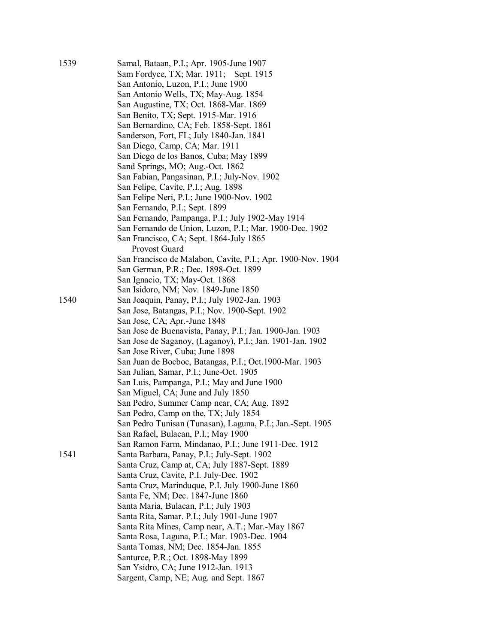| 1539 | Samal, Bataan, P.I.; Apr. 1905-June 1907                                      |
|------|-------------------------------------------------------------------------------|
|      | Sam Fordyce, TX; Mar. 1911; Sept. 1915                                        |
|      | San Antonio, Luzon, P.I.; June 1900                                           |
|      | San Antonio Wells, TX; May-Aug. 1854                                          |
|      | San Augustine, TX; Oct. 1868-Mar. 1869                                        |
|      | San Benito, TX; Sept. 1915-Mar. 1916                                          |
|      | San Bernardino, CA; Feb. 1858-Sept. 1861                                      |
|      | Sanderson, Fort, FL; July 1840-Jan. 1841                                      |
|      | San Diego, Camp, CA; Mar. 1911                                                |
|      |                                                                               |
|      | San Diego de los Banos, Cuba; May 1899                                        |
|      | Sand Springs, MO; Aug.-Oct. 1862                                              |
|      | San Fabian, Pangasinan, P.I.; July-Nov. 1902                                  |
|      | San Felipe, Cavite, P.I.; Aug. 1898                                           |
|      | San Felipe Neri, P.I.; June 1900-Nov. 1902                                    |
|      | San Fernando, P.I.; Sept. 1899                                                |
|      | San Fernando, Pampanga, P.I.; July 1902-May 1914                              |
|      | San Fernando de Union, Luzon, P.I.; Mar. 1900-Dec. 1902                       |
|      | San Francisco, CA; Sept. 1864-July 1865                                       |
|      | Provost Guard                                                                 |
|      | San Francisco de Malabon, Cavite, P.I.; Apr. 1900-Nov. 1904                   |
|      | San German, P.R.; Dec. 1898-Oct. 1899                                         |
|      | San Ignacio, TX; May-Oct. 1868                                                |
|      | San Isidoro, NM; Nov. 1849-June 1850                                          |
| 1540 | San Joaquin, Panay, P.I.; July 1902-Jan. 1903                                 |
|      | San Jose, Batangas, P.I.; Nov. 1900-Sept. 1902                                |
|      | San Jose, CA; Apr.-June 1848                                                  |
|      | San Jose de Buenavista, Panay, P.I.; Jan. 1900-Jan. 1903                      |
|      |                                                                               |
|      | San Jose de Saganoy, (Laganoy), P.I.; Jan. 1901-Jan. 1902                     |
|      | San Jose River, Cuba; June 1898                                               |
|      | San Juan de Bocboc, Batangas, P.I.; Oct. 1900-Mar. 1903                       |
|      | San Julian, Samar, P.I.; June-Oct. 1905                                       |
|      | San Luis, Pampanga, P.I.; May and June 1900                                   |
|      | San Miguel, CA; June and July 1850                                            |
|      | San Pedro, Summer Camp near, CA; Aug. 1892                                    |
|      | San Pedro, Camp on the, TX; July 1854                                         |
|      | San Pedro Tunisan (Tunasan), Laguna, P.I.; Jan.-Sept. 1905                    |
|      | San Rafael, Bulacan, P.I.; May 1900                                           |
|      | San Ramon Farm, Mindanao, P.I.; June 1911-Dec. 1912                           |
| 1541 | Santa Barbara, Panay, P.I.; July-Sept. 1902                                   |
|      | Santa Cruz, Camp at, CA; July 1887-Sept. 1889                                 |
|      | Santa Cruz, Cavite, P.I. July-Dec. 1902                                       |
|      | Santa Cruz, Marinduque, P.I. July 1900-June 1860                              |
|      | Santa Fe, NM; Dec. 1847-June 1860                                             |
|      | Santa Maria, Bulacan, P.I.; July 1903                                         |
|      | Santa Rita, Samar. P.I.; July 1901-June 1907                                  |
|      | Santa Rita Mines, Camp near, A.T.; Mar.-May 1867                              |
|      | Santa Rosa, Laguna, P.I.; Mar. 1903-Dec. 1904                                 |
|      | Santa Tomas, NM; Dec. 1854-Jan. 1855                                          |
|      | Santurce, P.R.; Oct. 1898-May 1899                                            |
|      |                                                                               |
|      | San Ysidro, CA; June 1912-Jan. 1913<br>Sargent, Camp, NE; Aug. and Sept. 1867 |
|      |                                                                               |
|      |                                                                               |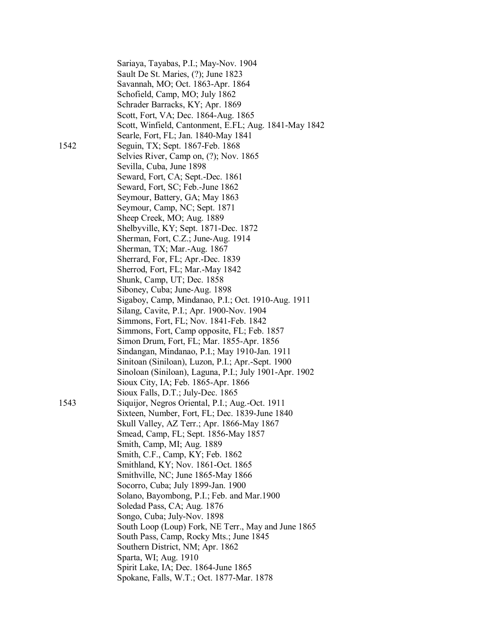|      | Sariaya, Tayabas, P.I.; May-Nov. 1904                  |
|------|--------------------------------------------------------|
|      | Sault De St. Maries, (?); June 1823                    |
|      | Savannah, MO; Oct. 1863-Apr. 1864                      |
|      | Schofield, Camp, MO; July 1862                         |
|      | Schrader Barracks, KY; Apr. 1869                       |
|      | Scott, Fort, VA; Dec. 1864-Aug. 1865                   |
|      | Scott, Winfield, Cantonment, E.FL; Aug. 1841-May 1842  |
|      | Searle, Fort, FL; Jan. 1840-May 1841                   |
| 1542 | Seguin, TX; Sept. 1867-Feb. 1868                       |
|      | Selvies River, Camp on, (?); Nov. 1865                 |
|      | Sevilla, Cuba, June 1898                               |
|      | Seward, Fort, CA; Sept.-Dec. 1861                      |
|      | Seward, Fort, SC; Feb.-June 1862                       |
|      | Seymour, Battery, GA; May 1863                         |
|      | Seymour, Camp, NC; Sept. 1871                          |
|      | Sheep Creek, MO; Aug. 1889                             |
|      | Shelbyville, KY; Sept. 1871-Dec. 1872                  |
|      | Sherman, Fort, C.Z.; June-Aug. 1914                    |
|      | Sherman, TX; Mar.-Aug. 1867                            |
|      | Sherrard, For, FL; Apr.-Dec. 1839                      |
|      | Sherrod, Fort, FL; Mar.-May 1842                       |
|      | Shunk, Camp, UT; Dec. 1858                             |
|      | Siboney, Cuba; June-Aug. 1898                          |
|      | Sigaboy, Camp, Mindanao, P.I.; Oct. 1910-Aug. 1911     |
|      | Silang, Cavite, P.I.; Apr. 1900-Nov. 1904              |
|      | Simmons, Fort, FL; Nov. 1841-Feb. 1842                 |
|      | Simmons, Fort, Camp opposite, FL; Feb. 1857            |
|      | Simon Drum, Fort, FL; Mar. 1855-Apr. 1856              |
|      | Sindangan, Mindanao, P.I.; May 1910-Jan. 1911          |
|      | Sinitoan (Siniloan), Luzon, P.I.; Apr.-Sept. 1900      |
|      | Sinoloan (Siniloan), Laguna, P.I.; July 1901-Apr. 1902 |
|      | Sioux City, IA; Feb. 1865-Apr. 1866                    |
|      | Sioux Falls, D.T.; July-Dec. 1865                      |
| 1543 | Siquijor, Negros Oriental, P.I.; Aug.-Oct. 1911        |
|      | Sixteen, Number, Fort, FL; Dec. 1839-June 1840         |
|      | Skull Valley, AZ Terr.; Apr. 1866-May 1867             |
|      | Smead, Camp, FL; Sept. 1856-May 1857                   |
|      | Smith, Camp, MI; Aug. 1889                             |
|      | Smith, C.F., Camp, KY; Feb. 1862                       |
|      | Smithland, KY; Nov. 1861-Oct. 1865                     |
|      | Smithville, NC; June 1865-May 1866                     |
|      | Socorro, Cuba; July 1899-Jan. 1900                     |
|      | Solano, Bayombong, P.I.; Feb. and Mar.1900             |
|      | Soledad Pass, CA; Aug. 1876                            |
|      | Songo, Cuba; July-Nov. 1898                            |
|      | South Loop (Loup) Fork, NE Terr., May and June 1865    |
|      | South Pass, Camp, Rocky Mts.; June 1845                |
|      | Southern District, NM; Apr. 1862                       |
|      | Sparta, WI; Aug. 1910                                  |
|      | Spirit Lake, IA; Dec. 1864-June 1865                   |
|      | Spokane, Falls, W.T.; Oct. 1877-Mar. 1878              |
|      |                                                        |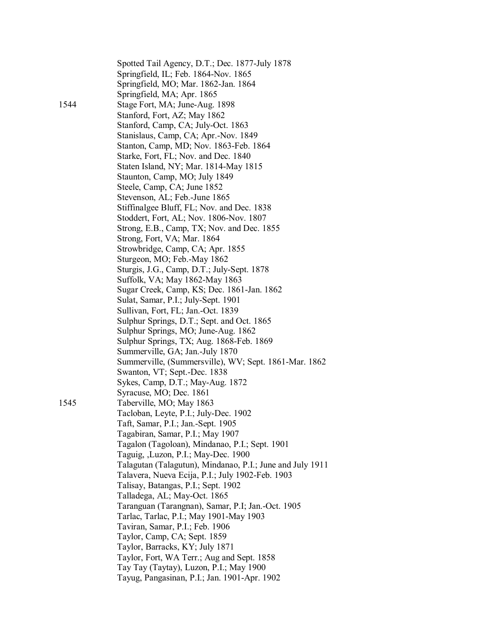|      | Spotted Tail Agency, D.T.; Dec. 1877-July 1878            |
|------|-----------------------------------------------------------|
|      | Springfield, IL; Feb. 1864-Nov. 1865                      |
|      | Springfield, MO; Mar. 1862-Jan. 1864                      |
|      | Springfield, MA; Apr. 1865                                |
| 1544 | Stage Fort, MA; June-Aug. 1898                            |
|      | Stanford, Fort, AZ; May 1862                              |
|      | Stanford, Camp, CA; July-Oct. 1863                        |
|      | Stanislaus, Camp, CA; Apr.-Nov. 1849                      |
|      | Stanton, Camp, MD; Nov. 1863-Feb. 1864                    |
|      |                                                           |
|      | Starke, Fort, FL; Nov. and Dec. 1840                      |
|      | Staten Island, NY; Mar. 1814-May 1815                     |
|      | Staunton, Camp, MO; July 1849                             |
|      | Steele, Camp, CA; June 1852                               |
|      | Stevenson, AL; Feb.-June 1865                             |
|      | Stiffinalgee Bluff, FL; Nov. and Dec. 1838                |
|      | Stoddert, Fort, AL; Nov. 1806-Nov. 1807                   |
|      | Strong, E.B., Camp, TX; Nov. and Dec. 1855                |
|      | Strong, Fort, VA; Mar. 1864                               |
|      | Strowbridge, Camp, CA; Apr. 1855                          |
|      | Sturgeon, MO; Feb.-May 1862                               |
|      | Sturgis, J.G., Camp, D.T.; July-Sept. 1878                |
|      | Suffolk, VA; May 1862-May 1863                            |
|      | Sugar Creek, Camp, KS; Dec. 1861-Jan. 1862                |
|      | Sulat, Samar, P.I.; July-Sept. 1901                       |
|      | Sullivan, Fort, FL; Jan.-Oct. 1839                        |
|      | Sulphur Springs, D.T.; Sept. and Oct. 1865                |
|      | Sulphur Springs, MO; June-Aug. 1862                       |
|      | Sulphur Springs, TX; Aug. 1868-Feb. 1869                  |
|      | Summerville, GA; Jan.-July 1870                           |
|      | Summerville, (Summersville), WV; Sept. 1861-Mar. 1862     |
|      | Swanton, VT; Sept.-Dec. 1838                              |
|      | Sykes, Camp, D.T.; May-Aug. 1872                          |
|      | Syracuse, MO; Dec. 1861                                   |
| 1545 | Taberville, MO; May 1863                                  |
|      | Tacloban, Leyte, P.I.; July-Dec. 1902                     |
|      | Taft, Samar, P.I.; Jan.-Sept. 1905                        |
|      | Tagabiran, Samar, P.I.; May 1907                          |
|      |                                                           |
|      | Tagalon (Tagoloan), Mindanao, P.I.; Sept. 1901            |
|      | Taguig, ,Luzon, P.I.; May-Dec. 1900                       |
|      | Talagutan (Talagutun), Mindanao, P.I.; June and July 1911 |
|      | Talavera, Nueva Ecija, P.I.; July 1902-Feb. 1903          |
|      | Talisay, Batangas, P.I.; Sept. 1902                       |
|      | Talladega, AL; May-Oct. 1865                              |
|      | Taranguan (Tarangnan), Samar, P.I; Jan.-Oct. 1905         |
|      | Tarlac, Tarlac, P.I.; May 1901-May 1903                   |
|      | Taviran, Samar, P.I.; Feb. 1906                           |
|      | Taylor, Camp, CA; Sept. 1859                              |
|      | Taylor, Barracks, KY; July 1871                           |
|      | Taylor, Fort, WA Terr.; Aug and Sept. 1858                |
|      | Tay Tay (Taytay), Luzon, P.I.; May 1900                   |
|      | Tayug, Pangasinan, P.I.; Jan. 1901-Apr. 1902              |
|      |                                                           |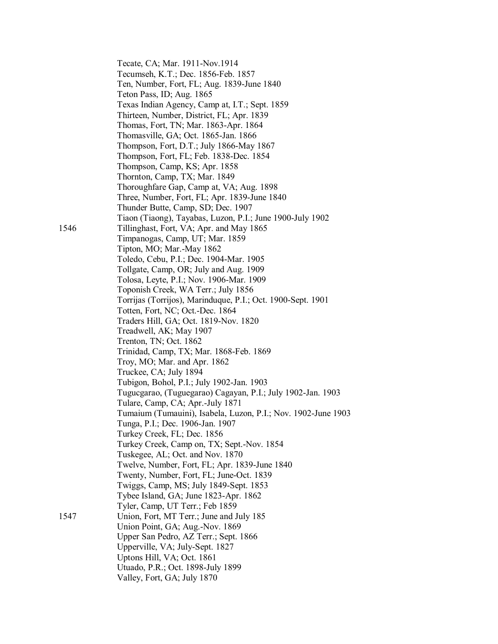|      | Tecate, CA; Mar. 1911-Nov.1914<br>Tecumseh, K.T.; Dec. 1856-Feb. 1857 |
|------|-----------------------------------------------------------------------|
|      | Ten, Number, Fort, FL; Aug. 1839-June 1840                            |
|      | Teton Pass, ID; Aug. 1865                                             |
|      | Texas Indian Agency, Camp at, I.T.; Sept. 1859                        |
|      | Thirteen, Number, District, FL; Apr. 1839                             |
|      | Thomas, Fort, TN; Mar. 1863-Apr. 1864                                 |
|      | Thomasville, GA; Oct. 1865-Jan. 1866                                  |
|      | Thompson, Fort, D.T.; July 1866-May 1867                              |
|      | Thompson, Fort, FL; Feb. 1838-Dec. 1854                               |
|      | Thompson, Camp, KS; Apr. 1858                                         |
|      | Thornton, Camp, TX; Mar. 1849                                         |
|      | Thoroughfare Gap, Camp at, VA; Aug. 1898                              |
|      | Three, Number, Fort, FL; Apr. 1839-June 1840                          |
|      | Thunder Butte, Camp, SD; Dec. 1907                                    |
|      | Tiaon (Tiaong), Tayabas, Luzon, P.I.; June 1900-July 1902             |
| 1546 | Tillinghast, Fort, VA; Apr. and May 1865                              |
|      | Timpanogas, Camp, UT; Mar. 1859                                       |
|      | Tipton, MO; Mar.-May 1862                                             |
|      | Toledo, Cebu, P.I.; Dec. 1904-Mar. 1905                               |
|      | Tollgate, Camp, OR; July and Aug. 1909                                |
|      | Tolosa, Leyte, P.I.; Nov. 1906-Mar. 1909                              |
|      | Toponish Creek, WA Terr.; July 1856                                   |
|      | Torrijas (Torrijos), Marinduque, P.I.; Oct. 1900-Sept. 1901           |
|      | Totten, Fort, NC; Oct.-Dec. 1864                                      |
|      | Traders Hill, GA; Oct. 1819-Nov. 1820                                 |
|      | Treadwell, AK; May 1907                                               |
|      | Trenton, TN; Oct. 1862                                                |
|      | Trinidad, Camp, TX; Mar. 1868-Feb. 1869                               |
|      | Troy, MO; Mar. and Apr. 1862                                          |
|      | Truckee, CA; July 1894                                                |
|      | Tubigon, Bohol, P.I.; July 1902-Jan. 1903                             |
|      | Tugucgarao, (Tuguegarao) Cagayan, P.I.; July 1902-Jan. 1903           |
|      | Tulare, Camp, CA; Apr.-July 1871                                      |
|      | Tumaium (Tumauini), Isabela, Luzon, P.I.; Nov. 1902-June 1903         |
|      | Tunga, P.I.; Dec. 1906-Jan. 1907                                      |
|      | Turkey Creek, FL; Dec. 1856                                           |
|      | Turkey Creek, Camp on, TX; Sept.-Nov. 1854                            |
|      | Tuskegee, AL; Oct. and Nov. 1870                                      |
|      | Twelve, Number, Fort, FL; Apr. 1839-June 1840                         |
|      | Twenty, Number, Fort, FL; June-Oct. 1839                              |
|      | Twiggs, Camp, MS; July 1849-Sept. 1853                                |
|      | Tybee Island, GA; June 1823-Apr. 1862                                 |
|      | Tyler, Camp, UT Terr.; Feb 1859                                       |
| 1547 | Union, Fort, MT Terr.; June and July 185                              |
|      | Union Point, GA; Aug.-Nov. 1869                                       |
|      | Upper San Pedro, AZ Terr.; Sept. 1866                                 |
|      | Upperville, VA; July-Sept. 1827                                       |
|      | Uptons Hill, VA; Oct. 1861                                            |
|      | Utuado, P.R.; Oct. 1898-July 1899                                     |
|      | Valley, Fort, GA; July 1870                                           |
|      |                                                                       |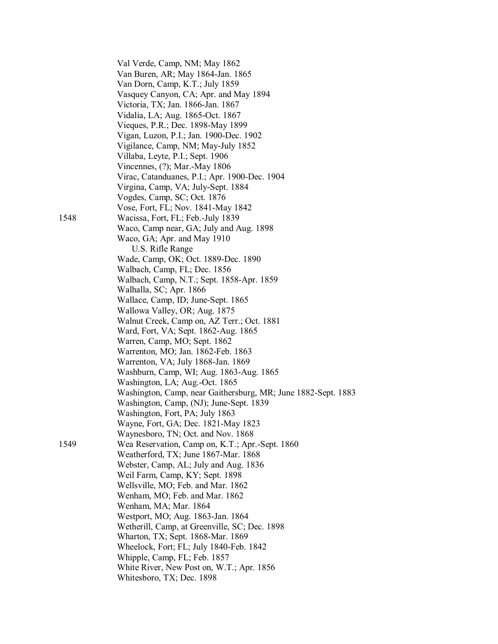|      | Val Verde, Camp, NM; May 1862                                                      |  |
|------|------------------------------------------------------------------------------------|--|
|      | Van Buren, AR; May 1864-Jan. 1865                                                  |  |
|      | Van Dorn, Camp, K.T.; July 1859                                                    |  |
|      | Vasquey Canyon, CA; Apr. and May 1894                                              |  |
|      | Victoria, TX; Jan. 1866-Jan. 1867                                                  |  |
|      | Vidalia, LA; Aug. 1865-Oct. 1867                                                   |  |
|      | Vieques, P.R.; Dec. 1898-May 1899                                                  |  |
|      |                                                                                    |  |
|      | Vigan, Luzon, P.I.; Jan. 1900-Dec. 1902                                            |  |
|      | Vigilance, Camp, NM; May-July 1852<br>Villaba, Leyte, P.I.; Sept. 1906             |  |
|      |                                                                                    |  |
|      | Vincennes, $(?)$ ; Mar.-May 1806                                                   |  |
|      | Virac, Catanduanes, P.I.; Apr. 1900-Dec. 1904                                      |  |
|      | Virgina, Camp, VA; July-Sept. 1884                                                 |  |
|      | Vogdes, Camp, SC; Oct. 1876                                                        |  |
|      | Vose, Fort, FL; Nov. 1841-May 1842                                                 |  |
| 1548 | Wacissa, Fort, FL; Feb.-July 1839                                                  |  |
|      | Waco, Camp near, GA; July and Aug. 1898                                            |  |
|      | Waco, GA; Apr. and May 1910                                                        |  |
|      | U.S. Rifle Range                                                                   |  |
|      | Wade, Camp, OK; Oct. 1889-Dec. 1890                                                |  |
|      | Walbach, Camp, FL; Dec. 1856                                                       |  |
|      | Walbach, Camp, N.T.; Sept. 1858-Apr. 1859                                          |  |
|      | Walhalla, SC; Apr. 1866                                                            |  |
|      | Wallace, Camp, ID; June-Sept. 1865                                                 |  |
|      | Wallowa Valley, OR; Aug. 1875                                                      |  |
|      | Walnut Creek, Camp on, AZ Terr.; Oct. 1881                                         |  |
|      | Ward, Fort, VA; Sept. 1862-Aug. 1865                                               |  |
|      | Warren, Camp, MO; Sept. 1862                                                       |  |
|      | Warrenton, MO; Jan. 1862-Feb. 1863                                                 |  |
|      | Warrenton, VA; July 1868-Jan. 1869                                                 |  |
|      | Washburn, Camp, WI; Aug. 1863-Aug. 1865                                            |  |
|      | Washington, LA; Aug.-Oct. 1865                                                     |  |
|      | Washington, Camp, near Gaithersburg, MR; June 1882-Sept. 1883                      |  |
|      | Washington, Camp, (NJ); June-Sept. 1839                                            |  |
|      | Washington, Fort, PA; July 1863                                                    |  |
|      | Wayne, Fort, GA; Dec. 1821-May 1823                                                |  |
| 1549 | Waynesboro, TN; Oct. and Nov. 1868                                                 |  |
|      | Wea Reservation, Camp on, K.T.; Apr.-Sept. 1860                                    |  |
|      | Weatherford, TX; June 1867-Mar. 1868<br>Webster, Camp, AL; July and Aug. 1836      |  |
|      |                                                                                    |  |
|      | Weil Farm, Camp, KY; Sept. 1898<br>Wellsville, MO; Feb. and Mar. 1862              |  |
|      |                                                                                    |  |
|      | Wenham, MO; Feb. and Mar. 1862                                                     |  |
|      | Wenham, MA; Mar. 1864                                                              |  |
|      | Westport, MO; Aug. 1863-Jan. 1864<br>Wetherill, Camp, at Greenville, SC; Dec. 1898 |  |
|      |                                                                                    |  |
|      | Wharton, TX; Sept. 1868-Mar. 1869                                                  |  |
|      | Wheelock, Fort; FL; July 1840-Feb. 1842<br>Whipple, Camp, FL; Feb. 1857            |  |
|      | White River, New Post on, W.T.; Apr. 1856                                          |  |
|      | Whitesboro, TX; Dec. 1898                                                          |  |
|      |                                                                                    |  |